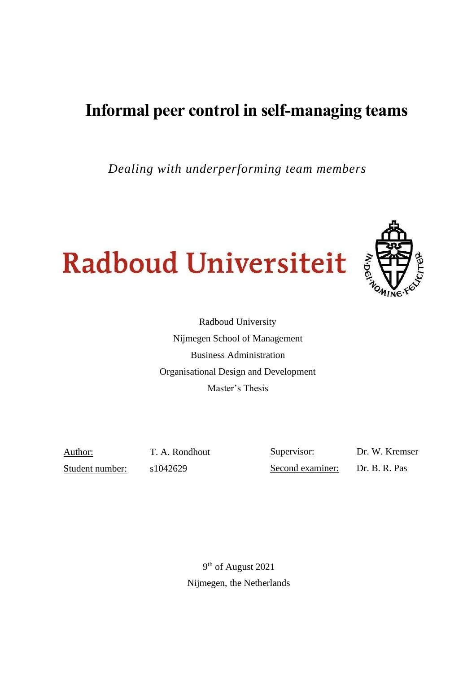# **Informal peer control in self-managing teams**

*Dealing with underperforming team members*





Radboud University Nijmegen School of Management Business Administration Organisational Design and Development Master's Thesis

Student number: s1042629

Author: T. A. Rondhout

Supervisor: Dr. W. Kremser Second examiner: Dr. B. R. Pas

9<sup>th</sup> of August 2021 Nijmegen, the Netherlands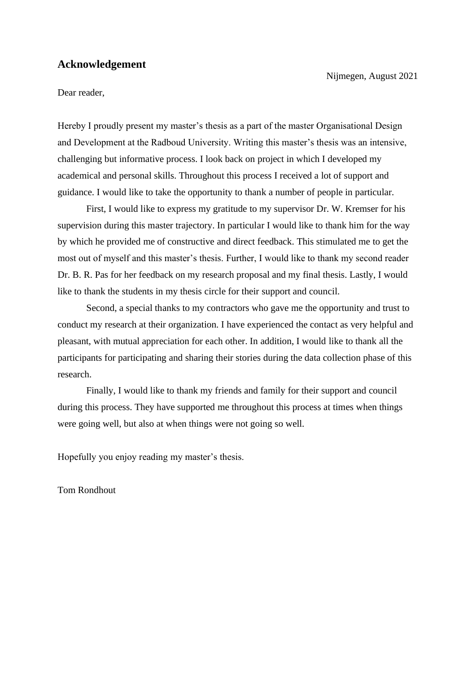# **Acknowledgement**

Nijmegen, August 2021

Dear reader,

Hereby I proudly present my master's thesis as a part of the master Organisational Design and Development at the Radboud University. Writing this master's thesis was an intensive, challenging but informative process. I look back on project in which I developed my academical and personal skills. Throughout this process I received a lot of support and guidance. I would like to take the opportunity to thank a number of people in particular.

First, I would like to express my gratitude to my supervisor Dr. W. Kremser for his supervision during this master trajectory. In particular I would like to thank him for the way by which he provided me of constructive and direct feedback. This stimulated me to get the most out of myself and this master's thesis. Further, I would like to thank my second reader Dr. B. R. Pas for her feedback on my research proposal and my final thesis. Lastly, I would like to thank the students in my thesis circle for their support and council.

Second, a special thanks to my contractors who gave me the opportunity and trust to conduct my research at their organization. I have experienced the contact as very helpful and pleasant, with mutual appreciation for each other. In addition, I would like to thank all the participants for participating and sharing their stories during the data collection phase of this research.

Finally, I would like to thank my friends and family for their support and council during this process. They have supported me throughout this process at times when things were going well, but also at when things were not going so well.

Hopefully you enjoy reading my master's thesis.

Tom Rondhout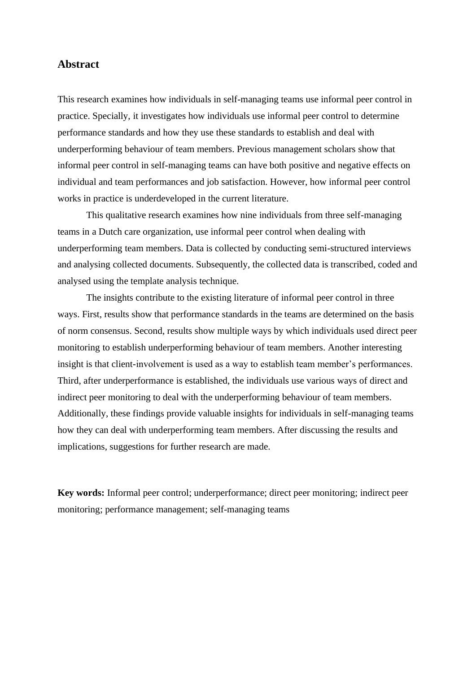# **Abstract**

This research examines how individuals in self-managing teams use informal peer control in practice. Specially, it investigates how individuals use informal peer control to determine performance standards and how they use these standards to establish and deal with underperforming behaviour of team members. Previous management scholars show that informal peer control in self-managing teams can have both positive and negative effects on individual and team performances and job satisfaction. However, how informal peer control works in practice is underdeveloped in the current literature.

This qualitative research examines how nine individuals from three self-managing teams in a Dutch care organization, use informal peer control when dealing with underperforming team members. Data is collected by conducting semi-structured interviews and analysing collected documents. Subsequently, the collected data is transcribed, coded and analysed using the template analysis technique.

The insights contribute to the existing literature of informal peer control in three ways. First, results show that performance standards in the teams are determined on the basis of norm consensus. Second, results show multiple ways by which individuals used direct peer monitoring to establish underperforming behaviour of team members. Another interesting insight is that client-involvement is used as a way to establish team member's performances. Third, after underperformance is established, the individuals use various ways of direct and indirect peer monitoring to deal with the underperforming behaviour of team members. Additionally, these findings provide valuable insights for individuals in self-managing teams how they can deal with underperforming team members. After discussing the results and implications, suggestions for further research are made.

**Key words:** Informal peer control; underperformance; direct peer monitoring; indirect peer monitoring; performance management; self-managing teams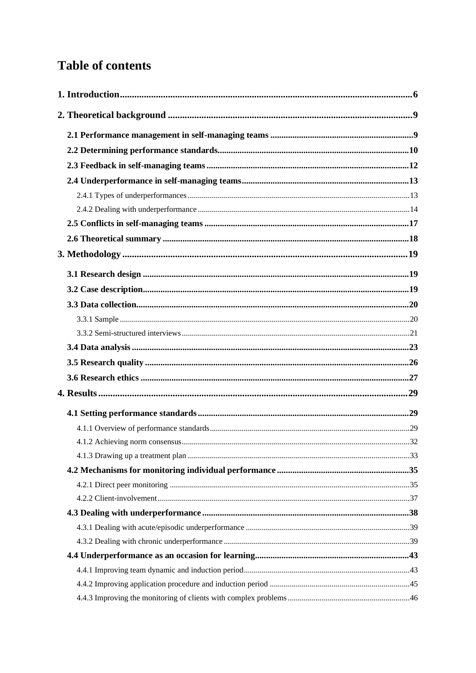# **Table of contents**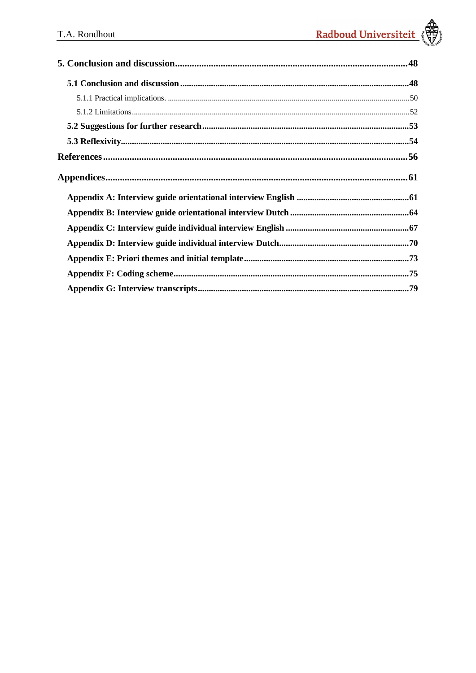| ${\large \bf Appendix 61}$ |  |
|----------------------------|--|
|                            |  |
|                            |  |
|                            |  |
|                            |  |
|                            |  |
|                            |  |
|                            |  |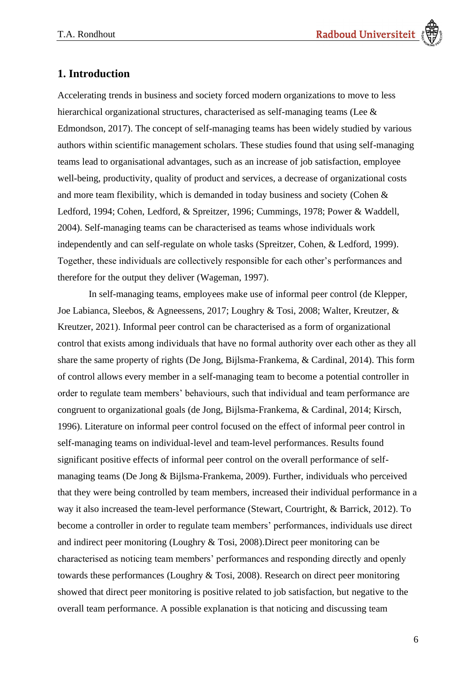# <span id="page-5-0"></span>**1. Introduction**

Accelerating trends in business and society forced modern organizations to move to less hierarchical organizational structures, characterised as self-managing teams (Lee & Edmondson, 2017). The concept of self-managing teams has been widely studied by various authors within scientific management scholars. These studies found that using self-managing teams lead to organisational advantages, such as an increase of job satisfaction, employee well-being, productivity, quality of product and services, a decrease of organizational costs and more team flexibility, which is demanded in today business and society (Cohen & Ledford, 1994; Cohen, Ledford, & Spreitzer, 1996; Cummings, 1978; Power & Waddell, 2004). Self-managing teams can be characterised as teams whose individuals work independently and can self-regulate on whole tasks (Spreitzer, Cohen, & Ledford, 1999). Together, these individuals are collectively responsible for each other's performances and therefore for the output they deliver (Wageman, 1997).

In self-managing teams, employees make use of informal peer control (de Klepper, Joe Labianca, Sleebos, & Agneessens, 2017; Loughry & Tosi, 2008; Walter, Kreutzer, & Kreutzer, 2021). Informal peer control can be characterised as a form of organizational control that exists among individuals that have no formal authority over each other as they all share the same property of rights (De Jong, Bijlsma-Frankema, & Cardinal, 2014). This form of control allows every member in a self-managing team to become a potential controller in order to regulate team members' behaviours, such that individual and team performance are congruent to organizational goals (de Jong, Bijlsma-Frankema, & Cardinal, 2014; Kirsch, 1996). Literature on informal peer control focused on the effect of informal peer control in self-managing teams on individual-level and team-level performances. Results found significant positive effects of informal peer control on the overall performance of selfmanaging teams (De Jong & Bijlsma-Frankema, 2009). Further, individuals who perceived that they were being controlled by team members, increased their individual performance in a way it also increased the team-level performance (Stewart, Courtright, & Barrick, 2012). To become a controller in order to regulate team members' performances, individuals use direct and indirect peer monitoring (Loughry & Tosi, 2008).Direct peer monitoring can be characterised as noticing team members' performances and responding directly and openly towards these performances (Loughry & Tosi, 2008). Research on direct peer monitoring showed that direct peer monitoring is positive related to job satisfaction, but negative to the overall team performance. A possible explanation is that noticing and discussing team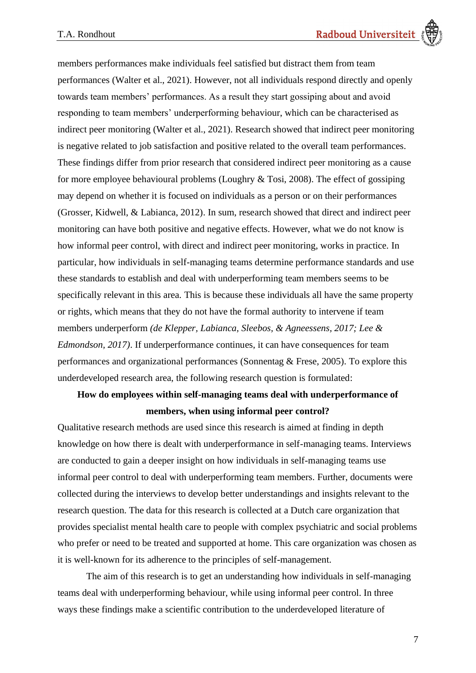members performances make individuals feel satisfied but distract them from team performances (Walter et al., 2021). However, not all individuals respond directly and openly towards team members' performances. As a result they start gossiping about and avoid responding to team members' underperforming behaviour, which can be characterised as indirect peer monitoring (Walter et al., 2021). Research showed that indirect peer monitoring is negative related to job satisfaction and positive related to the overall team performances. These findings differ from prior research that considered indirect peer monitoring as a cause for more employee behavioural problems (Loughry & Tosi, 2008). The effect of gossiping may depend on whether it is focused on individuals as a person or on their performances (Grosser, Kidwell, & Labianca, 2012). In sum, research showed that direct and indirect peer monitoring can have both positive and negative effects. However, what we do not know is how informal peer control, with direct and indirect peer monitoring, works in practice. In particular, how individuals in self-managing teams determine performance standards and use these standards to establish and deal with underperforming team members seems to be specifically relevant in this area. This is because these individuals all have the same property or rights, which means that they do not have the formal authority to intervene if team members underperform *(de Klepper, Labianca, Sleebos, & Agneessens, 2017; Lee & Edmondson, 2017)*. If underperformance continues, it can have consequences for team performances and organizational performances (Sonnentag & Frese, 2005). To explore this underdeveloped research area, the following research question is formulated:

# **How do employees within self-managing teams deal with underperformance of members, when using informal peer control?**

Qualitative research methods are used since this research is aimed at finding in depth knowledge on how there is dealt with underperformance in self-managing teams. Interviews are conducted to gain a deeper insight on how individuals in self-managing teams use informal peer control to deal with underperforming team members. Further, documents were collected during the interviews to develop better understandings and insights relevant to the research question. The data for this research is collected at a Dutch care organization that provides specialist mental health care to people with complex psychiatric and social problems who prefer or need to be treated and supported at home. This care organization was chosen as it is well-known for its adherence to the principles of self-management.

The aim of this research is to get an understanding how individuals in self-managing teams deal with underperforming behaviour, while using informal peer control. In three ways these findings make a scientific contribution to the underdeveloped literature of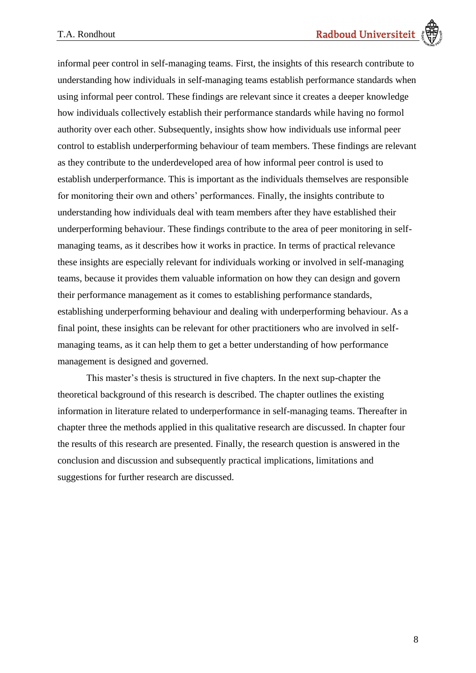informal peer control in self-managing teams. First, the insights of this research contribute to understanding how individuals in self-managing teams establish performance standards when using informal peer control. These findings are relevant since it creates a deeper knowledge how individuals collectively establish their performance standards while having no formol authority over each other. Subsequently, insights show how individuals use informal peer control to establish underperforming behaviour of team members. These findings are relevant as they contribute to the underdeveloped area of how informal peer control is used to establish underperformance. This is important as the individuals themselves are responsible for monitoring their own and others' performances. Finally, the insights contribute to understanding how individuals deal with team members after they have established their underperforming behaviour. These findings contribute to the area of peer monitoring in selfmanaging teams, as it describes how it works in practice. In terms of practical relevance these insights are especially relevant for individuals working or involved in self-managing teams, because it provides them valuable information on how they can design and govern their performance management as it comes to establishing performance standards, establishing underperforming behaviour and dealing with underperforming behaviour. As a final point, these insights can be relevant for other practitioners who are involved in selfmanaging teams, as it can help them to get a better understanding of how performance management is designed and governed.

This master's thesis is structured in five chapters. In the next sup-chapter the theoretical background of this research is described. The chapter outlines the existing information in literature related to underperformance in self-managing teams. Thereafter in chapter three the methods applied in this qualitative research are discussed. In chapter four the results of this research are presented. Finally, the research question is answered in the conclusion and discussion and subsequently practical implications, limitations and suggestions for further research are discussed.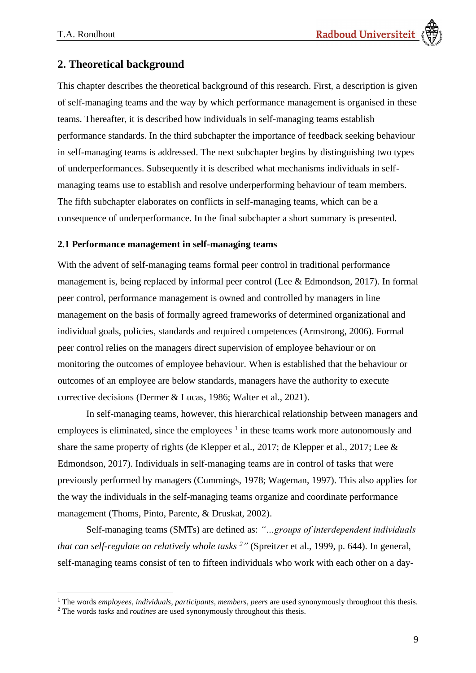# <span id="page-8-0"></span>**2. Theoretical background**

This chapter describes the theoretical background of this research. First, a description is given of self-managing teams and the way by which performance management is organised in these teams. Thereafter, it is described how individuals in self-managing teams establish performance standards. In the third subchapter the importance of feedback seeking behaviour in self-managing teams is addressed. The next subchapter begins by distinguishing two types of underperformances. Subsequently it is described what mechanisms individuals in selfmanaging teams use to establish and resolve underperforming behaviour of team members. The fifth subchapter elaborates on conflicts in self-managing teams, which can be a consequence of underperformance. In the final subchapter a short summary is presented.

## <span id="page-8-1"></span>**2.1 Performance management in self-managing teams**

With the advent of self-managing teams formal peer control in traditional performance management is, being replaced by informal peer control (Lee & Edmondson, 2017). In formal peer control, performance management is owned and controlled by managers in line management on the basis of formally agreed frameworks of determined organizational and individual goals, policies, standards and required competences (Armstrong, 2006). Formal peer control relies on the managers direct supervision of employee behaviour or on monitoring the outcomes of employee behaviour. When is established that the behaviour or outcomes of an employee are below standards, managers have the authority to execute corrective decisions (Dermer & Lucas, 1986; Walter et al., 2021).

In self-managing teams, however, this hierarchical relationship between managers and employees is eliminated, since the employees  $1$  in these teams work more autonomously and share the same property of rights (de Klepper et al., 2017; de Klepper et al., 2017; Lee & Edmondson, 2017). Individuals in self-managing teams are in control of tasks that were previously performed by managers (Cummings, 1978; Wageman, 1997). This also applies for the way the individuals in the self-managing teams organize and coordinate performance management (Thoms, Pinto, Parente, & Druskat, 2002).

Self-managing teams (SMTs) are defined as: *"…groups of interdependent individuals that can self-regulate on relatively whole tasks <sup>2</sup>"* (Spreitzer et al., 1999, p. 644)*.* In general, self-managing teams consist of ten to fifteen individuals who work with each other on a day-

<sup>1</sup> The words *employees*, *individuals*, *participants*, *members*, *peers* are used synonymously throughout this thesis.

<sup>2</sup> The words *tasks* and *routines* are used synonymously throughout this thesis.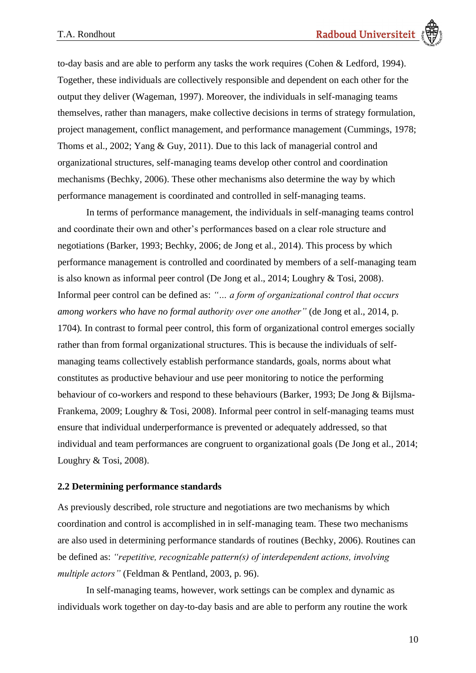to-day basis and are able to perform any tasks the work requires (Cohen & Ledford, 1994). Together, these individuals are collectively responsible and dependent on each other for the output they deliver (Wageman, 1997). Moreover, the individuals in self-managing teams themselves, rather than managers, make collective decisions in terms of strategy formulation, project management, conflict management, and performance management (Cummings, 1978; Thoms et al., 2002; Yang & Guy, 2011). Due to this lack of managerial control and organizational structures, self-managing teams develop other control and coordination mechanisms (Bechky, 2006). These other mechanisms also determine the way by which performance management is coordinated and controlled in self-managing teams.

In terms of performance management, the individuals in self-managing teams control and coordinate their own and other's performances based on a clear role structure and negotiations (Barker, 1993; Bechky, 2006; de Jong et al., 2014). This process by which performance management is controlled and coordinated by members of a self-managing team is also known as informal peer control (De Jong et al., 2014; Loughry & Tosi, 2008). Informal peer control can be defined as: *"… a form of organizational control that occurs among workers who have no formal authority over one another"* (de Jong et al., 2014, p. 1704)*.* In contrast to formal peer control, this form of organizational control emerges socially rather than from formal organizational structures. This is because the individuals of selfmanaging teams collectively establish performance standards, goals, norms about what constitutes as productive behaviour and use peer monitoring to notice the performing behaviour of co-workers and respond to these behaviours (Barker, 1993; De Jong & Bijlsma-Frankema, 2009; Loughry & Tosi, 2008). Informal peer control in self-managing teams must ensure that individual underperformance is prevented or adequately addressed, so that individual and team performances are congruent to organizational goals (De Jong et al., 2014; Loughry & Tosi, 2008).

## <span id="page-9-0"></span>**2.2 Determining performance standards**

As previously described, role structure and negotiations are two mechanisms by which coordination and control is accomplished in in self-managing team. These two mechanisms are also used in determining performance standards of routines (Bechky, 2006). Routines can be defined as: *"repetitive, recognizable pattern(s) of interdependent actions, involving multiple actors"* (Feldman & Pentland, 2003, p. 96).

In self-managing teams, however, work settings can be complex and dynamic as individuals work together on day-to-day basis and are able to perform any routine the work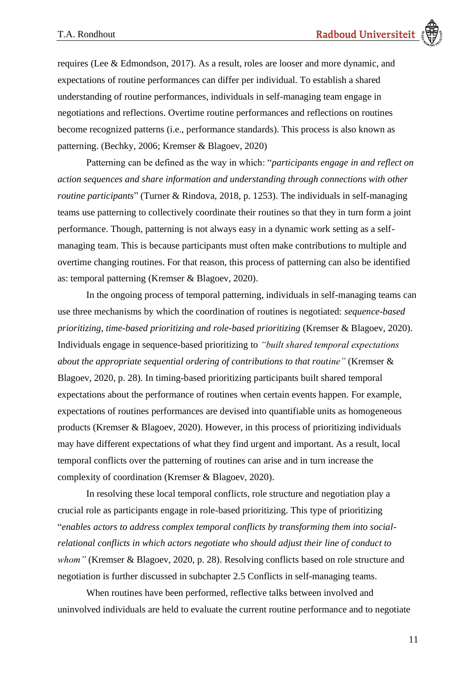requires (Lee & Edmondson, 2017). As a result, roles are looser and more dynamic, and expectations of routine performances can differ per individual. To establish a shared understanding of routine performances, individuals in self-managing team engage in negotiations and reflections. Overtime routine performances and reflections on routines become recognized patterns (i.e., performance standards). This process is also known as patterning. (Bechky, 2006; Kremser & Blagoev, 2020)

Patterning can be defined as the way in which: "*participants engage in and reflect on action sequences and share information and understanding through connections with other routine participants*" (Turner & Rindova, 2018, p. 1253). The individuals in self-managing teams use patterning to collectively coordinate their routines so that they in turn form a joint performance. Though, patterning is not always easy in a dynamic work setting as a selfmanaging team. This is because participants must often make contributions to multiple and overtime changing routines. For that reason, this process of patterning can also be identified as: temporal patterning (Kremser & Blagoev, 2020).

In the ongoing process of temporal patterning, individuals in self-managing teams can use three mechanisms by which the coordination of routines is negotiated: *sequence-based prioritizing, time-based prioritizing and role-based prioritizing* (Kremser & Blagoev, 2020). Individuals engage in sequence-based prioritizing to *"built shared temporal expectations about the appropriate sequential ordering of contributions to that routine"* (Kremser & Blagoev, 2020, p. 28). In timing-based prioritizing participants built shared temporal expectations about the performance of routines when certain events happen. For example, expectations of routines performances are devised into quantifiable units as homogeneous products (Kremser & Blagoev, 2020). However, in this process of prioritizing individuals may have different expectations of what they find urgent and important. As a result, local temporal conflicts over the patterning of routines can arise and in turn increase the complexity of coordination (Kremser & Blagoev, 2020).

In resolving these local temporal conflicts, role structure and negotiation play a crucial role as participants engage in role-based prioritizing. This type of prioritizing "*enables actors to address complex temporal conflicts by transforming them into socialrelational conflicts in which actors negotiate who should adjust their line of conduct to whom"* (Kremser & Blagoev, 2020, p. 28). Resolving conflicts based on role structure and negotiation is further discussed in subchapter [2.5 Conflicts in self-managing teams.](#page-16-0)

When routines have been performed, reflective talks between involved and uninvolved individuals are held to evaluate the current routine performance and to negotiate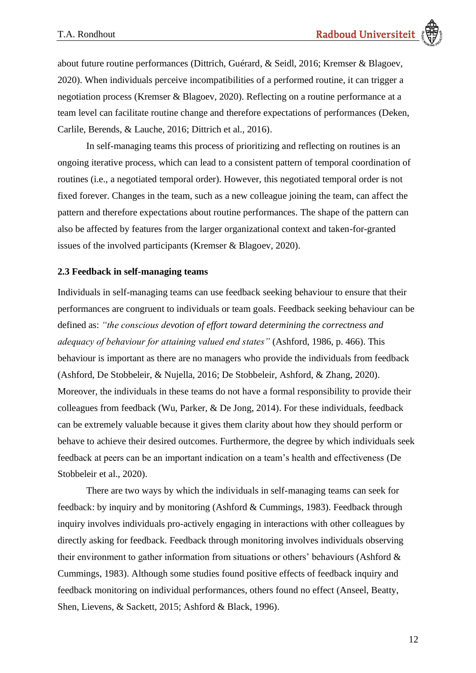about future routine performances (Dittrich, Guérard, & Seidl, 2016; Kremser & Blagoev, 2020). When individuals perceive incompatibilities of a performed routine, it can trigger a negotiation process (Kremser & Blagoev, 2020). Reflecting on a routine performance at a team level can facilitate routine change and therefore expectations of performances (Deken, Carlile, Berends, & Lauche, 2016; Dittrich et al., 2016).

In self-managing teams this process of prioritizing and reflecting on routines is an ongoing iterative process, which can lead to a consistent pattern of temporal coordination of routines (i.e., a negotiated temporal order). However, this negotiated temporal order is not fixed forever. Changes in the team, such as a new colleague joining the team, can affect the pattern and therefore expectations about routine performances. The shape of the pattern can also be affected by features from the larger organizational context and taken-for-granted issues of the involved participants (Kremser & Blagoev, 2020).

### <span id="page-11-0"></span>**2.3 Feedback in self-managing teams**

Individuals in self-managing teams can use feedback seeking behaviour to ensure that their performances are congruent to individuals or team goals. Feedback seeking behaviour can be defined as: *"the conscious devotion of effort toward determining the correctness and adequacy of behaviour for attaining valued end states"* (Ashford, 1986, p. 466). This behaviour is important as there are no managers who provide the individuals from feedback (Ashford, De Stobbeleir, & Nujella, 2016; De Stobbeleir, Ashford, & Zhang, 2020). Moreover, the individuals in these teams do not have a formal responsibility to provide their colleagues from feedback (Wu, Parker, & De Jong, 2014). For these individuals, feedback can be extremely valuable because it gives them clarity about how they should perform or behave to achieve their desired outcomes. Furthermore, the degree by which individuals seek feedback at peers can be an important indication on a team's health and effectiveness (De Stobbeleir et al., 2020).

There are two ways by which the individuals in self-managing teams can seek for feedback: by inquiry and by monitoring (Ashford & Cummings, 1983). Feedback through inquiry involves individuals pro-actively engaging in interactions with other colleagues by directly asking for feedback. Feedback through monitoring involves individuals observing their environment to gather information from situations or others' behaviours (Ashford & Cummings, 1983). Although some studies found positive effects of feedback inquiry and feedback monitoring on individual performances, others found no effect (Anseel, Beatty, Shen, Lievens, & Sackett, 2015; Ashford & Black, 1996).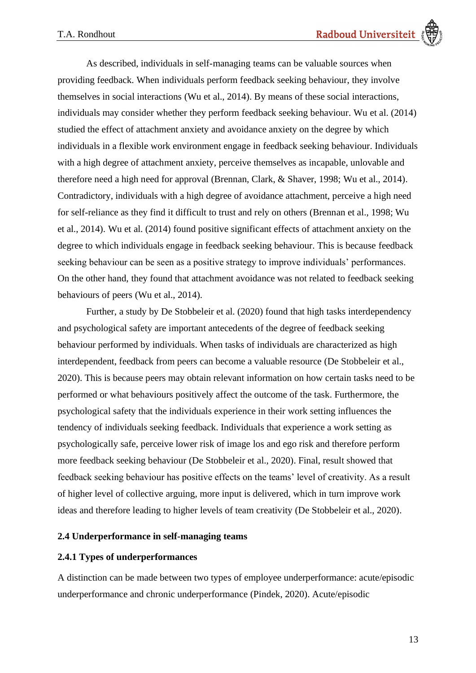As described, individuals in self-managing teams can be valuable sources when providing feedback. When individuals perform feedback seeking behaviour, they involve themselves in social interactions (Wu et al., 2014). By means of these social interactions, individuals may consider whether they perform feedback seeking behaviour. Wu et al. (2014) studied the effect of attachment anxiety and avoidance anxiety on the degree by which individuals in a flexible work environment engage in feedback seeking behaviour. Individuals with a high degree of attachment anxiety, perceive themselves as incapable, unlovable and therefore need a high need for approval (Brennan, Clark, & Shaver, 1998; Wu et al., 2014). Contradictory, individuals with a high degree of avoidance attachment, perceive a high need for self-reliance as they find it difficult to trust and rely on others (Brennan et al., 1998; Wu et al., 2014). Wu et al. (2014) found positive significant effects of attachment anxiety on the degree to which individuals engage in feedback seeking behaviour. This is because feedback seeking behaviour can be seen as a positive strategy to improve individuals' performances. On the other hand, they found that attachment avoidance was not related to feedback seeking behaviours of peers (Wu et al., 2014).

Further, a study by De Stobbeleir et al. (2020) found that high tasks interdependency and psychological safety are important antecedents of the degree of feedback seeking behaviour performed by individuals. When tasks of individuals are characterized as high interdependent, feedback from peers can become a valuable resource (De Stobbeleir et al., 2020). This is because peers may obtain relevant information on how certain tasks need to be performed or what behaviours positively affect the outcome of the task. Furthermore, the psychological safety that the individuals experience in their work setting influences the tendency of individuals seeking feedback. Individuals that experience a work setting as psychologically safe, perceive lower risk of image los and ego risk and therefore perform more feedback seeking behaviour (De Stobbeleir et al., 2020). Final, result showed that feedback seeking behaviour has positive effects on the teams' level of creativity. As a result of higher level of collective arguing, more input is delivered, which in turn improve work ideas and therefore leading to higher levels of team creativity (De Stobbeleir et al., 2020).

# <span id="page-12-0"></span>**2.4 Underperformance in self-managing teams**

# <span id="page-12-1"></span>**2.4.1 Types of underperformances**

A distinction can be made between two types of employee underperformance: acute/episodic underperformance and chronic underperformance (Pindek, 2020). Acute/episodic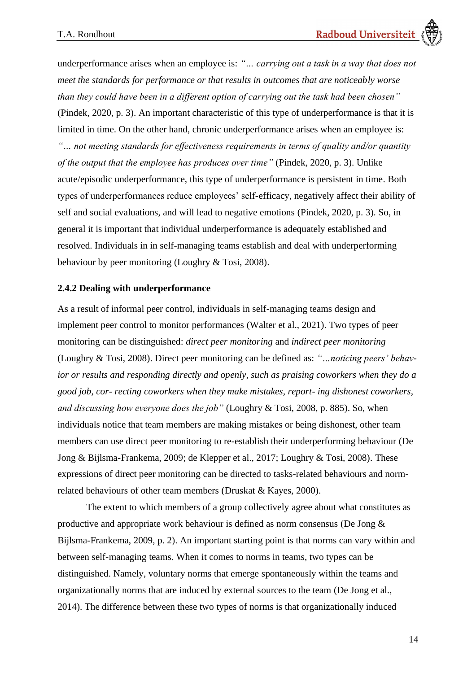underperformance arises when an employee is: *"… carrying out a task in a way that does not meet the standards for performance or that results in outcomes that are noticeably worse than they could have been in a different option of carrying out the task had been chosen"* (Pindek, 2020, p. 3). An important characteristic of this type of underperformance is that it is limited in time. On the other hand, chronic underperformance arises when an employee is: *"… not meeting standards for effectiveness requirements in terms of quality and/or quantity of the output that the employee has produces over time"* (Pindek, 2020, p. 3). Unlike acute/episodic underperformance, this type of underperformance is persistent in time. Both types of underperformances reduce employees' self-efficacy, negatively affect their ability of self and social evaluations, and will lead to negative emotions (Pindek, 2020, p. 3). So, in general it is important that individual underperformance is adequately established and resolved. Individuals in in self-managing teams establish and deal with underperforming behaviour by peer monitoring (Loughry & Tosi, 2008).

### <span id="page-13-0"></span>**2.4.2 Dealing with underperformance**

As a result of informal peer control, individuals in self-managing teams design and implement peer control to monitor performances (Walter et al., 2021). Two types of peer monitoring can be distinguished: *direct peer monitoring* and *indirect peer monitoring*  (Loughry & Tosi, 2008). Direct peer monitoring can be defined as: *"…noticing peers' behavior or results and responding directly and openly, such as praising coworkers when they do a good job, cor- recting coworkers when they make mistakes, report- ing dishonest coworkers, and discussing how everyone does the job"* (Loughry & Tosi, 2008, p. 885). So, when individuals notice that team members are making mistakes or being dishonest, other team members can use direct peer monitoring to re-establish their underperforming behaviour (De Jong & Bijlsma-Frankema, 2009; de Klepper et al., 2017; Loughry & Tosi, 2008). These expressions of direct peer monitoring can be directed to tasks-related behaviours and normrelated behaviours of other team members (Druskat & Kayes, 2000).

The extent to which members of a group collectively agree about what constitutes as productive and appropriate work behaviour is defined as norm consensus (De Jong & Bijlsma-Frankema, 2009, p. 2). An important starting point is that norms can vary within and between self-managing teams. When it comes to norms in teams, two types can be distinguished. Namely, voluntary norms that emerge spontaneously within the teams and organizationally norms that are induced by external sources to the team (De Jong et al., 2014). The difference between these two types of norms is that organizationally induced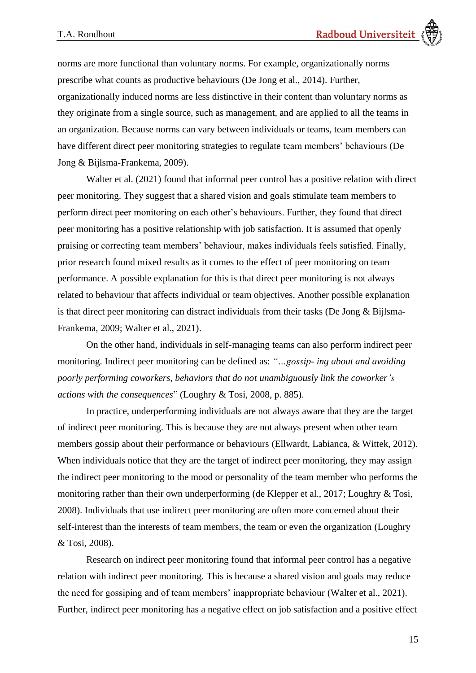norms are more functional than voluntary norms. For example, organizationally norms prescribe what counts as productive behaviours (De Jong et al., 2014). Further, organizationally induced norms are less distinctive in their content than voluntary norms as they originate from a single source, such as management, and are applied to all the teams in an organization. Because norms can vary between individuals or teams, team members can have different direct peer monitoring strategies to regulate team members' behaviours (De Jong & Bijlsma-Frankema, 2009).

Walter et al. (2021) found that informal peer control has a positive relation with direct peer monitoring. They suggest that a shared vision and goals stimulate team members to perform direct peer monitoring on each other's behaviours. Further, they found that direct peer monitoring has a positive relationship with job satisfaction. It is assumed that openly praising or correcting team members' behaviour, makes individuals feels satisfied. Finally, prior research found mixed results as it comes to the effect of peer monitoring on team performance. A possible explanation for this is that direct peer monitoring is not always related to behaviour that affects individual or team objectives. Another possible explanation is that direct peer monitoring can distract individuals from their tasks (De Jong & Bijlsma-Frankema, 2009; Walter et al., 2021).

On the other hand, individuals in self-managing teams can also perform indirect peer monitoring. Indirect peer monitoring can be defined as: *"…gossip- ing about and avoiding poorly performing coworkers, behaviors that do not unambiguously link the coworker's actions with the consequences*" (Loughry & Tosi, 2008, p. 885).

In practice, underperforming individuals are not always aware that they are the target of indirect peer monitoring. This is because they are not always present when other team members gossip about their performance or behaviours (Ellwardt, Labianca, & Wittek, 2012). When individuals notice that they are the target of indirect peer monitoring, they may assign the indirect peer monitoring to the mood or personality of the team member who performs the monitoring rather than their own underperforming (de Klepper et al., 2017; Loughry & Tosi, 2008). Individuals that use indirect peer monitoring are often more concerned about their self-interest than the interests of team members, the team or even the organization (Loughry & Tosi, 2008).

Research on indirect peer monitoring found that informal peer control has a negative relation with indirect peer monitoring. This is because a shared vision and goals may reduce the need for gossiping and of team members' inappropriate behaviour (Walter et al., 2021). Further, indirect peer monitoring has a negative effect on job satisfaction and a positive effect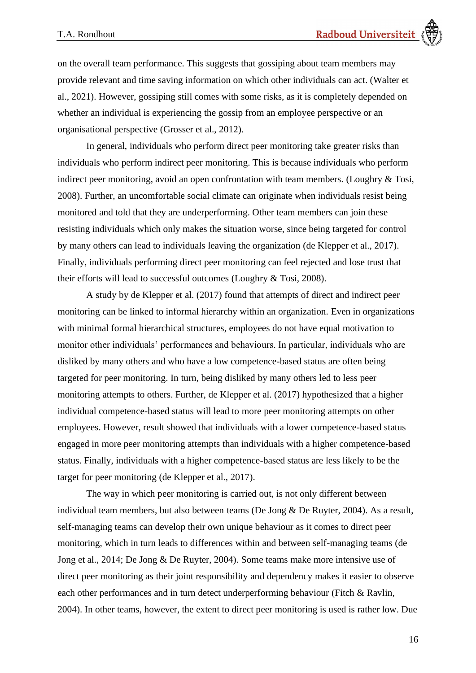on the overall team performance. This suggests that gossiping about team members may provide relevant and time saving information on which other individuals can act. (Walter et al., 2021). However, gossiping still comes with some risks, as it is completely depended on whether an individual is experiencing the gossip from an employee perspective or an organisational perspective (Grosser et al., 2012).

In general, individuals who perform direct peer monitoring take greater risks than individuals who perform indirect peer monitoring. This is because individuals who perform indirect peer monitoring, avoid an open confrontation with team members. (Loughry & Tosi, 2008). Further, an uncomfortable social climate can originate when individuals resist being monitored and told that they are underperforming. Other team members can join these resisting individuals which only makes the situation worse, since being targeted for control by many others can lead to individuals leaving the organization (de Klepper et al., 2017). Finally, individuals performing direct peer monitoring can feel rejected and lose trust that their efforts will lead to successful outcomes (Loughry & Tosi, 2008).

A study by de Klepper et al. (2017) found that attempts of direct and indirect peer monitoring can be linked to informal hierarchy within an organization. Even in organizations with minimal formal hierarchical structures, employees do not have equal motivation to monitor other individuals' performances and behaviours. In particular, individuals who are disliked by many others and who have a low competence-based status are often being targeted for peer monitoring. In turn, being disliked by many others led to less peer monitoring attempts to others. Further, de Klepper et al. (2017) hypothesized that a higher individual competence-based status will lead to more peer monitoring attempts on other employees. However, result showed that individuals with a lower competence-based status engaged in more peer monitoring attempts than individuals with a higher competence-based status. Finally, individuals with a higher competence-based status are less likely to be the target for peer monitoring (de Klepper et al., 2017).

The way in which peer monitoring is carried out, is not only different between individual team members, but also between teams (De Jong & De Ruyter, 2004). As a result, self-managing teams can develop their own unique behaviour as it comes to direct peer monitoring, which in turn leads to differences within and between self-managing teams (de Jong et al., 2014; De Jong & De Ruyter, 2004). Some teams make more intensive use of direct peer monitoring as their joint responsibility and dependency makes it easier to observe each other performances and in turn detect underperforming behaviour (Fitch & Ravlin, 2004). In other teams, however, the extent to direct peer monitoring is used is rather low. Due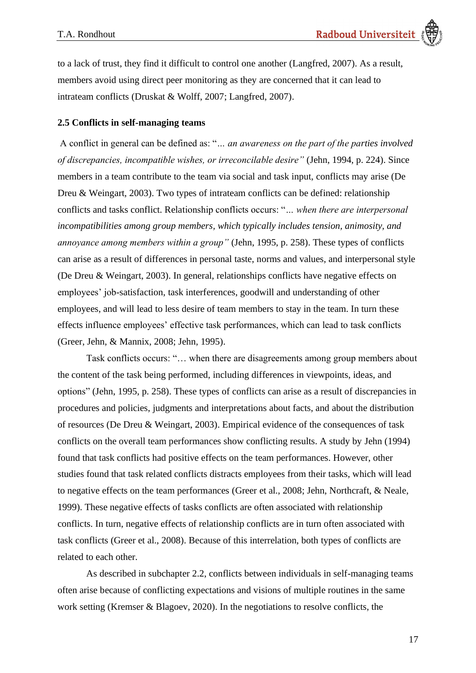to a lack of trust, they find it difficult to control one another (Langfred, 2007). As a result, members avoid using direct peer monitoring as they are concerned that it can lead to intrateam conflicts (Druskat & Wolff, 2007; Langfred, 2007).

### <span id="page-16-0"></span>**2.5 Conflicts in self-managing teams**

A conflict in general can be defined as: "*… an awareness on the part of the parties involved of discrepancies, incompatible wishes, or irreconcilable desire"* (Jehn, 1994, p. 224). Since members in a team contribute to the team via social and task input, conflicts may arise (De Dreu & Weingart, 2003). Two types of intrateam conflicts can be defined: relationship conflicts and tasks conflict. Relationship conflicts occurs: "*… when there are interpersonal incompatibilities among group members, which typically includes tension, animosity, and annoyance among members within a group"* (Jehn, 1995, p. 258). These types of conflicts can arise as a result of differences in personal taste, norms and values, and interpersonal style (De Dreu & Weingart, 2003). In general, relationships conflicts have negative effects on employees' job-satisfaction, task interferences, goodwill and understanding of other employees, and will lead to less desire of team members to stay in the team. In turn these effects influence employees' effective task performances, which can lead to task conflicts (Greer, Jehn, & Mannix, 2008; Jehn, 1995).

Task conflicts occurs: "… when there are disagreements among group members about the content of the task being performed, including differences in viewpoints, ideas, and options" (Jehn, 1995, p. 258). These types of conflicts can arise as a result of discrepancies in procedures and policies, judgments and interpretations about facts, and about the distribution of resources (De Dreu & Weingart, 2003). Empirical evidence of the consequences of task conflicts on the overall team performances show conflicting results. A study by Jehn (1994) found that task conflicts had positive effects on the team performances. However, other studies found that task related conflicts distracts employees from their tasks, which will lead to negative effects on the team performances (Greer et al., 2008; Jehn, Northcraft, & Neale, 1999). These negative effects of tasks conflicts are often associated with relationship conflicts. In turn, negative effects of relationship conflicts are in turn often associated with task conflicts (Greer et al., 2008). Because of this interrelation, both types of conflicts are related to each other.

As described in subchapter 2.2, conflicts between individuals in self-managing teams often arise because of conflicting expectations and visions of multiple routines in the same work setting (Kremser & Blagoev, 2020). In the negotiations to resolve conflicts, the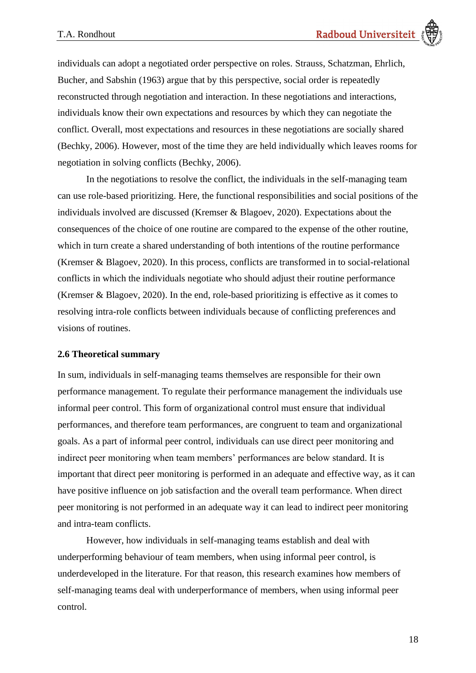individuals can adopt a negotiated order perspective on roles. Strauss, Schatzman, Ehrlich, Bucher, and Sabshin (1963) argue that by this perspective, social order is repeatedly reconstructed through negotiation and interaction. In these negotiations and interactions, individuals know their own expectations and resources by which they can negotiate the conflict. Overall, most expectations and resources in these negotiations are socially shared (Bechky, 2006). However, most of the time they are held individually which leaves rooms for negotiation in solving conflicts (Bechky, 2006).

In the negotiations to resolve the conflict, the individuals in the self-managing team can use role-based prioritizing. Here, the functional responsibilities and social positions of the individuals involved are discussed (Kremser & Blagoev, 2020). Expectations about the consequences of the choice of one routine are compared to the expense of the other routine, which in turn create a shared understanding of both intentions of the routine performance (Kremser & Blagoev, 2020). In this process, conflicts are transformed in to social-relational conflicts in which the individuals negotiate who should adjust their routine performance (Kremser & Blagoev, 2020). In the end, role-based prioritizing is effective as it comes to resolving intra-role conflicts between individuals because of conflicting preferences and visions of routines.

## <span id="page-17-0"></span>**2.6 Theoretical summary**

In sum, individuals in self-managing teams themselves are responsible for their own performance management. To regulate their performance management the individuals use informal peer control. This form of organizational control must ensure that individual performances, and therefore team performances, are congruent to team and organizational goals. As a part of informal peer control, individuals can use direct peer monitoring and indirect peer monitoring when team members' performances are below standard. It is important that direct peer monitoring is performed in an adequate and effective way, as it can have positive influence on job satisfaction and the overall team performance. When direct peer monitoring is not performed in an adequate way it can lead to indirect peer monitoring and intra-team conflicts.

However, how individuals in self-managing teams establish and deal with underperforming behaviour of team members, when using informal peer control, is underdeveloped in the literature. For that reason, this research examines how members of self-managing teams deal with underperformance of members, when using informal peer control.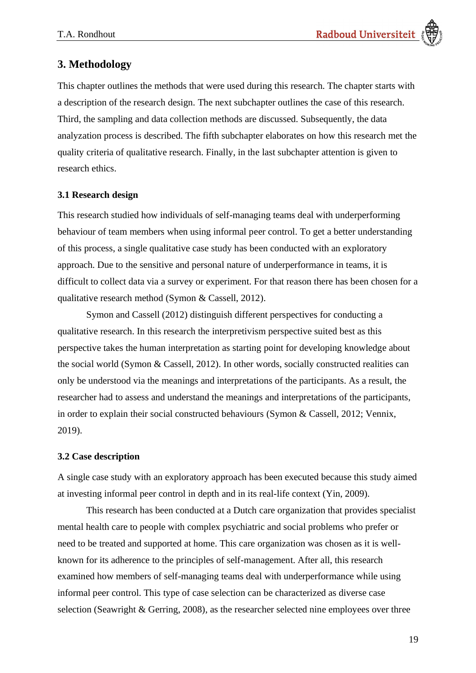# <span id="page-18-0"></span>**3. Methodology**

This chapter outlines the methods that were used during this research. The chapter starts with a description of the research design. The next subchapter outlines the case of this research. Third, the sampling and data collection methods are discussed. Subsequently, the data analyzation process is described. The fifth subchapter elaborates on how this research met the quality criteria of qualitative research. Finally, in the last subchapter attention is given to research ethics.

# <span id="page-18-1"></span>**3.1 Research design**

This research studied how individuals of self-managing teams deal with underperforming behaviour of team members when using informal peer control. To get a better understanding of this process, a single qualitative case study has been conducted with an exploratory approach. Due to the sensitive and personal nature of underperformance in teams, it is difficult to collect data via a survey or experiment. For that reason there has been chosen for a qualitative research method (Symon & Cassell, 2012).

Symon and Cassell (2012) distinguish different perspectives for conducting a qualitative research. In this research the interpretivism perspective suited best as this perspective takes the human interpretation as starting point for developing knowledge about the social world (Symon & Cassell, 2012). In other words, socially constructed realities can only be understood via the meanings and interpretations of the participants. As a result, the researcher had to assess and understand the meanings and interpretations of the participants, in order to explain their social constructed behaviours (Symon & Cassell, 2012; Vennix, 2019).

# <span id="page-18-2"></span>**3.2 Case description**

A single case study with an exploratory approach has been executed because this study aimed at investing informal peer control in depth and in its real-life context (Yin, 2009).

This research has been conducted at a Dutch care organization that provides specialist mental health care to people with complex psychiatric and social problems who prefer or need to be treated and supported at home. This care organization was chosen as it is wellknown for its adherence to the principles of self-management. After all, this research examined how members of self-managing teams deal with underperformance while using informal peer control. This type of case selection can be characterized as diverse case selection (Seawright & Gerring, 2008), as the researcher selected nine employees over three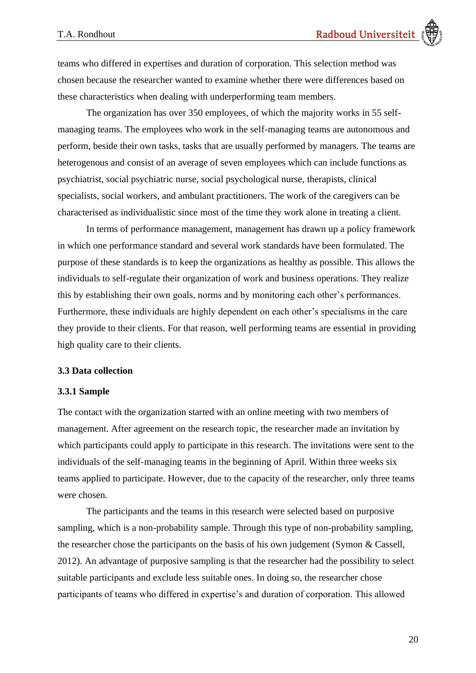teams who differed in expertises and duration of corporation. This selection method was chosen because the researcher wanted to examine whether there were differences based on these characteristics when dealing with underperforming team members.

The organization has over 350 employees, of which the majority works in 55 selfmanaging teams. The employees who work in the self-managing teams are autonomous and perform, beside their own tasks, tasks that are usually performed by managers. The teams are heterogenous and consist of an average of seven employees which can include functions as psychiatrist, social psychiatric nurse, social psychological nurse, therapists, clinical specialists, social workers, and ambulant practitioners. The work of the caregivers can be characterised as individualistic since most of the time they work alone in treating a client.

In terms of performance management, management has drawn up a policy framework in which one performance standard and several work standards have been formulated. The purpose of these standards is to keep the organizations as healthy as possible. This allows the individuals to self-regulate their organization of work and business operations. They realize this by establishing their own goals, norms and by monitoring each other's performances. Furthermore, these individuals are highly dependent on each other's specialisms in the care they provide to their clients. For that reason, well performing teams are essential in providing high quality care to their clients.

### <span id="page-19-0"></span>**3.3 Data collection**

#### <span id="page-19-1"></span>**3.3.1 Sample**

The contact with the organization started with an online meeting with two members of management. After agreement on the research topic, the researcher made an invitation by which participants could apply to participate in this research. The invitations were sent to the individuals of the self-managing teams in the beginning of April. Within three weeks six teams applied to participate. However, due to the capacity of the researcher, only three teams were chosen.

The participants and the teams in this research were selected based on purposive sampling, which is a non-probability sample. Through this type of non-probability sampling, the researcher chose the participants on the basis of his own judgement (Symon & Cassell, 2012). An advantage of purposive sampling is that the researcher had the possibility to select suitable participants and exclude less suitable ones. In doing so, the researcher chose participants of teams who differed in expertise's and duration of corporation. This allowed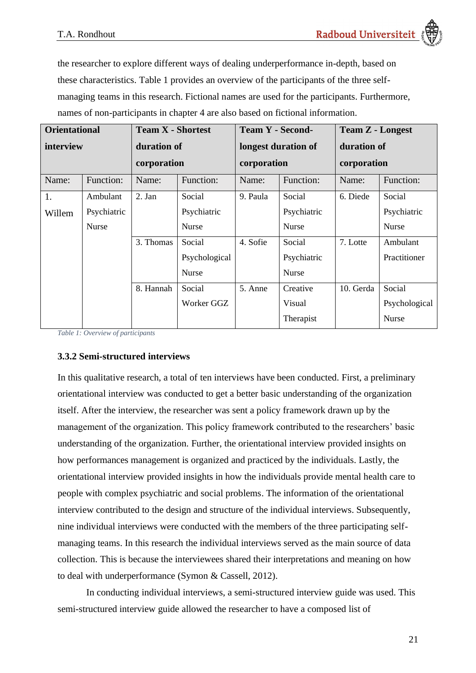the researcher to explore different ways of dealing underperformance in-depth, based on these characteristics. [Table 1](#page-20-1) provides an overview of the participants of the three selfmanaging teams in this research. Fictional names are used for the participants. Furthermore, names of non-participants in chapter 4 are also based on fictional information.

| <b>Orientational</b> |             | <b>Team X - Shortest</b> |               | <b>Team Y - Second-</b> |              | <b>Team Z - Longest</b> |               |
|----------------------|-------------|--------------------------|---------------|-------------------------|--------------|-------------------------|---------------|
| interview            |             | duration of              |               | longest duration of     |              | duration of             |               |
|                      |             | corporation              |               | corporation             |              | corporation             |               |
| Name:                | Function:   | Name:                    | Function:     | Name:                   | Function:    | Name:                   | Function:     |
| 1.                   | Ambulant    | 2. Jan                   | Social        | 9. Paula                | Social       | 6. Diede                | Social        |
| Willem               | Psychiatric |                          | Psychiatric   |                         | Psychiatric  |                         | Psychiatric   |
|                      | Nurse       |                          | Nurse         |                         | Nurse        |                         | Nurse         |
|                      |             | 3. Thomas                | Social        | 4. Sofie                | Social       | 7. Lotte                | Ambulant      |
|                      |             |                          | Psychological |                         | Psychiatric  |                         | Practitioner  |
|                      |             |                          | <b>Nurse</b>  |                         | <b>Nurse</b> |                         |               |
|                      |             | 8. Hannah                | Social        | 5. Anne                 | Creative     | 10. Gerda               | Social        |
|                      |             |                          | Worker GGZ    |                         | Visual       |                         | Psychological |
|                      |             |                          |               |                         | Therapist    |                         | Nurse         |

<span id="page-20-1"></span>*Table 1: Overview of participants*

# <span id="page-20-0"></span>**3.3.2 Semi-structured interviews**

In this qualitative research, a total of ten interviews have been conducted. First, a preliminary orientational interview was conducted to get a better basic understanding of the organization itself. After the interview, the researcher was sent a policy framework drawn up by the management of the organization. This policy framework contributed to the researchers' basic understanding of the organization. Further, the orientational interview provided insights on how performances management is organized and practiced by the individuals. Lastly, the orientational interview provided insights in how the individuals provide mental health care to people with complex psychiatric and social problems. The information of the orientational interview contributed to the design and structure of the individual interviews. Subsequently, nine individual interviews were conducted with the members of the three participating selfmanaging teams. In this research the individual interviews served as the main source of data collection. This is because the interviewees shared their interpretations and meaning on how to deal with underperformance (Symon & Cassell, 2012).

In conducting individual interviews, a semi-structured interview guide was used. This semi-structured interview guide allowed the researcher to have a composed list of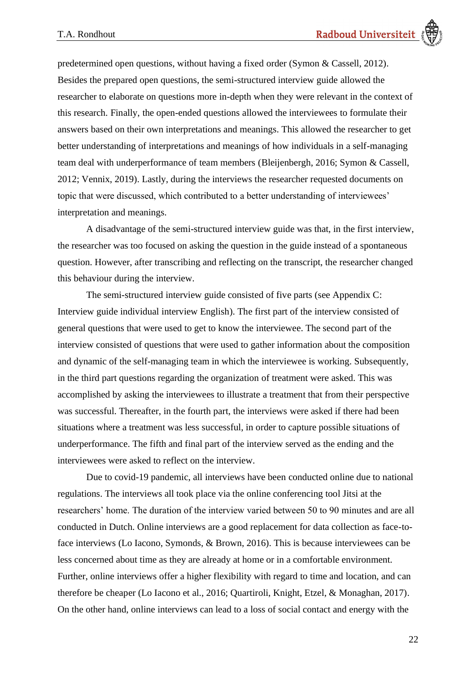predetermined open questions, without having a fixed order (Symon & Cassell, 2012). Besides the prepared open questions, the semi-structured interview guide allowed the researcher to elaborate on questions more in-depth when they were relevant in the context of this research. Finally, the open-ended questions allowed the interviewees to formulate their answers based on their own interpretations and meanings. This allowed the researcher to get better understanding of interpretations and meanings of how individuals in a self-managing team deal with underperformance of team members (Bleijenbergh, 2016; Symon & Cassell, 2012; Vennix, 2019). Lastly, during the interviews the researcher requested documents on topic that were discussed, which contributed to a better understanding of interviewees' interpretation and meanings.

A disadvantage of the semi-structured interview guide was that, in the first interview, the researcher was too focused on asking the question in the guide instead of a spontaneous question. However, after transcribing and reflecting on the transcript, the researcher changed this behaviour during the interview.

The semi-structured interview guide consisted of five parts (see [Appendix C:](#page-66-0)  [Interview guide individual interview English\)](#page-66-0). The first part of the interview consisted of general questions that were used to get to know the interviewee. The second part of the interview consisted of questions that were used to gather information about the composition and dynamic of the self-managing team in which the interviewee is working. Subsequently, in the third part questions regarding the organization of treatment were asked. This was accomplished by asking the interviewees to illustrate a treatment that from their perspective was successful. Thereafter, in the fourth part, the interviews were asked if there had been situations where a treatment was less successful, in order to capture possible situations of underperformance. The fifth and final part of the interview served as the ending and the interviewees were asked to reflect on the interview.

Due to covid-19 pandemic, all interviews have been conducted online due to national regulations. The interviews all took place via the online conferencing tool Jitsi at the researchers' home. The duration of the interview varied between 50 to 90 minutes and are all conducted in Dutch. Online interviews are a good replacement for data collection as face-toface interviews (Lo Iacono, Symonds, & Brown, 2016). This is because interviewees can be less concerned about time as they are already at home or in a comfortable environment. Further, online interviews offer a higher flexibility with regard to time and location, and can therefore be cheaper (Lo Iacono et al., 2016; Quartiroli, Knight, Etzel, & Monaghan, 2017). On the other hand, online interviews can lead to a loss of social contact and energy with the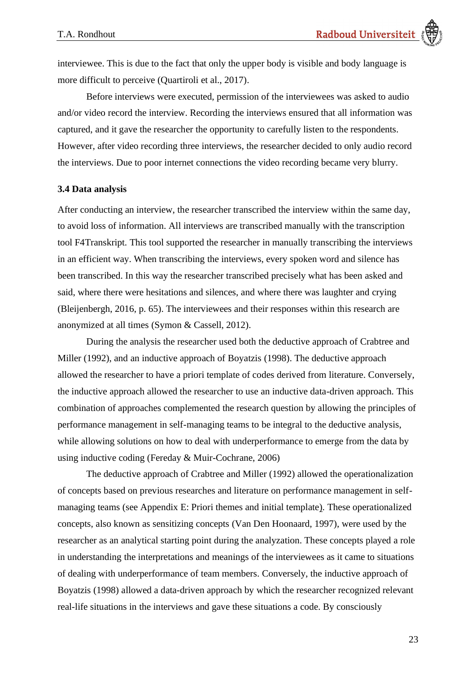interviewee. This is due to the fact that only the upper body is visible and body language is more difficult to perceive (Quartiroli et al., 2017).

Before interviews were executed, permission of the interviewees was asked to audio and/or video record the interview. Recording the interviews ensured that all information was captured, and it gave the researcher the opportunity to carefully listen to the respondents. However, after video recording three interviews, the researcher decided to only audio record the interviews. Due to poor internet connections the video recording became very blurry.

### <span id="page-22-0"></span>**3.4 Data analysis**

After conducting an interview, the researcher transcribed the interview within the same day, to avoid loss of information. All interviews are transcribed manually with the transcription tool F4Transkript. This tool supported the researcher in manually transcribing the interviews in an efficient way. When transcribing the interviews, every spoken word and silence has been transcribed. In this way the researcher transcribed precisely what has been asked and said, where there were hesitations and silences, and where there was laughter and crying (Bleijenbergh, 2016, p. 65). The interviewees and their responses within this research are anonymized at all times (Symon & Cassell, 2012).

During the analysis the researcher used both the deductive approach of Crabtree and Miller (1992), and an inductive approach of Boyatzis (1998). The deductive approach allowed the researcher to have a priori template of codes derived from literature. Conversely, the inductive approach allowed the researcher to use an inductive data-driven approach. This combination of approaches complemented the research question by allowing the principles of performance management in self-managing teams to be integral to the deductive analysis, while allowing solutions on how to deal with underperformance to emerge from the data by using inductive coding (Fereday & Muir-Cochrane, 2006)

The deductive approach of Crabtree and Miller (1992) allowed the operationalization of concepts based on previous researches and literature on performance management in selfmanaging teams (see [Appendix E: Priori themes and initial template\)](#page-72-0). These operationalized concepts, also known as sensitizing concepts (Van Den Hoonaard, 1997), were used by the researcher as an analytical starting point during the analyzation. These concepts played a role in understanding the interpretations and meanings of the interviewees as it came to situations of dealing with underperformance of team members. Conversely, the inductive approach of Boyatzis (1998) allowed a data-driven approach by which the researcher recognized relevant real-life situations in the interviews and gave these situations a code. By consciously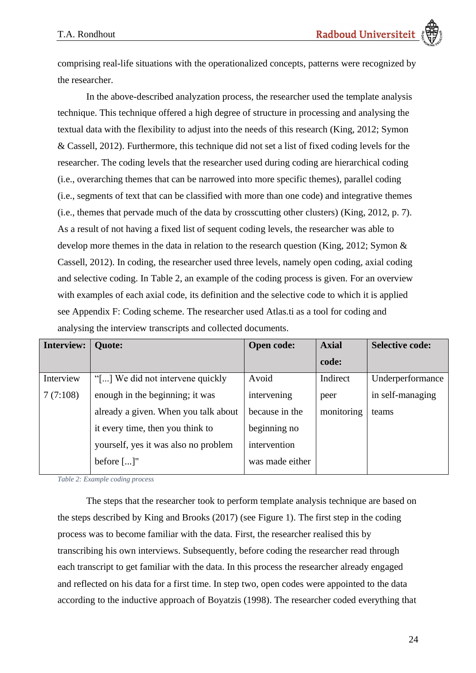comprising real-life situations with the operationalized concepts, patterns were recognized by the researcher.

In the above-described analyzation process, the researcher used the template analysis technique. This technique offered a high degree of structure in processing and analysing the textual data with the flexibility to adjust into the needs of this research (King, 2012; Symon & Cassell, 2012). Furthermore, this technique did not set a list of fixed coding levels for the researcher. The coding levels that the researcher used during coding are hierarchical coding (i.e., overarching themes that can be narrowed into more specific themes), parallel coding (i.e., segments of text that can be classified with more than one code) and integrative themes (i.e., themes that pervade much of the data by crosscutting other clusters) (King, 2012, p. 7). As a result of not having a fixed list of sequent coding levels, the researcher was able to develop more themes in the data in relation to the research question (King, 2012; Symon & Cassell, 2012). In coding, the researcher used three levels, namely open coding, axial coding and selective coding. In [Table 2,](#page-23-0) an example of the coding process is given. For an overview with examples of each axial code, its definition and the selective code to which it is applied see [Appendix F: Coding scheme.](#page-74-0) The researcher used Atlas.ti as a tool for coding and analysing the interview transcripts and collected documents.

| <b>Interview:</b> | <b>Quote:</b>                        | <b>Open code:</b> | <b>Axial</b> | <b>Selective code:</b> |
|-------------------|--------------------------------------|-------------------|--------------|------------------------|
|                   |                                      |                   | code:        |                        |
| Interview         | "[] We did not intervene quickly     | Avoid             | Indirect     | Underperformance       |
| 7(7:108)          | enough in the beginning; it was      | intervening       | peer         | in self-managing       |
|                   | already a given. When you talk about | because in the    | monitoring   | teams                  |
|                   | it every time, then you think to     | beginning no      |              |                        |
|                   | yourself, yes it was also no problem | intervention      |              |                        |
|                   | before $[]$ "                        | was made either   |              |                        |

<span id="page-23-0"></span>*Table 2: Example coding process*

The steps that the researcher took to perform template analysis technique are based on the steps described by King and Brooks (2017) (see Figure 1). The first step in the coding process was to become familiar with the data. First, the researcher realised this by transcribing his own interviews. Subsequently, before coding the researcher read through each transcript to get familiar with the data. In this process the researcher already engaged and reflected on his data for a first time. In step two, open codes were appointed to the data according to the inductive approach of Boyatzis (1998). The researcher coded everything that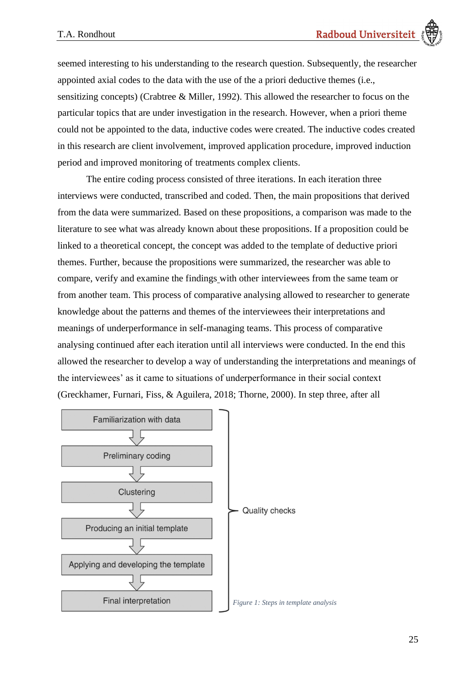seemed interesting to his understanding to the research question. Subsequently, the researcher appointed axial codes to the data with the use of the a priori deductive themes (i.e., sensitizing concepts) (Crabtree & Miller, 1992). This allowed the researcher to focus on the particular topics that are under investigation in the research. However, when a priori theme could not be appointed to the data, inductive codes were created. The inductive codes created in this research are client involvement, improved application procedure, improved induction period and improved monitoring of treatments complex clients.

The entire coding process consisted of three iterations. In each iteration three interviews were conducted, transcribed and coded. Then, the main propositions that derived from the data were summarized. Based on these propositions, a comparison was made to the literature to see what was already known about these propositions. If a proposition could be linked to a theoretical concept, the concept was added to the template of deductive priori themes. Further, because the propositions were summarized, the researcher was able to compare, verify and examine the findings with other interviewees from the same team or from another team. This process of comparative analysing allowed to researcher to generate knowledge about the patterns and themes of the interviewees their interpretations and meanings of underperformance in self-managing teams. This process of comparative analysing continued after each iteration until all interviews were conducted. In the end this allowed the researcher to develop a way of understanding the interpretations and meanings of the interviewees' as it came to situations of underperformance in their social context (Greckhamer, Furnari, Fiss, & Aguilera, 2018; Thorne, 2000). In step three, after all

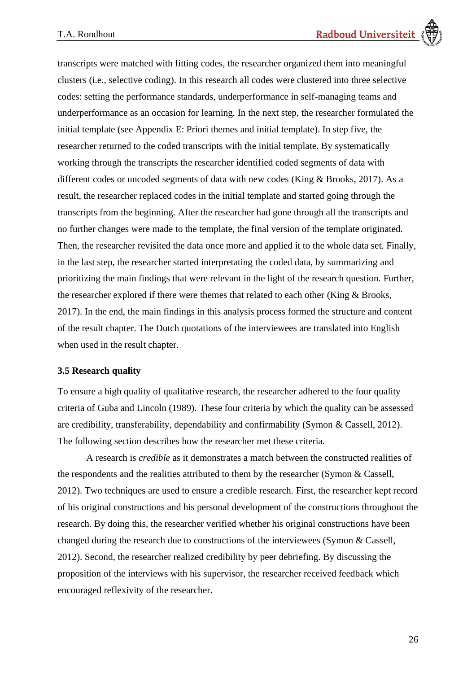transcripts were matched with fitting codes, the researcher organized them into meaningful clusters (i.e., selective coding). In this research all codes were clustered into three selective codes: setting the performance standards, underperformance in self-managing teams and underperformance as an occasion for learning*.* In the next step, the researcher formulated the initial template (see [Appendix E: Priori themes and initial template\)](#page-72-0). In step five, the researcher returned to the coded transcripts with the initial template. By systematically working through the transcripts the researcher identified coded segments of data with different codes or uncoded segments of data with new codes (King & Brooks, 2017). As a result, the researcher replaced codes in the initial template and started going through the transcripts from the beginning. After the researcher had gone through all the transcripts and no further changes were made to the template, the final version of the template originated. Then, the researcher revisited the data once more and applied it to the whole data set. Finally, in the last step, the researcher started interpretating the coded data, by summarizing and prioritizing the main findings that were relevant in the light of the research question. Further, the researcher explored if there were themes that related to each other (King & Brooks, 2017). In the end, the main findings in this analysis process formed the structure and content of the result chapter. The Dutch quotations of the interviewees are translated into English when used in the result chapter.

## <span id="page-25-0"></span>**3.5 Research quality**

To ensure a high quality of qualitative research, the researcher adhered to the four quality criteria of Guba and Lincoln (1989). These four criteria by which the quality can be assessed are credibility, transferability, dependability and confirmability (Symon & Cassell, 2012). The following section describes how the researcher met these criteria.

A research is *credible* as it demonstrates a match between the constructed realities of the respondents and the realities attributed to them by the researcher (Symon & Cassell, 2012). Two techniques are used to ensure a credible research. First, the researcher kept record of his original constructions and his personal development of the constructions throughout the research. By doing this, the researcher verified whether his original constructions have been changed during the research due to constructions of the interviewees (Symon & Cassell, 2012). Second, the researcher realized credibility by peer debriefing. By discussing the proposition of the interviews with his supervisor, the researcher received feedback which encouraged reflexivity of the researcher.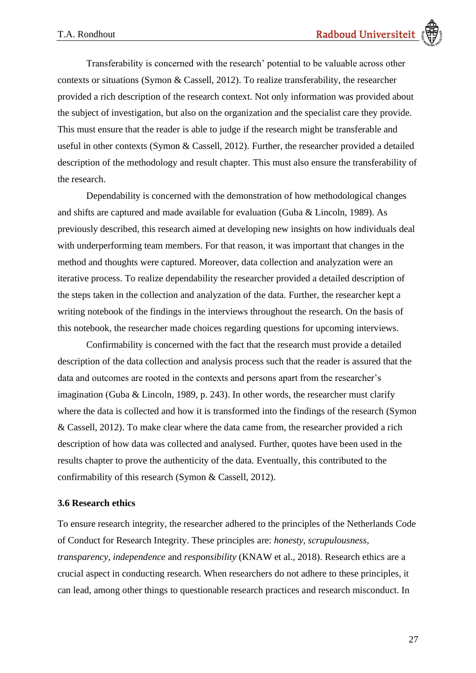Transferability is concerned with the research' potential to be valuable across other contexts or situations (Symon & Cassell, 2012). To realize transferability, the researcher provided a rich description of the research context. Not only information was provided about the subject of investigation, but also on the organization and the specialist care they provide. This must ensure that the reader is able to judge if the research might be transferable and useful in other contexts (Symon & Cassell, 2012). Further, the researcher provided a detailed description of the methodology and result chapter. This must also ensure the transferability of the research.

Dependability is concerned with the demonstration of how methodological changes and shifts are captured and made available for evaluation (Guba & Lincoln, 1989). As previously described, this research aimed at developing new insights on how individuals deal with underperforming team members. For that reason, it was important that changes in the method and thoughts were captured. Moreover, data collection and analyzation were an iterative process. To realize dependability the researcher provided a detailed description of the steps taken in the collection and analyzation of the data. Further, the researcher kept a writing notebook of the findings in the interviews throughout the research. On the basis of this notebook, the researcher made choices regarding questions for upcoming interviews.

Confirmability is concerned with the fact that the research must provide a detailed description of the data collection and analysis process such that the reader is assured that the data and outcomes are rooted in the contexts and persons apart from the researcher's imagination (Guba & Lincoln, 1989, p. 243). In other words, the researcher must clarify where the data is collected and how it is transformed into the findings of the research (Symon & Cassell, 2012). To make clear where the data came from, the researcher provided a rich description of how data was collected and analysed. Further, quotes have been used in the results chapter to prove the authenticity of the data. Eventually, this contributed to the confirmability of this research (Symon & Cassell, 2012).

# <span id="page-26-0"></span>**3.6 Research ethics**

To ensure research integrity, the researcher adhered to the principles of the Netherlands Code of Conduct for Research Integrity. These principles are: *honesty*, *scrupulousness*, *transparency*, *independence* and *responsibility* (KNAW et al., 2018). Research ethics are a crucial aspect in conducting research. When researchers do not adhere to these principles, it can lead, among other things to questionable research practices and research misconduct. In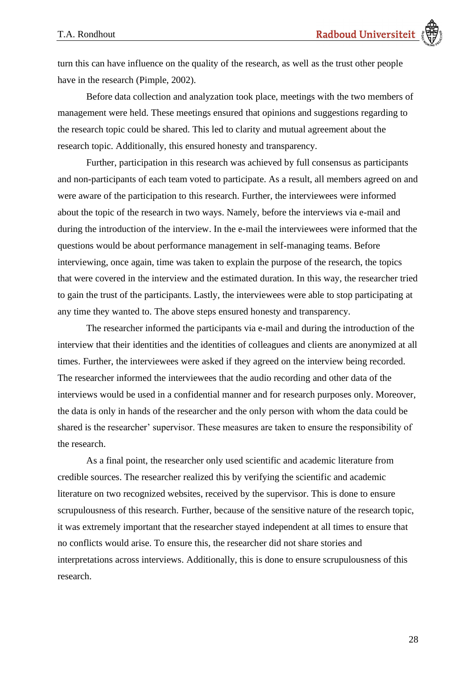turn this can have influence on the quality of the research, as well as the trust other people have in the research (Pimple, 2002).

Before data collection and analyzation took place, meetings with the two members of management were held. These meetings ensured that opinions and suggestions regarding to the research topic could be shared. This led to clarity and mutual agreement about the research topic. Additionally, this ensured honesty and transparency.

Further, participation in this research was achieved by full consensus as participants and non-participants of each team voted to participate. As a result, all members agreed on and were aware of the participation to this research. Further, the interviewees were informed about the topic of the research in two ways. Namely, before the interviews via e-mail and during the introduction of the interview. In the e-mail the interviewees were informed that the questions would be about performance management in self-managing teams. Before interviewing, once again, time was taken to explain the purpose of the research, the topics that were covered in the interview and the estimated duration. In this way, the researcher tried to gain the trust of the participants. Lastly, the interviewees were able to stop participating at any time they wanted to. The above steps ensured honesty and transparency.

The researcher informed the participants via e-mail and during the introduction of the interview that their identities and the identities of colleagues and clients are anonymized at all times. Further, the interviewees were asked if they agreed on the interview being recorded. The researcher informed the interviewees that the audio recording and other data of the interviews would be used in a confidential manner and for research purposes only. Moreover, the data is only in hands of the researcher and the only person with whom the data could be shared is the researcher' supervisor. These measures are taken to ensure the responsibility of the research.

As a final point, the researcher only used scientific and academic literature from credible sources. The researcher realized this by verifying the scientific and academic literature on two recognized websites, received by the supervisor. This is done to ensure scrupulousness of this research. Further, because of the sensitive nature of the research topic, it was extremely important that the researcher stayed independent at all times to ensure that no conflicts would arise. To ensure this, the researcher did not share stories and interpretations across interviews. Additionally, this is done to ensure scrupulousness of this research.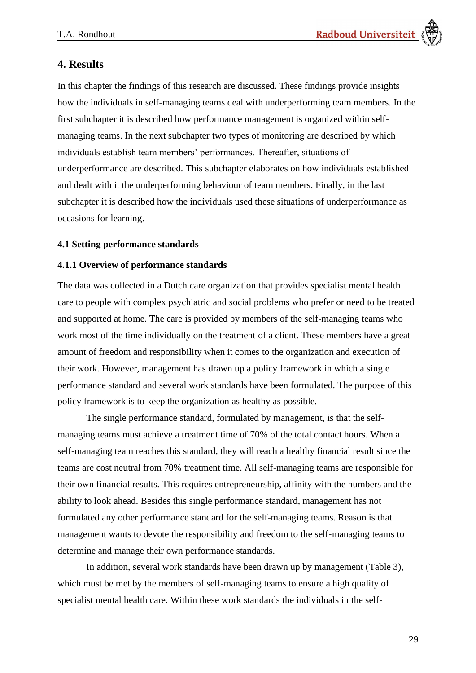# <span id="page-28-0"></span>**4. Results**

In this chapter the findings of this research are discussed. These findings provide insights how the individuals in self-managing teams deal with underperforming team members. In the first subchapter it is described how performance management is organized within selfmanaging teams. In the next subchapter two types of monitoring are described by which individuals establish team members' performances. Thereafter, situations of underperformance are described. This subchapter elaborates on how individuals established and dealt with it the underperforming behaviour of team members. Finally, in the last subchapter it is described how the individuals used these situations of underperformance as occasions for learning.

# <span id="page-28-1"></span>**4.1 Setting performance standards**

# <span id="page-28-2"></span>**4.1.1 Overview of performance standards**

The data was collected in a Dutch care organization that provides specialist mental health care to people with complex psychiatric and social problems who prefer or need to be treated and supported at home. The care is provided by members of the self-managing teams who work most of the time individually on the treatment of a client. These members have a great amount of freedom and responsibility when it comes to the organization and execution of their work. However, management has drawn up a policy framework in which a single performance standard and several work standards have been formulated. The purpose of this policy framework is to keep the organization as healthy as possible.

The single performance standard, formulated by management, is that the selfmanaging teams must achieve a treatment time of 70% of the total contact hours. When a self-managing team reaches this standard, they will reach a healthy financial result since the teams are cost neutral from 70% treatment time. All self-managing teams are responsible for their own financial results. This requires entrepreneurship, affinity with the numbers and the ability to look ahead. Besides this single performance standard, management has not formulated any other performance standard for the self-managing teams. Reason is that management wants to devote the responsibility and freedom to the self-managing teams to determine and manage their own performance standards.

In addition, several work standards have been drawn up by management [\(Table 3\)](#page-29-0), which must be met by the members of self-managing teams to ensure a high quality of specialist mental health care. Within these work standards the individuals in the self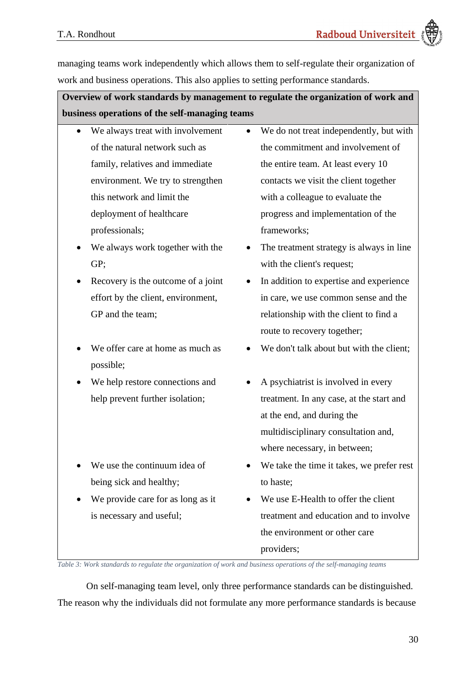managing teams work independently which allows them to self-regulate their organization of work and business operations. This also applies to setting performance standards.

**Overview of work standards by management to regulate the organization of work and business operations of the self-managing teams**

- We always treat with involvement of the natural network such as family, relatives and immediate environment. We try to strengthen this network and limit the deployment of healthcare professionals;
- We always work together with the GP;
- Recovery is the outcome of a joint effort by the client, environment, GP and the team;
- We offer care at home as much as possible;
- We help restore connections and help prevent further isolation;
- We use the continuum idea of being sick and healthy;
- We provide care for as long as it is necessary and useful;
- We do not treat independently, but with the commitment and involvement of the entire team. At least every 10 contacts we visit the client together with a colleague to evaluate the progress and implementation of the frameworks;
- The treatment strategy is always in line with the client's request;
- In addition to expertise and experience in care, we use common sense and the relationship with the client to find a route to recovery together;
- We don't talk about but with the client:
- A psychiatrist is involved in every treatment. In any case, at the start and at the end, and during the multidisciplinary consultation and, where necessary, in between;
- We take the time it takes, we prefer rest to haste;
- We use E-Health to offer the client treatment and education and to involve the environment or other care providers;

<span id="page-29-0"></span>*Table 3: Work standards to regulate the organization of work and business operations of the self-managing teams*

On self-managing team level, only three performance standards can be distinguished. The reason why the individuals did not formulate any more performance standards is because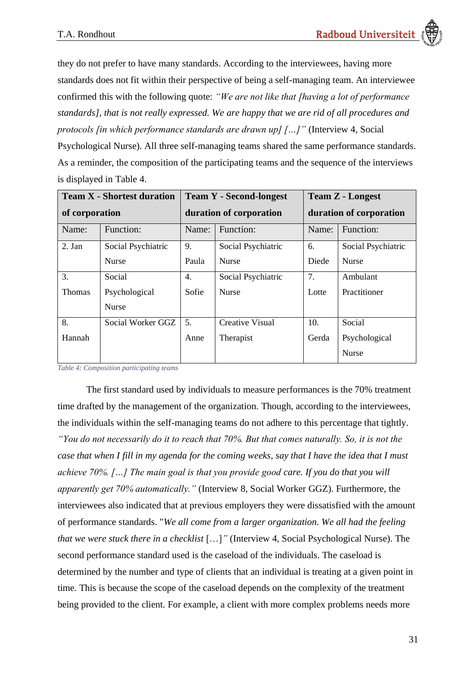they do not prefer to have many standards. According to the interviewees, having more standards does not fit within their perspective of being a self-managing team. An interviewee confirmed this with the following quote: *"We are not like that [having a lot of performance standards], that is not really expressed. We are happy that we are rid of all procedures and protocols [in which performance standards are drawn up] […]"* (Interview 4, Social

Psychological Nurse). All three self-managing teams shared the same performance standards. As a reminder, the composition of the participating teams and the sequence of the interviews is displayed in [Table 4.](#page-30-0)

| <b>Team X - Shortest duration</b> |                    |                         | <b>Team Y - Second-longest</b> | <b>Team Z - Longest</b> |                    |
|-----------------------------------|--------------------|-------------------------|--------------------------------|-------------------------|--------------------|
| of corporation                    |                    | duration of corporation |                                | duration of corporation |                    |
| Name:                             | Function:          | Name:                   | Function:                      | Name:                   | Function:          |
| 2. Jan                            | Social Psychiatric | 9.                      | Social Psychiatric             | 6.                      | Social Psychiatric |
|                                   | Nurse              | Paula                   | <b>Nurse</b>                   | Diede                   | <b>Nurse</b>       |
| 3.                                | Social             | 4.                      | Social Psychiatric             | 7.                      | Ambulant           |
| Thomas                            | Psychological      | Sofie                   | Nurse                          | Lotte                   | Practitioner       |
|                                   | <b>Nurse</b>       |                         |                                |                         |                    |
| 8.                                | Social Worker GGZ  | 5.                      | <b>Creative Visual</b>         | 10.                     | Social             |
| Hannah                            |                    | Anne                    | Therapist                      | Gerda                   | Psychological      |
|                                   |                    |                         |                                |                         | Nurse              |

<span id="page-30-0"></span>*Table 4: Composition participating teams*

The first standard used by individuals to measure performances is the 70% treatment time drafted by the management of the organization. Though, according to the interviewees, the individuals within the self-managing teams do not adhere to this percentage that tightly. *"You do not necessarily do it to reach that 70%. But that comes naturally. So, it is not the case that when I fill in my agenda for the coming weeks, say that I have the idea that I must achieve 70%. […] The main goal is that you provide good care. If you do that you will apparently get 70% automatically."* (Interview 8, Social Worker GGZ). Furthermore, the interviewees also indicated that at previous employers they were dissatisfied with the amount of performance standards. "*We all come from a larger organization. We all had the feeling that we were stuck there in a checklist* […]*"* (Interview 4, Social Psychological Nurse). The second performance standard used is the caseload of the individuals. The caseload is determined by the number and type of clients that an individual is treating at a given point in time. This is because the scope of the caseload depends on the complexity of the treatment being provided to the client. For example, a client with more complex problems needs more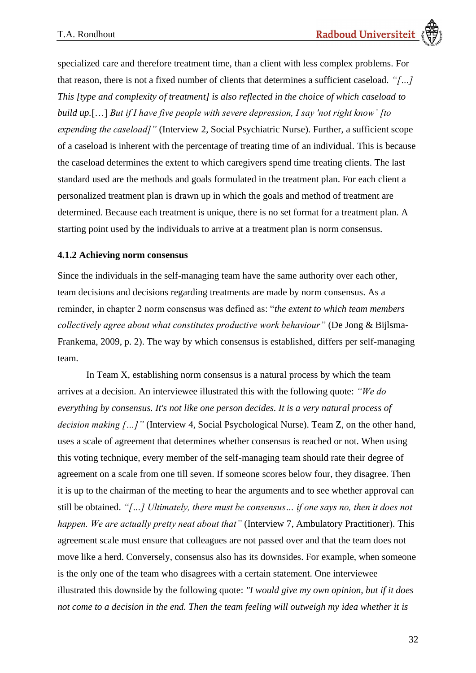specialized care and therefore treatment time, than a client with less complex problems. For that reason, there is not a fixed number of clients that determines a sufficient caseload. *"[…] This [type and complexity of treatment] is also reflected in the choice of which caseload to build up.*[…] *But if I have five people with severe depression, I say 'not right know' [to expending the caseload]"* (Interview 2, Social Psychiatric Nurse). Further, a sufficient scope of a caseload is inherent with the percentage of treating time of an individual. This is because the caseload determines the extent to which caregivers spend time treating clients. The last standard used are the methods and goals formulated in the treatment plan. For each client a personalized treatment plan is drawn up in which the goals and method of treatment are determined. Because each treatment is unique, there is no set format for a treatment plan. A starting point used by the individuals to arrive at a treatment plan is norm consensus.

# <span id="page-31-0"></span>**4.1.2 Achieving norm consensus**

Since the individuals in the self-managing team have the same authority over each other, team decisions and decisions regarding treatments are made by norm consensus. As a reminder, in chapter 2 norm consensus was defined as: "*the extent to which team members collectively agree about what constitutes productive work behaviour"* (De Jong & Bijlsma-Frankema, 2009, p. 2). The way by which consensus is established, differs per self-managing team.

In Team X, establishing norm consensus is a natural process by which the team arrives at a decision. An interviewee illustrated this with the following quote: *"We do everything by consensus. It's not like one person decides. It is a very natural process of decision making […]"* (Interview 4, Social Psychological Nurse). Team Z, on the other hand, uses a scale of agreement that determines whether consensus is reached or not. When using this voting technique, every member of the self-managing team should rate their degree of agreement on a scale from one till seven. If someone scores below four, they disagree. Then it is up to the chairman of the meeting to hear the arguments and to see whether approval can still be obtained. *"[…] Ultimately, there must be consensus… if one says no, then it does not happen. We are actually pretty neat about that"* (Interview 7, Ambulatory Practitioner). This agreement scale must ensure that colleagues are not passed over and that the team does not move like a herd. Conversely, consensus also has its downsides. For example, when someone is the only one of the team who disagrees with a certain statement. One interviewee illustrated this downside by the following quote: *"I would give my own opinion, but if it does not come to a decision in the end. Then the team feeling will outweigh my idea whether it is*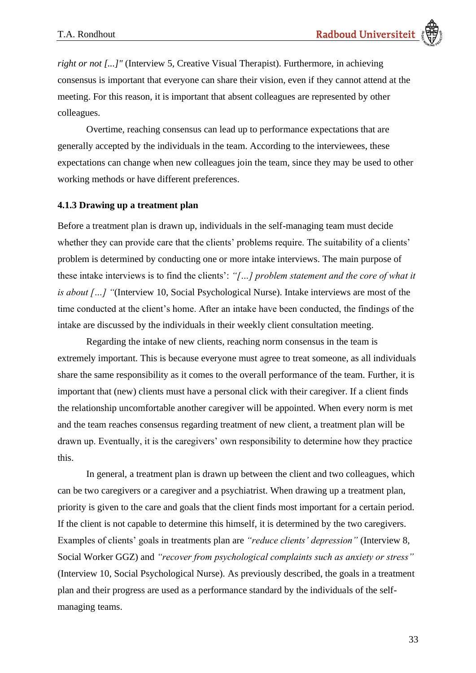*right or not [...]"* (Interview 5, Creative Visual Therapist). Furthermore, in achieving consensus is important that everyone can share their vision, even if they cannot attend at the meeting. For this reason, it is important that absent colleagues are represented by other colleagues.

Overtime, reaching consensus can lead up to performance expectations that are generally accepted by the individuals in the team. According to the interviewees, these expectations can change when new colleagues join the team, since they may be used to other working methods or have different preferences.

# <span id="page-32-0"></span>**4.1.3 Drawing up a treatment plan**

Before a treatment plan is drawn up, individuals in the self-managing team must decide whether they can provide care that the clients' problems require. The suitability of a clients' problem is determined by conducting one or more intake interviews. The main purpose of these intake interviews is to find the clients': *"[…] problem statement and the core of what it is about […]* "(Interview 10, Social Psychological Nurse). Intake interviews are most of the time conducted at the client's home. After an intake have been conducted, the findings of the intake are discussed by the individuals in their weekly client consultation meeting.

Regarding the intake of new clients, reaching norm consensus in the team is extremely important. This is because everyone must agree to treat someone, as all individuals share the same responsibility as it comes to the overall performance of the team. Further, it is important that (new) clients must have a personal click with their caregiver. If a client finds the relationship uncomfortable another caregiver will be appointed. When every norm is met and the team reaches consensus regarding treatment of new client, a treatment plan will be drawn up. Eventually, it is the caregivers' own responsibility to determine how they practice this.

In general, a treatment plan is drawn up between the client and two colleagues, which can be two caregivers or a caregiver and a psychiatrist. When drawing up a treatment plan, priority is given to the care and goals that the client finds most important for a certain period. If the client is not capable to determine this himself, it is determined by the two caregivers. Examples of clients' goals in treatments plan are *"reduce clients' depression"* (Interview 8, Social Worker GGZ) and *"recover from psychological complaints such as anxiety or stress"* (Interview 10, Social Psychological Nurse)*.* As previously described, the goals in a treatment plan and their progress are used as a performance standard by the individuals of the selfmanaging teams.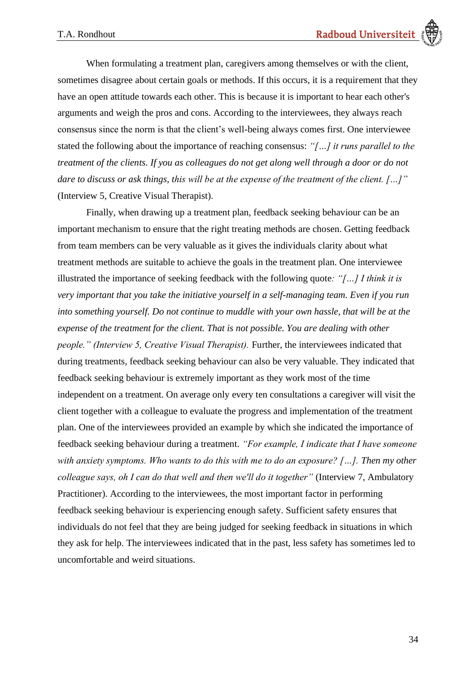When formulating a treatment plan, caregivers among themselves or with the client, sometimes disagree about certain goals or methods. If this occurs, it is a requirement that they have an open attitude towards each other. This is because it is important to hear each other's arguments and weigh the pros and cons. According to the interviewees, they always reach consensus since the norm is that the client's well-being always comes first. One interviewee stated the following about the importance of reaching consensus: *"[…] it runs parallel to the treatment of the clients. If you as colleagues do not get along well through a door or do not dare to discuss or ask things, this will be at the expense of the treatment of the client. […]"* (Interview 5, Creative Visual Therapist).

Finally, when drawing up a treatment plan, feedback seeking behaviour can be an important mechanism to ensure that the right treating methods are chosen. Getting feedback from team members can be very valuable as it gives the individuals clarity about what treatment methods are suitable to achieve the goals in the treatment plan. One interviewee illustrated the importance of seeking feedback with the following quote*: "[…] I think it is very important that you take the initiative yourself in a self-managing team. Even if you run into something yourself. Do not continue to muddle with your own hassle, that will be at the expense of the treatment for the client. That is not possible. You are dealing with other people." (Interview 5, Creative Visual Therapist).* Further, the interviewees indicated that during treatments, feedback seeking behaviour can also be very valuable. They indicated that feedback seeking behaviour is extremely important as they work most of the time independent on a treatment. On average only every ten consultations a caregiver will visit the client together with a colleague to evaluate the progress and implementation of the treatment plan. One of the interviewees provided an example by which she indicated the importance of feedback seeking behaviour during a treatment. *"For example, I indicate that I have someone with anxiety symptoms. Who wants to do this with me to do an exposure? […]. Then my other colleague says, oh I can do that well and then we'll do it together"* (Interview 7, Ambulatory Practitioner). According to the interviewees, the most important factor in performing feedback seeking behaviour is experiencing enough safety. Sufficient safety ensures that individuals do not feel that they are being judged for seeking feedback in situations in which they ask for help. The interviewees indicated that in the past, less safety has sometimes led to uncomfortable and weird situations.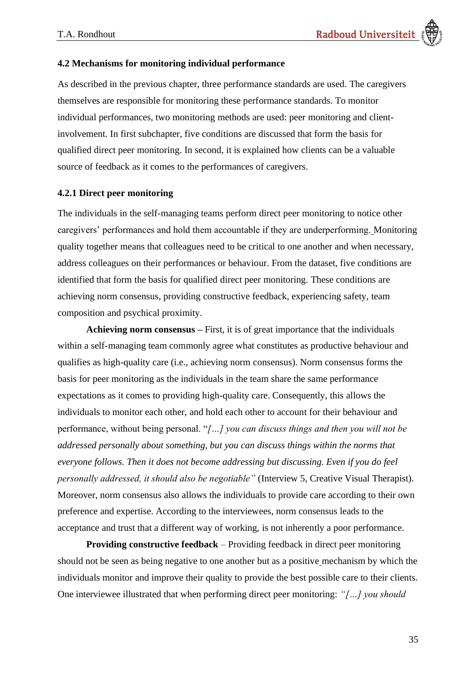## <span id="page-34-0"></span>**4.2 Mechanisms for monitoring individual performance**

As described in the previous chapter, three performance standards are used. The caregivers themselves are responsible for monitoring these performance standards. To monitor individual performances, two monitoring methods are used: peer monitoring and clientinvolvement. In first subchapter, five conditions are discussed that form the basis for qualified direct peer monitoring. In second, it is explained how clients can be a valuable source of feedback as it comes to the performances of caregivers.

## <span id="page-34-1"></span>**4.2.1 Direct peer monitoring**

The individuals in the self-managing teams perform direct peer monitoring to notice other caregivers' performances and hold them accountable if they are underperforming. Monitoring quality together means that colleagues need to be critical to one another and when necessary, address colleagues on their performances or behaviour. From the dataset, five conditions are identified that form the basis for qualified direct peer monitoring. These conditions are achieving norm consensus, providing constructive feedback, experiencing safety, team composition and psychical proximity.

**Achieving norm consensus –** First, it is of great importance that the individuals within a self-managing team commonly agree what constitutes as productive behaviour and qualifies as high-quality care (i.e., achieving norm consensus). Norm consensus forms the basis for peer monitoring as the individuals in the team share the same performance expectations as it comes to providing high-quality care. Consequently, this allows the individuals to monitor each other, and hold each other to account for their behaviour and performance, without being personal. "*[…] you can discuss things and then you will not be addressed personally about something, but you can discuss things within the norms that everyone follows. Then it does not become addressing but discussing. Even if you do feel personally addressed, it should also be negotiable"* (Interview 5, Creative Visual Therapist). Moreover, norm consensus also allows the individuals to provide care according to their own preference and expertise. According to the interviewees, norm consensus leads to the acceptance and trust that a different way of working, is not inherently a poor performance.

**Providing constructive feedback** – Providing feedback in direct peer monitoring should not be seen as being negative to one another but as a positive mechanism by which the individuals monitor and improve their quality to provide the best possible care to their clients. One interviewee illustrated that when performing direct peer monitoring: *"[…] you should*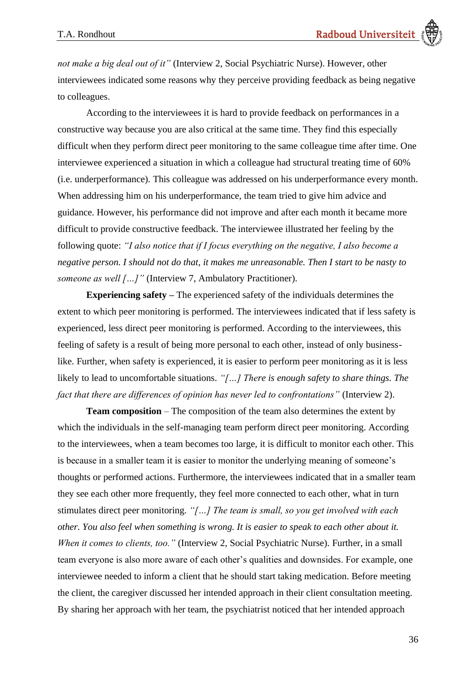*not make a big deal out of it"* (Interview 2, Social Psychiatric Nurse). However, other interviewees indicated some reasons why they perceive providing feedback as being negative to colleagues.

According to the interviewees it is hard to provide feedback on performances in a constructive way because you are also critical at the same time. They find this especially difficult when they perform direct peer monitoring to the same colleague time after time. One interviewee experienced a situation in which a colleague had structural treating time of 60% (i.e. underperformance). This colleague was addressed on his underperformance every month. When addressing him on his underperformance, the team tried to give him advice and guidance. However, his performance did not improve and after each month it became more difficult to provide constructive feedback. The interviewee illustrated her feeling by the following quote: *"I also notice that if I focus everything on the negative, I also become a negative person. I should not do that, it makes me unreasonable. Then I start to be nasty to someone as well* [...]" (Interview 7, Ambulatory Practitioner).

**Experiencing safety –** The experienced safety of the individuals determines the extent to which peer monitoring is performed. The interviewees indicated that if less safety is experienced, less direct peer monitoring is performed. According to the interviewees, this feeling of safety is a result of being more personal to each other, instead of only businesslike. Further, when safety is experienced, it is easier to perform peer monitoring as it is less likely to lead to uncomfortable situations. *"[…] There is enough safety to share things. The fact that there are differences of opinion has never led to confrontations"* (Interview 2).

**Team composition** – The composition of the team also determines the extent by which the individuals in the self-managing team perform direct peer monitoring. According to the interviewees, when a team becomes too large, it is difficult to monitor each other. This is because in a smaller team it is easier to monitor the underlying meaning of someone's thoughts or performed actions. Furthermore, the interviewees indicated that in a smaller team they see each other more frequently, they feel more connected to each other, what in turn stimulates direct peer monitoring. *"[…] The team is small, so you get involved with each other. You also feel when something is wrong. It is easier to speak to each other about it. When it comes to clients, too."* (Interview 2, Social Psychiatric Nurse). Further, in a small team everyone is also more aware of each other's qualities and downsides. For example, one interviewee needed to inform a client that he should start taking medication. Before meeting the client, the caregiver discussed her intended approach in their client consultation meeting. By sharing her approach with her team, the psychiatrist noticed that her intended approach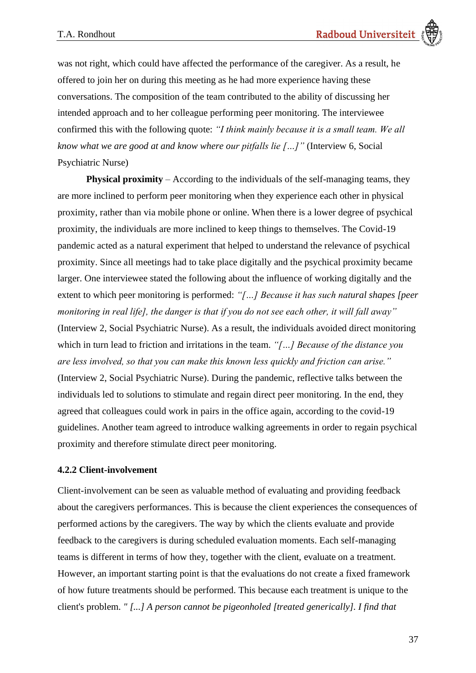was not right, which could have affected the performance of the caregiver. As a result, he offered to join her on during this meeting as he had more experience having these conversations. The composition of the team contributed to the ability of discussing her intended approach and to her colleague performing peer monitoring. The interviewee confirmed this with the following quote: *"I think mainly because it is a small team. We all know what we are good at and know where our pitfalls lie […]"* (Interview 6, Social Psychiatric Nurse)

**Physical proximity** – According to the individuals of the self-managing teams, they are more inclined to perform peer monitoring when they experience each other in physical proximity, rather than via mobile phone or online. When there is a lower degree of psychical proximity, the individuals are more inclined to keep things to themselves. The Covid-19 pandemic acted as a natural experiment that helped to understand the relevance of psychical proximity. Since all meetings had to take place digitally and the psychical proximity became larger. One interviewee stated the following about the influence of working digitally and the extent to which peer monitoring is performed: *"[…] Because it has such natural shapes [peer monitoring in real life], the danger is that if you do not see each other, it will fall away"*  (Interview 2, Social Psychiatric Nurse). As a result, the individuals avoided direct monitoring which in turn lead to friction and irritations in the team. *"[…] Because of the distance you are less involved, so that you can make this known less quickly and friction can arise."* (Interview 2, Social Psychiatric Nurse). During the pandemic, reflective talks between the individuals led to solutions to stimulate and regain direct peer monitoring. In the end, they agreed that colleagues could work in pairs in the office again, according to the covid-19 guidelines. Another team agreed to introduce walking agreements in order to regain psychical proximity and therefore stimulate direct peer monitoring.

### **4.2.2 Client-involvement**

Client-involvement can be seen as valuable method of evaluating and providing feedback about the caregivers performances. This is because the client experiences the consequences of performed actions by the caregivers. The way by which the clients evaluate and provide feedback to the caregivers is during scheduled evaluation moments. Each self-managing teams is different in terms of how they, together with the client, evaluate on a treatment. However, an important starting point is that the evaluations do not create a fixed framework of how future treatments should be performed. This because each treatment is unique to the client's problem. *" [...] A person cannot be pigeonholed [treated generically]. I find that*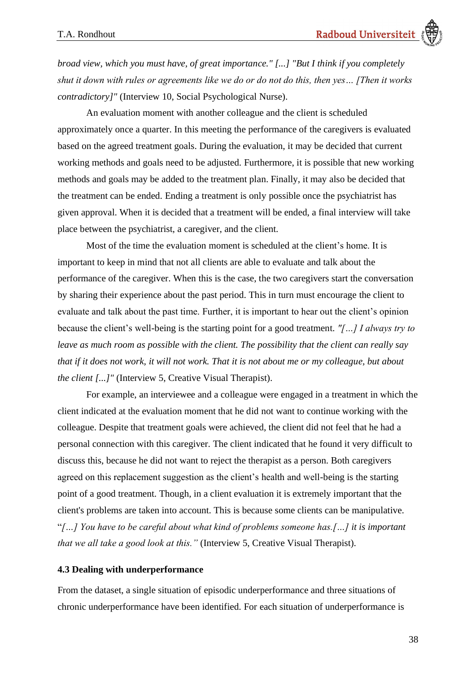*broad view, which you must have, of great importance." [...] "But I think if you completely shut it down with rules or agreements like we do or do not do this, then yes… [Then it works contradictory]"* (Interview 10, Social Psychological Nurse).

An evaluation moment with another colleague and the client is scheduled approximately once a quarter. In this meeting the performance of the caregivers is evaluated based on the agreed treatment goals. During the evaluation, it may be decided that current working methods and goals need to be adjusted. Furthermore, it is possible that new working methods and goals may be added to the treatment plan. Finally, it may also be decided that the treatment can be ended. Ending a treatment is only possible once the psychiatrist has given approval. When it is decided that a treatment will be ended, a final interview will take place between the psychiatrist, a caregiver, and the client.

Most of the time the evaluation moment is scheduled at the client's home. It is important to keep in mind that not all clients are able to evaluate and talk about the performance of the caregiver. When this is the case, the two caregivers start the conversation by sharing their experience about the past period. This in turn must encourage the client to evaluate and talk about the past time. Further, it is important to hear out the client's opinion because the client's well-being is the starting point for a good treatment. *"[…] I always try to leave as much room as possible with the client. The possibility that the client can really say that if it does not work, it will not work. That it is not about me or my colleague, but about the client [...]"* (Interview 5, Creative Visual Therapist).

For example, an interviewee and a colleague were engaged in a treatment in which the client indicated at the evaluation moment that he did not want to continue working with the colleague. Despite that treatment goals were achieved, the client did not feel that he had a personal connection with this caregiver. The client indicated that he found it very difficult to discuss this, because he did not want to reject the therapist as a person. Both caregivers agreed on this replacement suggestion as the client's health and well-being is the starting point of a good treatment. Though, in a client evaluation it is extremely important that the client's problems are taken into account. This is because some clients can be manipulative. "*[…] You have to be careful about what kind of problems someone has.[…] it is important that we all take a good look at this."* (Interview 5, Creative Visual Therapist).

#### **4.3 Dealing with underperformance**

From the dataset, a single situation of episodic underperformance and three situations of chronic underperformance have been identified. For each situation of underperformance is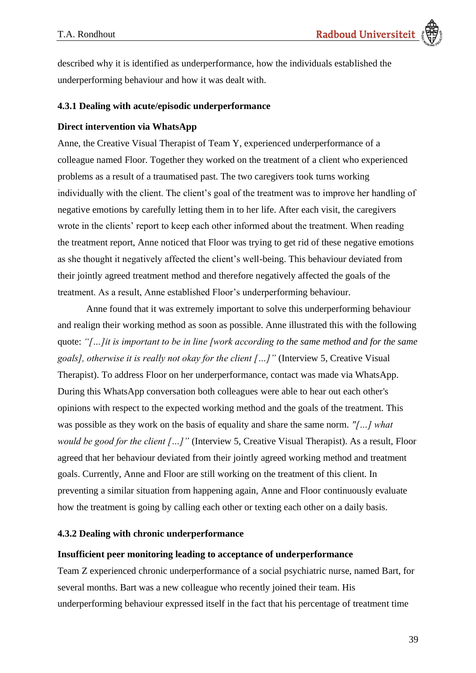described why it is identified as underperformance, how the individuals established the underperforming behaviour and how it was dealt with.

### **4.3.1 Dealing with acute/episodic underperformance**

#### **Direct intervention via WhatsApp**

Anne, the Creative Visual Therapist of Team Y, experienced underperformance of a colleague named Floor. Together they worked on the treatment of a client who experienced problems as a result of a traumatised past. The two caregivers took turns working individually with the client. The client's goal of the treatment was to improve her handling of negative emotions by carefully letting them in to her life. After each visit, the caregivers wrote in the clients' report to keep each other informed about the treatment. When reading the treatment report, Anne noticed that Floor was trying to get rid of these negative emotions as she thought it negatively affected the client's well-being. This behaviour deviated from their jointly agreed treatment method and therefore negatively affected the goals of the treatment. As a result, Anne established Floor's underperforming behaviour.

Anne found that it was extremely important to solve this underperforming behaviour and realign their working method as soon as possible. Anne illustrated this with the following quote: *"[…]it is important to be in line [work according to the same method and for the same goals], otherwise it is really not okay for the client […]"* (Interview 5, Creative Visual Therapist). To address Floor on her underperformance, contact was made via WhatsApp. During this WhatsApp conversation both colleagues were able to hear out each other's opinions with respect to the expected working method and the goals of the treatment. This was possible as they work on the basis of equality and share the same norm. *"[…] what would be good for the client […]"* (Interview 5, Creative Visual Therapist). As a result, Floor agreed that her behaviour deviated from their jointly agreed working method and treatment goals. Currently, Anne and Floor are still working on the treatment of this client. In preventing a similar situation from happening again, Anne and Floor continuously evaluate how the treatment is going by calling each other or texting each other on a daily basis.

#### **4.3.2 Dealing with chronic underperformance**

#### **Insufficient peer monitoring leading to acceptance of underperformance**

Team Z experienced chronic underperformance of a social psychiatric nurse, named Bart, for several months. Bart was a new colleague who recently joined their team. His underperforming behaviour expressed itself in the fact that his percentage of treatment time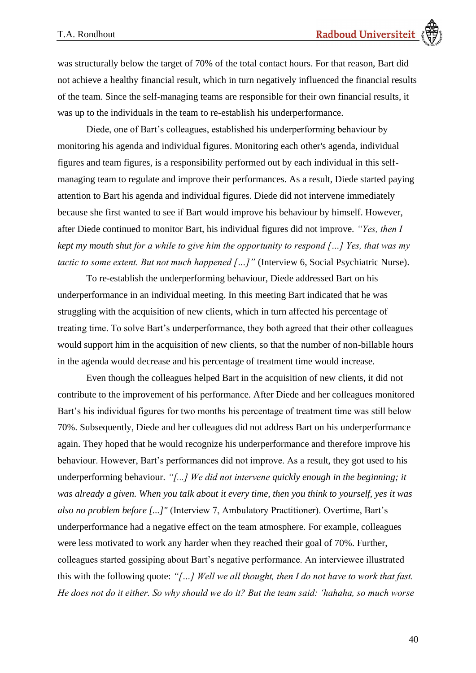was structurally below the target of 70% of the total contact hours. For that reason, Bart did not achieve a healthy financial result, which in turn negatively influenced the financial results of the team. Since the self-managing teams are responsible for their own financial results, it was up to the individuals in the team to re-establish his underperformance.

Diede, one of Bart's colleagues, established his underperforming behaviour by monitoring his agenda and individual figures. Monitoring each other's agenda, individual figures and team figures, is a responsibility performed out by each individual in this selfmanaging team to regulate and improve their performances. As a result, Diede started paying attention to Bart his agenda and individual figures. Diede did not intervene immediately because she first wanted to see if Bart would improve his behaviour by himself. However, after Diede continued to monitor Bart, his individual figures did not improve. *"Yes, then I kept my mouth shut for a while to give him the opportunity to respond […] Yes, that was my tactic to some extent. But not much happened […]*" (Interview 6, Social Psychiatric Nurse).

To re-establish the underperforming behaviour, Diede addressed Bart on his underperformance in an individual meeting. In this meeting Bart indicated that he was struggling with the acquisition of new clients, which in turn affected his percentage of treating time. To solve Bart's underperformance, they both agreed that their other colleagues would support him in the acquisition of new clients, so that the number of non-billable hours in the agenda would decrease and his percentage of treatment time would increase.

Even though the colleagues helped Bart in the acquisition of new clients, it did not contribute to the improvement of his performance. After Diede and her colleagues monitored Bart's his individual figures for two months his percentage of treatment time was still below 70%. Subsequently, Diede and her colleagues did not address Bart on his underperformance again. They hoped that he would recognize his underperformance and therefore improve his behaviour. However, Bart's performances did not improve. As a result, they got used to his underperforming behaviour. *"[...] We did not intervene quickly enough in the beginning; it was already a given. When you talk about it every time, then you think to yourself, yes it was also no problem before [...]"* (Interview 7, Ambulatory Practitioner). Overtime, Bart's underperformance had a negative effect on the team atmosphere. For example, colleagues were less motivated to work any harder when they reached their goal of 70%. Further, colleagues started gossiping about Bart's negative performance. An interviewee illustrated this with the following quote: *"[…] Well we all thought, then I do not have to work that fast. He does not do it either. So why should we do it? But the team said: 'hahaha, so much worse*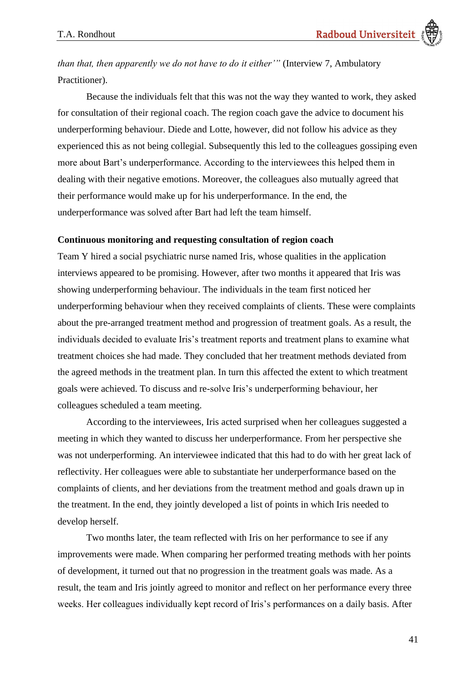*than that, then apparently we do not have to do it either'"* (Interview 7, Ambulatory Practitioner).

Because the individuals felt that this was not the way they wanted to work, they asked for consultation of their regional coach. The region coach gave the advice to document his underperforming behaviour. Diede and Lotte, however, did not follow his advice as they experienced this as not being collegial. Subsequently this led to the colleagues gossiping even more about Bart's underperformance. According to the interviewees this helped them in dealing with their negative emotions. Moreover, the colleagues also mutually agreed that their performance would make up for his underperformance. In the end, the underperformance was solved after Bart had left the team himself.

#### **Continuous monitoring and requesting consultation of region coach**

Team Y hired a social psychiatric nurse named Iris, whose qualities in the application interviews appeared to be promising. However, after two months it appeared that Iris was showing underperforming behaviour. The individuals in the team first noticed her underperforming behaviour when they received complaints of clients. These were complaints about the pre-arranged treatment method and progression of treatment goals. As a result, the individuals decided to evaluate Iris's treatment reports and treatment plans to examine what treatment choices she had made. They concluded that her treatment methods deviated from the agreed methods in the treatment plan. In turn this affected the extent to which treatment goals were achieved. To discuss and re-solve Iris's underperforming behaviour, her colleagues scheduled a team meeting.

According to the interviewees, Iris acted surprised when her colleagues suggested a meeting in which they wanted to discuss her underperformance. From her perspective she was not underperforming. An interviewee indicated that this had to do with her great lack of reflectivity. Her colleagues were able to substantiate her underperformance based on the complaints of clients, and her deviations from the treatment method and goals drawn up in the treatment. In the end, they jointly developed a list of points in which Iris needed to develop herself.

Two months later, the team reflected with Iris on her performance to see if any improvements were made. When comparing her performed treating methods with her points of development, it turned out that no progression in the treatment goals was made. As a result, the team and Iris jointly agreed to monitor and reflect on her performance every three weeks. Her colleagues individually kept record of Iris's performances on a daily basis. After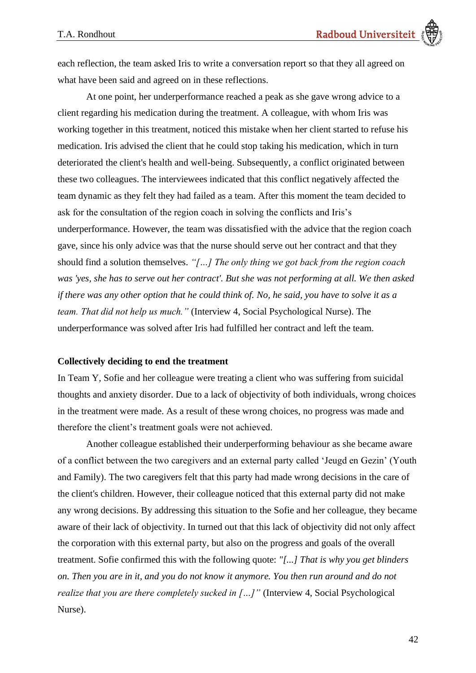each reflection, the team asked Iris to write a conversation report so that they all agreed on what have been said and agreed on in these reflections.

At one point, her underperformance reached a peak as she gave wrong advice to a client regarding his medication during the treatment. A colleague, with whom Iris was working together in this treatment, noticed this mistake when her client started to refuse his medication. Iris advised the client that he could stop taking his medication, which in turn deteriorated the client's health and well-being. Subsequently, a conflict originated between these two colleagues. The interviewees indicated that this conflict negatively affected the team dynamic as they felt they had failed as a team. After this moment the team decided to ask for the consultation of the region coach in solving the conflicts and Iris's underperformance. However, the team was dissatisfied with the advice that the region coach gave, since his only advice was that the nurse should serve out her contract and that they should find a solution themselves. *"[…] The only thing we got back from the region coach was 'yes, she has to serve out her contract'. But she was not performing at all. We then asked if there was any other option that he could think of. No, he said, you have to solve it as a team. That did not help us much."* (Interview 4, Social Psychological Nurse). The underperformance was solved after Iris had fulfilled her contract and left the team.

#### **Collectively deciding to end the treatment**

In Team Y, Sofie and her colleague were treating a client who was suffering from suicidal thoughts and anxiety disorder. Due to a lack of objectivity of both individuals, wrong choices in the treatment were made. As a result of these wrong choices, no progress was made and therefore the client's treatment goals were not achieved.

Another colleague established their underperforming behaviour as she became aware of a conflict between the two caregivers and an external party called 'Jeugd en Gezin' (Youth and Family). The two caregivers felt that this party had made wrong decisions in the care of the client's children. However, their colleague noticed that this external party did not make any wrong decisions. By addressing this situation to the Sofie and her colleague, they became aware of their lack of objectivity. In turned out that this lack of objectivity did not only affect the corporation with this external party, but also on the progress and goals of the overall treatment. Sofie confirmed this with the following quote: *"[...] That is why you get blinders on. Then you are in it, and you do not know it anymore. You then run around and do not realize that you are there completely sucked in […]*" (Interview 4, Social Psychological Nurse).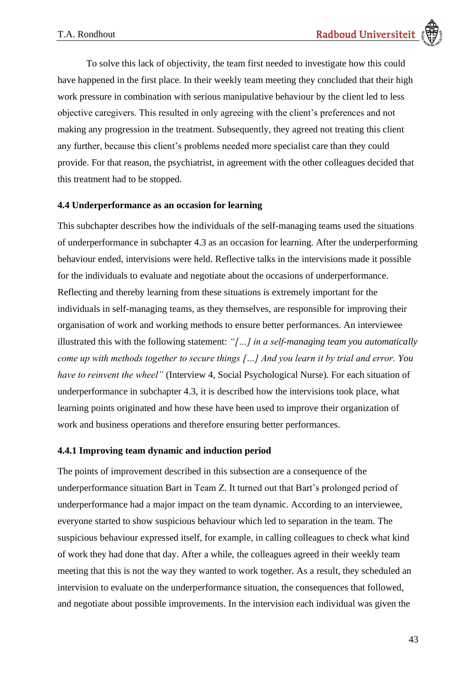To solve this lack of objectivity, the team first needed to investigate how this could have happened in the first place. In their weekly team meeting they concluded that their high work pressure in combination with serious manipulative behaviour by the client led to less objective caregivers. This resulted in only agreeing with the client's preferences and not making any progression in the treatment. Subsequently, they agreed not treating this client any further, because this client's problems needed more specialist care than they could provide. For that reason, the psychiatrist, in agreement with the other colleagues decided that this treatment had to be stopped.

### **4.4 Underperformance as an occasion for learning**

This subchapter describes how the individuals of the self-managing teams used the situations of underperformance in subchapter 4.3 as an occasion for learning. After the underperforming behaviour ended, intervisions were held. Reflective talks in the intervisions made it possible for the individuals to evaluate and negotiate about the occasions of underperformance. Reflecting and thereby learning from these situations is extremely important for the individuals in self-managing teams, as they themselves, are responsible for improving their organisation of work and working methods to ensure better performances. An interviewee illustrated this with the following statement: *"[…] in a self-managing team you automatically come up with methods together to secure things […] And you learn it by trial and error. You have to reinvent the wheel"* (Interview 4, Social Psychological Nurse). For each situation of underperformance in subchapter 4.3, it is described how the intervisions took place, what learning points originated and how these have been used to improve their organization of work and business operations and therefore ensuring better performances.

### **4.4.1 Improving team dynamic and induction period**

The points of improvement described in this subsection are a consequence of the underperformance situation Bart in Team Z. It turned out that Bart's prolonged period of underperformance had a major impact on the team dynamic. According to an interviewee, everyone started to show suspicious behaviour which led to separation in the team. The suspicious behaviour expressed itself, for example, in calling colleagues to check what kind of work they had done that day. After a while, the colleagues agreed in their weekly team meeting that this is not the way they wanted to work together. As a result, they scheduled an intervision to evaluate on the underperformance situation, the consequences that followed, and negotiate about possible improvements. In the intervision each individual was given the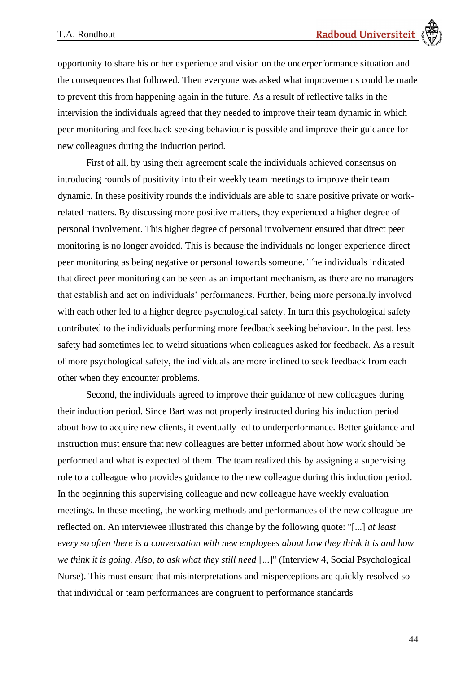opportunity to share his or her experience and vision on the underperformance situation and the consequences that followed. Then everyone was asked what improvements could be made to prevent this from happening again in the future. As a result of reflective talks in the intervision the individuals agreed that they needed to improve their team dynamic in which peer monitoring and feedback seeking behaviour is possible and improve their guidance for new colleagues during the induction period.

First of all, by using their agreement scale the individuals achieved consensus on introducing rounds of positivity into their weekly team meetings to improve their team dynamic. In these positivity rounds the individuals are able to share positive private or workrelated matters. By discussing more positive matters, they experienced a higher degree of personal involvement. This higher degree of personal involvement ensured that direct peer monitoring is no longer avoided. This is because the individuals no longer experience direct peer monitoring as being negative or personal towards someone. The individuals indicated that direct peer monitoring can be seen as an important mechanism, as there are no managers that establish and act on individuals' performances. Further, being more personally involved with each other led to a higher degree psychological safety. In turn this psychological safety contributed to the individuals performing more feedback seeking behaviour. In the past, less safety had sometimes led to weird situations when colleagues asked for feedback*.* As a result of more psychological safety, the individuals are more inclined to seek feedback from each other when they encounter problems.

Second, the individuals agreed to improve their guidance of new colleagues during their induction period. Since Bart was not properly instructed during his induction period about how to acquire new clients, it eventually led to underperformance. Better guidance and instruction must ensure that new colleagues are better informed about how work should be performed and what is expected of them. The team realized this by assigning a supervising role to a colleague who provides guidance to the new colleague during this induction period. In the beginning this supervising colleague and new colleague have weekly evaluation meetings. In these meeting, the working methods and performances of the new colleague are reflected on. An interviewee illustrated this change by the following quote: "[...] *at least every so often there is a conversation with new employees about how they think it is and how we think it is going. Also, to ask what they still need* [...]" (Interview 4, Social Psychological Nurse). This must ensure that misinterpretations and misperceptions are quickly resolved so that individual or team performances are congruent to performance standards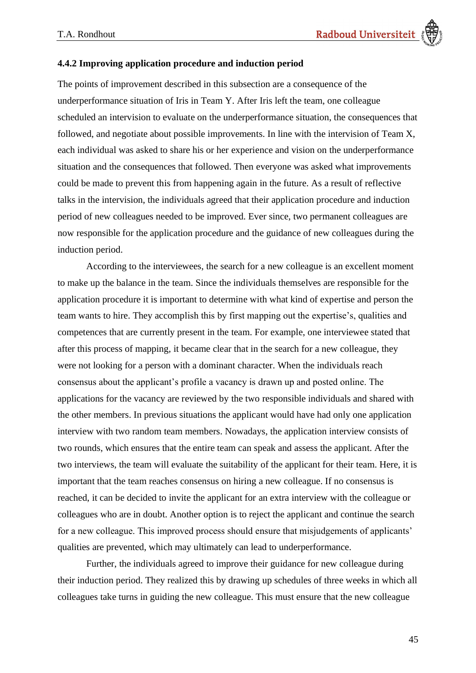#### **4.4.2 Improving application procedure and induction period**

The points of improvement described in this subsection are a consequence of the underperformance situation of Iris in Team Y. After Iris left the team, one colleague scheduled an intervision to evaluate on the underperformance situation, the consequences that followed, and negotiate about possible improvements. In line with the intervision of Team X, each individual was asked to share his or her experience and vision on the underperformance situation and the consequences that followed. Then everyone was asked what improvements could be made to prevent this from happening again in the future. As a result of reflective talks in the intervision, the individuals agreed that their application procedure and induction period of new colleagues needed to be improved. Ever since, two permanent colleagues are now responsible for the application procedure and the guidance of new colleagues during the induction period.

According to the interviewees, the search for a new colleague is an excellent moment to make up the balance in the team. Since the individuals themselves are responsible for the application procedure it is important to determine with what kind of expertise and person the team wants to hire. They accomplish this by first mapping out the expertise's, qualities and competences that are currently present in the team. For example, one interviewee stated that after this process of mapping, it became clear that in the search for a new colleague, they were not looking for a person with a dominant character. When the individuals reach consensus about the applicant's profile a vacancy is drawn up and posted online. The applications for the vacancy are reviewed by the two responsible individuals and shared with the other members. In previous situations the applicant would have had only one application interview with two random team members. Nowadays, the application interview consists of two rounds, which ensures that the entire team can speak and assess the applicant. After the two interviews, the team will evaluate the suitability of the applicant for their team. Here, it is important that the team reaches consensus on hiring a new colleague. If no consensus is reached, it can be decided to invite the applicant for an extra interview with the colleague or colleagues who are in doubt. Another option is to reject the applicant and continue the search for a new colleague. This improved process should ensure that misjudgements of applicants' qualities are prevented, which may ultimately can lead to underperformance.

Further, the individuals agreed to improve their guidance for new colleague during their induction period. They realized this by drawing up schedules of three weeks in which all colleagues take turns in guiding the new colleague. This must ensure that the new colleague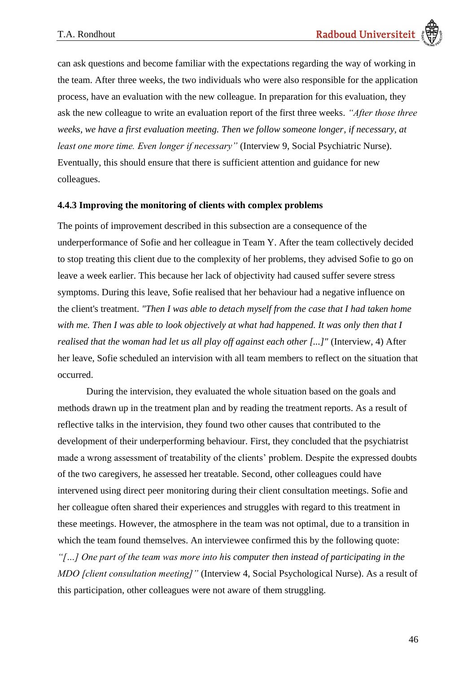can ask questions and become familiar with the expectations regarding the way of working in the team. After three weeks, the two individuals who were also responsible for the application process, have an evaluation with the new colleague. In preparation for this evaluation, they ask the new colleague to write an evaluation report of the first three weeks. *"After those three weeks, we have a first evaluation meeting. Then we follow someone longer, if necessary, at least one more time. Even longer if necessary"* (Interview 9, Social Psychiatric Nurse). Eventually, this should ensure that there is sufficient attention and guidance for new colleagues.

#### **4.4.3 Improving the monitoring of clients with complex problems**

The points of improvement described in this subsection are a consequence of the underperformance of Sofie and her colleague in Team Y. After the team collectively decided to stop treating this client due to the complexity of her problems, they advised Sofie to go on leave a week earlier. This because her lack of objectivity had caused suffer severe stress symptoms. During this leave, Sofie realised that her behaviour had a negative influence on the client's treatment. *"Then I was able to detach myself from the case that I had taken home with me. Then I was able to look objectively at what had happened. It was only then that I realised that the woman had let us all play off against each other [...]"* (Interview, 4) After her leave, Sofie scheduled an intervision with all team members to reflect on the situation that occurred.

During the intervision, they evaluated the whole situation based on the goals and methods drawn up in the treatment plan and by reading the treatment reports. As a result of reflective talks in the intervision, they found two other causes that contributed to the development of their underperforming behaviour. First, they concluded that the psychiatrist made a wrong assessment of treatability of the clients' problem. Despite the expressed doubts of the two caregivers, he assessed her treatable. Second, other colleagues could have intervened using direct peer monitoring during their client consultation meetings. Sofie and her colleague often shared their experiences and struggles with regard to this treatment in these meetings. However, the atmosphere in the team was not optimal, due to a transition in which the team found themselves. An interviewee confirmed this by the following quote: *"[…] One part of the team was more into his computer then instead of participating in the MDO [client consultation meeting]"* (Interview 4, Social Psychological Nurse). As a result of this participation, other colleagues were not aware of them struggling.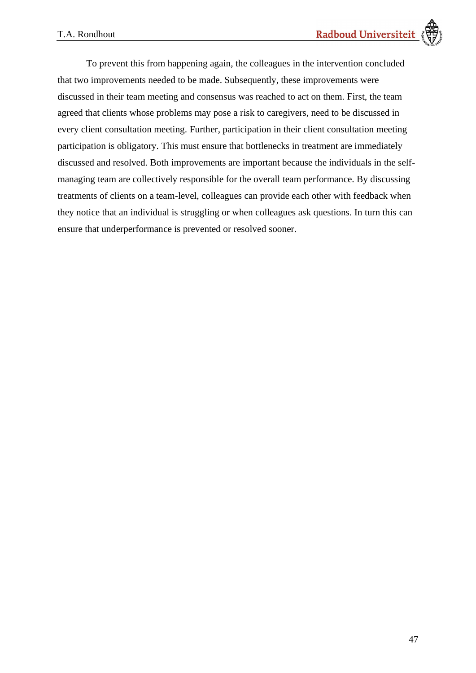To prevent this from happening again, the colleagues in the intervention concluded that two improvements needed to be made. Subsequently, these improvements were discussed in their team meeting and consensus was reached to act on them. First, the team agreed that clients whose problems may pose a risk to caregivers, need to be discussed in every client consultation meeting. Further, participation in their client consultation meeting participation is obligatory. This must ensure that bottlenecks in treatment are immediately discussed and resolved. Both improvements are important because the individuals in the selfmanaging team are collectively responsible for the overall team performance. By discussing treatments of clients on a team-level, colleagues can provide each other with feedback when they notice that an individual is struggling or when colleagues ask questions. In turn this can ensure that underperformance is prevented or resolved sooner.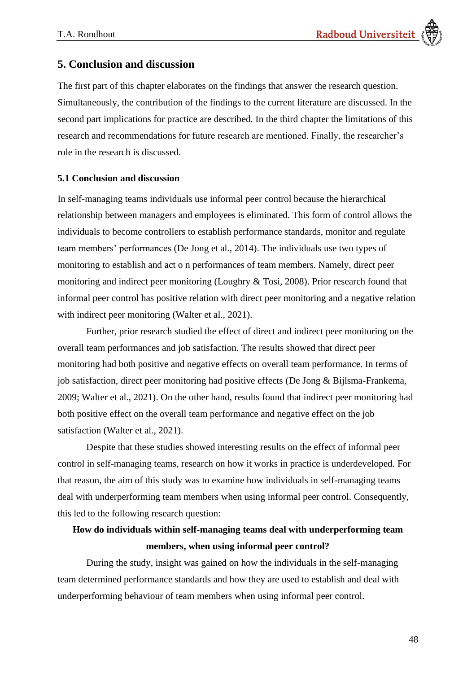# **5. Conclusion and discussion**

The first part of this chapter elaborates on the findings that answer the research question. Simultaneously, the contribution of the findings to the current literature are discussed. In the second part implications for practice are described. In the third chapter the limitations of this research and recommendations for future research are mentioned. Finally, the researcher's role in the research is discussed.

#### **5.1 Conclusion and discussion**

In self-managing teams individuals use informal peer control because the hierarchical relationship between managers and employees is eliminated. This form of control allows the individuals to become controllers to establish performance standards, monitor and regulate team members' performances (De Jong et al., 2014). The individuals use two types of monitoring to establish and act o n performances of team members. Namely, direct peer monitoring and indirect peer monitoring (Loughry & Tosi, 2008). Prior research found that informal peer control has positive relation with direct peer monitoring and a negative relation with indirect peer monitoring (Walter et al., 2021).

Further, prior research studied the effect of direct and indirect peer monitoring on the overall team performances and job satisfaction. The results showed that direct peer monitoring had both positive and negative effects on overall team performance. In terms of job satisfaction, direct peer monitoring had positive effects (De Jong & Bijlsma-Frankema, 2009; Walter et al., 2021). On the other hand, results found that indirect peer monitoring had both positive effect on the overall team performance and negative effect on the job satisfaction (Walter et al., 2021).

Despite that these studies showed interesting results on the effect of informal peer control in self-managing teams, research on how it works in practice is underdeveloped. For that reason, the aim of this study was to examine how individuals in self-managing teams deal with underperforming team members when using informal peer control. Consequently, this led to the following research question:

# **How do individuals within self-managing teams deal with underperforming team members, when using informal peer control?**

During the study, insight was gained on how the individuals in the self-managing team determined performance standards and how they are used to establish and deal with underperforming behaviour of team members when using informal peer control.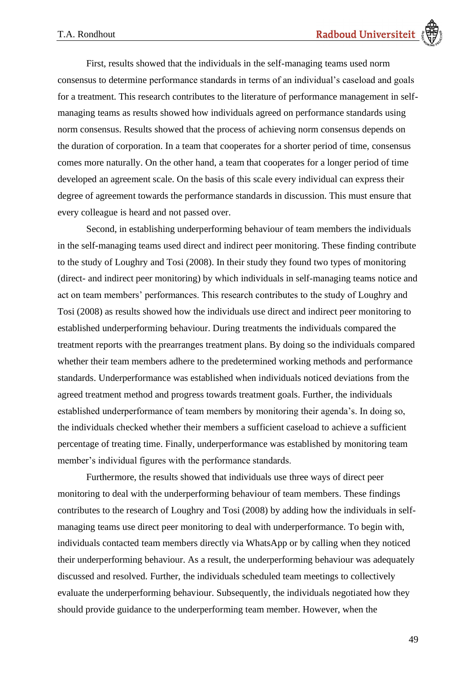First, results showed that the individuals in the self-managing teams used norm consensus to determine performance standards in terms of an individual's caseload and goals for a treatment. This research contributes to the literature of performance management in selfmanaging teams as results showed how individuals agreed on performance standards using norm consensus. Results showed that the process of achieving norm consensus depends on the duration of corporation. In a team that cooperates for a shorter period of time, consensus comes more naturally. On the other hand, a team that cooperates for a longer period of time developed an agreement scale. On the basis of this scale every individual can express their degree of agreement towards the performance standards in discussion. This must ensure that every colleague is heard and not passed over.

Second, in establishing underperforming behaviour of team members the individuals in the self-managing teams used direct and indirect peer monitoring. These finding contribute to the study of Loughry and Tosi (2008). In their study they found two types of monitoring (direct- and indirect peer monitoring) by which individuals in self-managing teams notice and act on team members' performances. This research contributes to the study of Loughry and Tosi (2008) as results showed how the individuals use direct and indirect peer monitoring to established underperforming behaviour. During treatments the individuals compared the treatment reports with the prearranges treatment plans. By doing so the individuals compared whether their team members adhere to the predetermined working methods and performance standards. Underperformance was established when individuals noticed deviations from the agreed treatment method and progress towards treatment goals. Further, the individuals established underperformance of team members by monitoring their agenda's. In doing so, the individuals checked whether their members a sufficient caseload to achieve a sufficient percentage of treating time. Finally, underperformance was established by monitoring team member's individual figures with the performance standards.

Furthermore, the results showed that individuals use three ways of direct peer monitoring to deal with the underperforming behaviour of team members. These findings contributes to the research of Loughry and Tosi (2008) by adding how the individuals in selfmanaging teams use direct peer monitoring to deal with underperformance. To begin with, individuals contacted team members directly via WhatsApp or by calling when they noticed their underperforming behaviour. As a result, the underperforming behaviour was adequately discussed and resolved. Further, the individuals scheduled team meetings to collectively evaluate the underperforming behaviour. Subsequently, the individuals negotiated how they should provide guidance to the underperforming team member. However, when the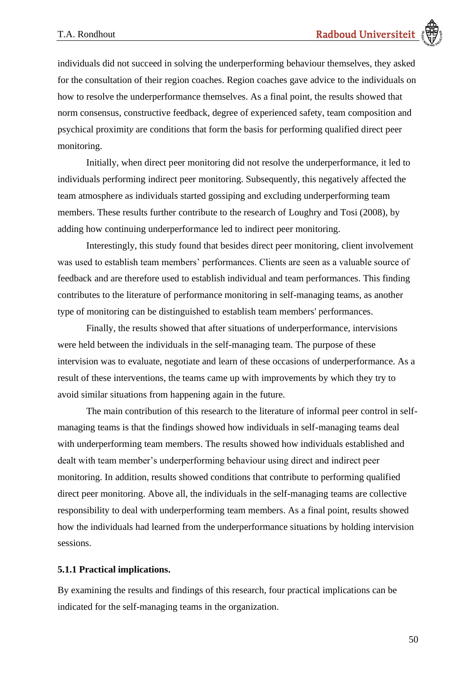

individuals did not succeed in solving the underperforming behaviour themselves, they asked for the consultation of their region coaches. Region coaches gave advice to the individuals on how to resolve the underperformance themselves. As a final point, the results showed that norm consensus, constructive feedback, degree of experienced safety, team composition and psychical proximit*y* are conditions that form the basis for performing qualified direct peer monitoring.

Initially, when direct peer monitoring did not resolve the underperformance, it led to individuals performing indirect peer monitoring. Subsequently, this negatively affected the team atmosphere as individuals started gossiping and excluding underperforming team members. These results further contribute to the research of Loughry and Tosi (2008), by adding how continuing underperformance led to indirect peer monitoring.

Interestingly, this study found that besides direct peer monitoring, client involvement was used to establish team members' performances. Clients are seen as a valuable source of feedback and are therefore used to establish individual and team performances. This finding contributes to the literature of performance monitoring in self-managing teams, as another type of monitoring can be distinguished to establish team members' performances.

Finally, the results showed that after situations of underperformance, intervisions were held between the individuals in the self-managing team. The purpose of these intervision was to evaluate, negotiate and learn of these occasions of underperformance. As a result of these interventions, the teams came up with improvements by which they try to avoid similar situations from happening again in the future.

The main contribution of this research to the literature of informal peer control in selfmanaging teams is that the findings showed how individuals in self-managing teams deal with underperforming team members. The results showed how individuals established and dealt with team member's underperforming behaviour using direct and indirect peer monitoring. In addition, results showed conditions that contribute to performing qualified direct peer monitoring. Above all, the individuals in the self-managing teams are collective responsibility to deal with underperforming team members. As a final point, results showed how the individuals had learned from the underperformance situations by holding intervision sessions.

#### **5.1.1 Practical implications.**

By examining the results and findings of this research, four practical implications can be indicated for the self-managing teams in the organization.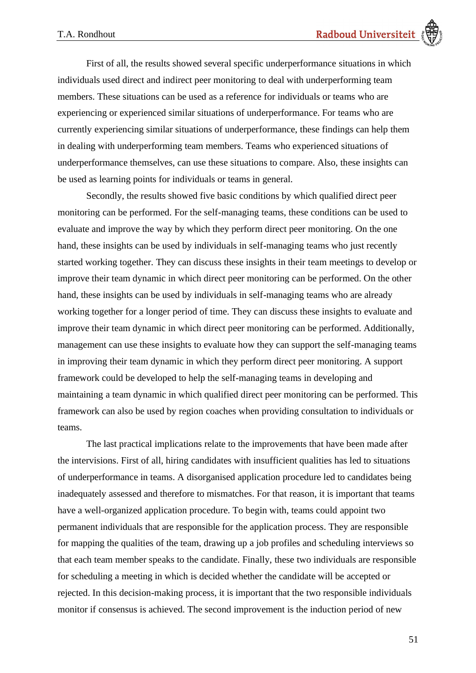First of all, the results showed several specific underperformance situations in which individuals used direct and indirect peer monitoring to deal with underperforming team members. These situations can be used as a reference for individuals or teams who are experiencing or experienced similar situations of underperformance. For teams who are currently experiencing similar situations of underperformance, these findings can help them in dealing with underperforming team members. Teams who experienced situations of underperformance themselves, can use these situations to compare. Also, these insights can be used as learning points for individuals or teams in general.

Secondly, the results showed five basic conditions by which qualified direct peer monitoring can be performed. For the self-managing teams, these conditions can be used to evaluate and improve the way by which they perform direct peer monitoring. On the one hand, these insights can be used by individuals in self-managing teams who just recently started working together. They can discuss these insights in their team meetings to develop or improve their team dynamic in which direct peer monitoring can be performed. On the other hand, these insights can be used by individuals in self-managing teams who are already working together for a longer period of time. They can discuss these insights to evaluate and improve their team dynamic in which direct peer monitoring can be performed. Additionally, management can use these insights to evaluate how they can support the self-managing teams in improving their team dynamic in which they perform direct peer monitoring. A support framework could be developed to help the self-managing teams in developing and maintaining a team dynamic in which qualified direct peer monitoring can be performed. This framework can also be used by region coaches when providing consultation to individuals or teams.

The last practical implications relate to the improvements that have been made after the intervisions. First of all, hiring candidates with insufficient qualities has led to situations of underperformance in teams. A disorganised application procedure led to candidates being inadequately assessed and therefore to mismatches. For that reason, it is important that teams have a well-organized application procedure. To begin with, teams could appoint two permanent individuals that are responsible for the application process. They are responsible for mapping the qualities of the team, drawing up a job profiles and scheduling interviews so that each team member speaks to the candidate. Finally, these two individuals are responsible for scheduling a meeting in which is decided whether the candidate will be accepted or rejected. In this decision-making process, it is important that the two responsible individuals monitor if consensus is achieved. The second improvement is the induction period of new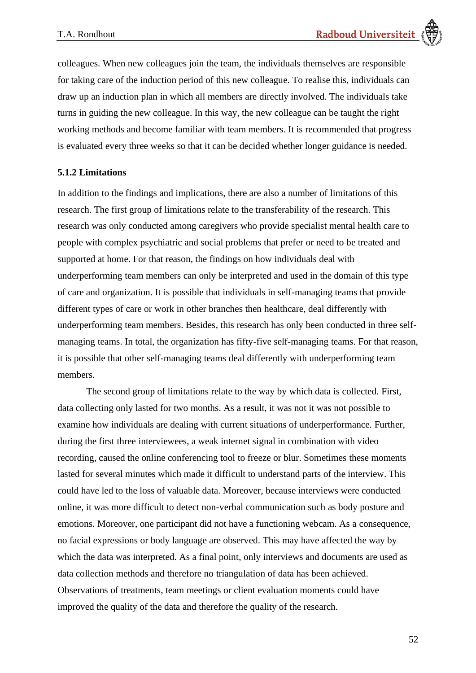colleagues. When new colleagues join the team, the individuals themselves are responsible for taking care of the induction period of this new colleague. To realise this, individuals can draw up an induction plan in which all members are directly involved. The individuals take turns in guiding the new colleague. In this way, the new colleague can be taught the right working methods and become familiar with team members. It is recommended that progress is evaluated every three weeks so that it can be decided whether longer guidance is needed.

### **5.1.2 Limitations**

In addition to the findings and implications, there are also a number of limitations of this research. The first group of limitations relate to the transferability of the research. This research was only conducted among caregivers who provide specialist mental health care to people with complex psychiatric and social problems that prefer or need to be treated and supported at home. For that reason, the findings on how individuals deal with underperforming team members can only be interpreted and used in the domain of this type of care and organization. It is possible that individuals in self-managing teams that provide different types of care or work in other branches then healthcare, deal differently with underperforming team members. Besides, this research has only been conducted in three selfmanaging teams. In total, the organization has fifty-five self-managing teams. For that reason, it is possible that other self-managing teams deal differently with underperforming team members.

The second group of limitations relate to the way by which data is collected. First, data collecting only lasted for two months. As a result, it was not it was not possible to examine how individuals are dealing with current situations of underperformance. Further, during the first three interviewees, a weak internet signal in combination with video recording, caused the online conferencing tool to freeze or blur. Sometimes these moments lasted for several minutes which made it difficult to understand parts of the interview. This could have led to the loss of valuable data. Moreover, because interviews were conducted online, it was more difficult to detect non-verbal communication such as body posture and emotions. Moreover, one participant did not have a functioning webcam. As a consequence, no facial expressions or body language are observed. This may have affected the way by which the data was interpreted. As a final point, only interviews and documents are used as data collection methods and therefore no triangulation of data has been achieved. Observations of treatments, team meetings or client evaluation moments could have improved the quality of the data and therefore the quality of the research.

52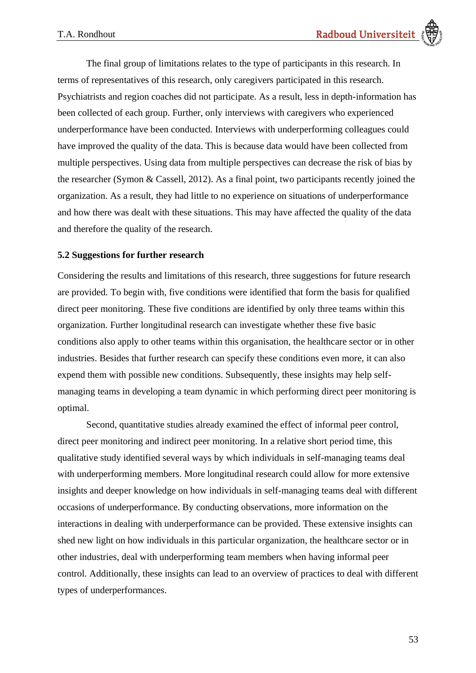The final group of limitations relates to the type of participants in this research. In terms of representatives of this research, only caregivers participated in this research. Psychiatrists and region coaches did not participate. As a result, less in depth-information has been collected of each group. Further, only interviews with caregivers who experienced underperformance have been conducted. Interviews with underperforming colleagues could have improved the quality of the data. This is because data would have been collected from multiple perspectives. Using data from multiple perspectives can decrease the risk of bias by the researcher (Symon & Cassell, 2012). As a final point, two participants recently joined the organization. As a result, they had little to no experience on situations of underperformance and how there was dealt with these situations. This may have affected the quality of the data and therefore the quality of the research.

### **5.2 Suggestions for further research**

Considering the results and limitations of this research, three suggestions for future research are provided. To begin with, five conditions were identified that form the basis for qualified direct peer monitoring. These five conditions are identified by only three teams within this organization. Further longitudinal research can investigate whether these five basic conditions also apply to other teams within this organisation, the healthcare sector or in other industries. Besides that further research can specify these conditions even more, it can also expend them with possible new conditions. Subsequently, these insights may help selfmanaging teams in developing a team dynamic in which performing direct peer monitoring is optimal.

Second, quantitative studies already examined the effect of informal peer control, direct peer monitoring and indirect peer monitoring. In a relative short period time, this qualitative study identified several ways by which individuals in self-managing teams deal with underperforming members. More longitudinal research could allow for more extensive insights and deeper knowledge on how individuals in self-managing teams deal with different occasions of underperformance. By conducting observations, more information on the interactions in dealing with underperformance can be provided. These extensive insights can shed new light on how individuals in this particular organization, the healthcare sector or in other industries, deal with underperforming team members when having informal peer control. Additionally, these insights can lead to an overview of practices to deal with different types of underperformances.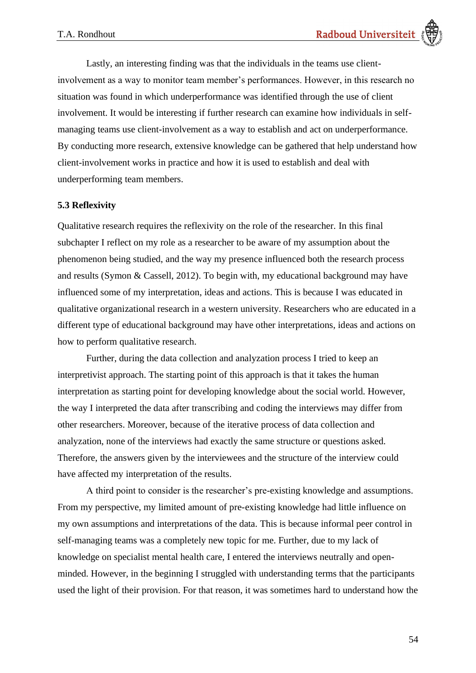Lastly, an interesting finding was that the individuals in the teams use clientinvolvement as a way to monitor team member's performances. However, in this research no situation was found in which underperformance was identified through the use of client involvement. It would be interesting if further research can examine how individuals in selfmanaging teams use client-involvement as a way to establish and act on underperformance. By conducting more research, extensive knowledge can be gathered that help understand how client-involvement works in practice and how it is used to establish and deal with underperforming team members.

#### **5.3 Reflexivity**

Qualitative research requires the reflexivity on the role of the researcher. In this final subchapter I reflect on my role as a researcher to be aware of my assumption about the phenomenon being studied, and the way my presence influenced both the research process and results (Symon & Cassell, 2012). To begin with, my educational background may have influenced some of my interpretation, ideas and actions. This is because I was educated in qualitative organizational research in a western university. Researchers who are educated in a different type of educational background may have other interpretations, ideas and actions on how to perform qualitative research.

Further, during the data collection and analyzation process I tried to keep an interpretivist approach. The starting point of this approach is that it takes the human interpretation as starting point for developing knowledge about the social world. However, the way I interpreted the data after transcribing and coding the interviews may differ from other researchers. Moreover, because of the iterative process of data collection and analyzation, none of the interviews had exactly the same structure or questions asked. Therefore, the answers given by the interviewees and the structure of the interview could have affected my interpretation of the results.

A third point to consider is the researcher's pre-existing knowledge and assumptions. From my perspective, my limited amount of pre-existing knowledge had little influence on my own assumptions and interpretations of the data. This is because informal peer control in self-managing teams was a completely new topic for me. Further, due to my lack of knowledge on specialist mental health care, I entered the interviews neutrally and openminded. However, in the beginning I struggled with understanding terms that the participants used the light of their provision. For that reason, it was sometimes hard to understand how the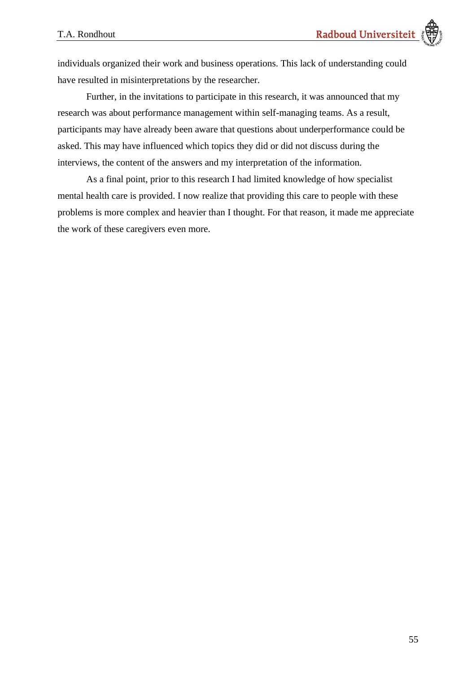individuals organized their work and business operations. This lack of understanding could have resulted in misinterpretations by the researcher.

Further, in the invitations to participate in this research, it was announced that my research was about performance management within self-managing teams. As a result, participants may have already been aware that questions about underperformance could be asked. This may have influenced which topics they did or did not discuss during the interviews, the content of the answers and my interpretation of the information.

As a final point, prior to this research I had limited knowledge of how specialist mental health care is provided. I now realize that providing this care to people with these problems is more complex and heavier than I thought. For that reason, it made me appreciate the work of these caregivers even more.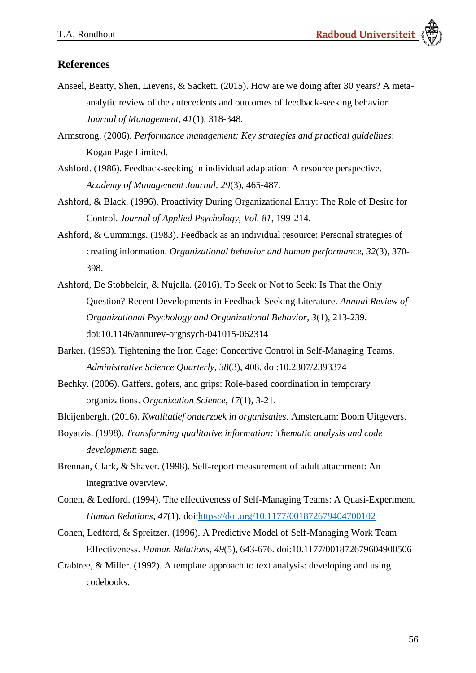# **References**

- Anseel, Beatty, Shen, Lievens, & Sackett. (2015). How are we doing after 30 years? A metaanalytic review of the antecedents and outcomes of feedback-seeking behavior. *Journal of Management, 41*(1), 318-348.
- Armstrong. (2006). *Performance management: Key strategies and practical guidelines*: Kogan Page Limited.
- Ashford. (1986). Feedback-seeking in individual adaptation: A resource perspective. *Academy of Management Journal, 29*(3), 465-487.
- Ashford, & Black. (1996). Proactivity During Organizational Entry: The Role of Desire for Control. *Journal of Applied Psychology, Vol. 81*, 199-214.
- Ashford, & Cummings. (1983). Feedback as an individual resource: Personal strategies of creating information. *Organizational behavior and human performance, 32*(3), 370- 398.
- Ashford, De Stobbeleir, & Nujella. (2016). To Seek or Not to Seek: Is That the Only Question? Recent Developments in Feedback-Seeking Literature. *Annual Review of Organizational Psychology and Organizational Behavior, 3*(1), 213-239. doi:10.1146/annurev-orgpsych-041015-062314
- Barker. (1993). Tightening the Iron Cage: Concertive Control in Self-Managing Teams. *Administrative Science Quarterly, 38*(3), 408. doi:10.2307/2393374
- Bechky. (2006). Gaffers, gofers, and grips: Role-based coordination in temporary organizations. *Organization Science, 17*(1), 3-21.
- Bleijenbergh. (2016). *Kwalitatief onderzoek in organisaties*. Amsterdam: Boom Uitgevers.
- Boyatzis. (1998). *Transforming qualitative information: Thematic analysis and code development*: sage.
- Brennan, Clark, & Shaver. (1998). Self-report measurement of adult attachment: An integrative overview.
- Cohen, & Ledford. (1994). The effectiveness of Self-Managing Teams: A Quasi-Experiment. *Human Relations, 47*(1). doi[:https://doi.org/10.1177/001872679404700102](https://doi.org/10.1177/001872679404700102)
- Cohen, Ledford, & Spreitzer. (1996). A Predictive Model of Self-Managing Work Team Effectiveness. *Human Relations, 49*(5), 643-676. doi:10.1177/001872679604900506
- Crabtree, & Miller. (1992). A template approach to text analysis: developing and using codebooks.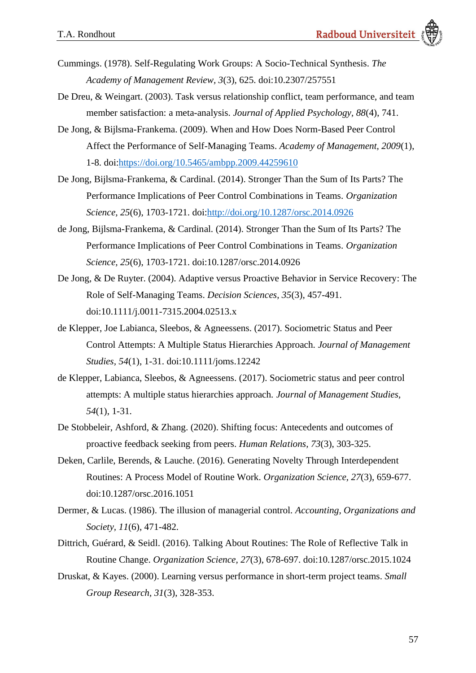- Cummings. (1978). Self-Regulating Work Groups: A Socio-Technical Synthesis. *The Academy of Management Review, 3*(3), 625. doi:10.2307/257551
- De Dreu, & Weingart. (2003). Task versus relationship conflict, team performance, and team member satisfaction: a meta-analysis. *Journal of Applied Psychology, 88*(4), 741.
- De Jong, & Bijlsma-Frankema. (2009). When and How Does Norm-Based Peer Control Affect the Performance of Self-Managing Teams. *Academy of Management, 2009*(1), 1-8. doi[:https://doi.org/10.5465/ambpp.2009.44259610](https://doi.org/10.5465/ambpp.2009.44259610)
- De Jong, Bijlsma-Frankema, & Cardinal. (2014). Stronger Than the Sum of Its Parts? The Performance Implications of Peer Control Combinations in Teams. *Organization Science, 25*(6), 1703-1721. doi[:http://doi.org/10.1287/orsc.2014.0926](http://doi.org/10.1287/orsc.2014.0926)
- de Jong, Bijlsma-Frankema, & Cardinal. (2014). Stronger Than the Sum of Its Parts? The Performance Implications of Peer Control Combinations in Teams. *Organization Science, 25*(6), 1703-1721. doi:10.1287/orsc.2014.0926
- De Jong, & De Ruyter. (2004). Adaptive versus Proactive Behavior in Service Recovery: The Role of Self-Managing Teams. *Decision Sciences, 35*(3), 457-491. doi:10.1111/j.0011-7315.2004.02513.x
- de Klepper, Joe Labianca, Sleebos, & Agneessens. (2017). Sociometric Status and Peer Control Attempts: A Multiple Status Hierarchies Approach. *Journal of Management Studies, 54*(1), 1-31. doi:10.1111/joms.12242
- de Klepper, Labianca, Sleebos, & Agneessens. (2017). Sociometric status and peer control attempts: A multiple status hierarchies approach. *Journal of Management Studies, 54*(1), 1-31.
- De Stobbeleir, Ashford, & Zhang. (2020). Shifting focus: Antecedents and outcomes of proactive feedback seeking from peers. *Human Relations, 73*(3), 303-325.
- Deken, Carlile, Berends, & Lauche. (2016). Generating Novelty Through Interdependent Routines: A Process Model of Routine Work. *Organization Science, 27*(3), 659-677. doi:10.1287/orsc.2016.1051
- Dermer, & Lucas. (1986). The illusion of managerial control. *Accounting, Organizations and Society, 11*(6), 471-482.
- Dittrich, Guérard, & Seidl. (2016). Talking About Routines: The Role of Reflective Talk in Routine Change. *Organization Science, 27*(3), 678-697. doi:10.1287/orsc.2015.1024
- Druskat, & Kayes. (2000). Learning versus performance in short-term project teams. *Small Group Research, 31*(3), 328-353.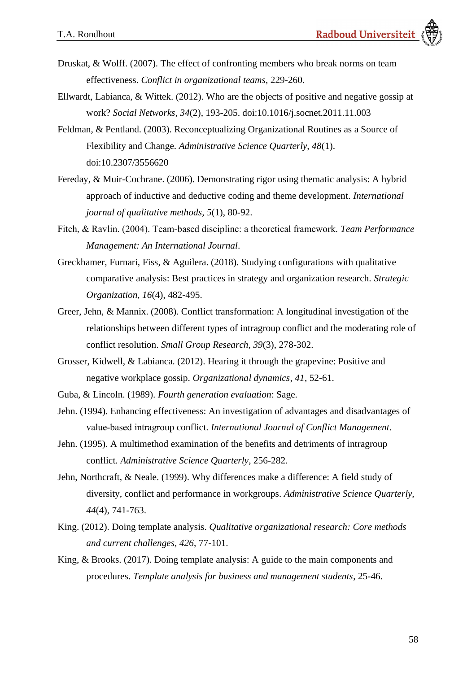- Druskat, & Wolff. (2007). The effect of confronting members who break norms on team effectiveness. *Conflict in organizational teams*, 229-260.
- Ellwardt, Labianca, & Wittek. (2012). Who are the objects of positive and negative gossip at work? *Social Networks, 34*(2), 193-205. doi:10.1016/j.socnet.2011.11.003
- Feldman, & Pentland. (2003). Reconceptualizing Organizational Routines as a Source of Flexibility and Change. *Administrative Science Quarterly, 48*(1). doi:10.2307/3556620
- Fereday, & Muir-Cochrane. (2006). Demonstrating rigor using thematic analysis: A hybrid approach of inductive and deductive coding and theme development. *International journal of qualitative methods, 5*(1), 80-92.
- Fitch, & Ravlin. (2004). Team‐based discipline: a theoretical framework. *Team Performance Management: An International Journal*.
- Greckhamer, Furnari, Fiss, & Aguilera. (2018). Studying configurations with qualitative comparative analysis: Best practices in strategy and organization research. *Strategic Organization, 16*(4), 482-495.
- Greer, Jehn, & Mannix. (2008). Conflict transformation: A longitudinal investigation of the relationships between different types of intragroup conflict and the moderating role of conflict resolution. *Small Group Research, 39*(3), 278-302.
- Grosser, Kidwell, & Labianca. (2012). Hearing it through the grapevine: Positive and negative workplace gossip. *Organizational dynamics, 41*, 52-61.
- Guba, & Lincoln. (1989). *Fourth generation evaluation*: Sage.
- Jehn. (1994). Enhancing effectiveness: An investigation of advantages and disadvantages of value‐based intragroup conflict. *International Journal of Conflict Management*.
- Jehn. (1995). A multimethod examination of the benefits and detriments of intragroup conflict. *Administrative Science Quarterly*, 256-282.
- Jehn, Northcraft, & Neale. (1999). Why differences make a difference: A field study of diversity, conflict and performance in workgroups. *Administrative Science Quarterly, 44*(4), 741-763.
- King. (2012). Doing template analysis. *Qualitative organizational research: Core methods and current challenges, 426*, 77-101.
- King, & Brooks. (2017). Doing template analysis: A guide to the main components and procedures. *Template analysis for business and management students*, 25-46.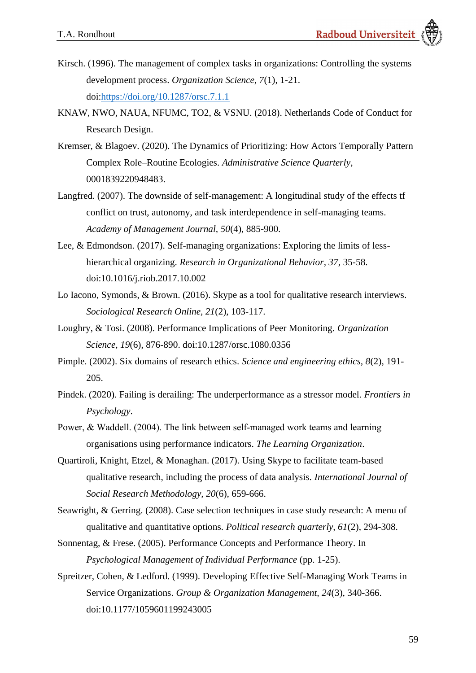- Kirsch. (1996). The management of complex tasks in organizations: Controlling the systems development process. *Organization Science, 7*(1), 1-21. doi[:https://doi.org/10.1287/orsc.7.1.1](https://doi.org/10.1287/orsc.7.1.1)
- KNAW, NWO, NAUA, NFUMC, TO2, & VSNU. (2018). Netherlands Code of Conduct for Research Design.
- Kremser, & Blagoev. (2020). The Dynamics of Prioritizing: How Actors Temporally Pattern Complex Role–Routine Ecologies. *Administrative Science Quarterly*, 0001839220948483.
- Langfred. (2007). The downside of self-management: A longitudinal study of the effects tf conflict on trust, autonomy, and task interdependence in self-managing teams. *Academy of Management Journal, 50*(4), 885-900.
- Lee, & Edmondson. (2017). Self-managing organizations: Exploring the limits of lesshierarchical organizing. *Research in Organizational Behavior, 37*, 35-58. doi:10.1016/j.riob.2017.10.002
- Lo Iacono, Symonds, & Brown. (2016). Skype as a tool for qualitative research interviews. *Sociological Research Online, 21*(2), 103-117.
- Loughry, & Tosi. (2008). Performance Implications of Peer Monitoring. *Organization Science, 19*(6), 876-890. doi:10.1287/orsc.1080.0356
- Pimple. (2002). Six domains of research ethics. *Science and engineering ethics, 8*(2), 191- 205.
- Pindek. (2020). Failing is derailing: The underperformance as a stressor model. *Frontiers in Psychology*.
- Power, & Waddell. (2004). The link between self-managed work teams and learning organisations using performance indicators. *The Learning Organization*.
- Quartiroli, Knight, Etzel, & Monaghan. (2017). Using Skype to facilitate team-based qualitative research, including the process of data analysis. *International Journal of Social Research Methodology, 20*(6), 659-666.
- Seawright, & Gerring. (2008). Case selection techniques in case study research: A menu of qualitative and quantitative options. *Political research quarterly, 61*(2), 294-308.
- Sonnentag, & Frese. (2005). Performance Concepts and Performance Theory. In *Psychological Management of Individual Performance* (pp. 1-25).
- Spreitzer, Cohen, & Ledford. (1999). Developing Effective Self-Managing Work Teams in Service Organizations. *Group & Organization Management, 24*(3), 340-366. doi:10.1177/1059601199243005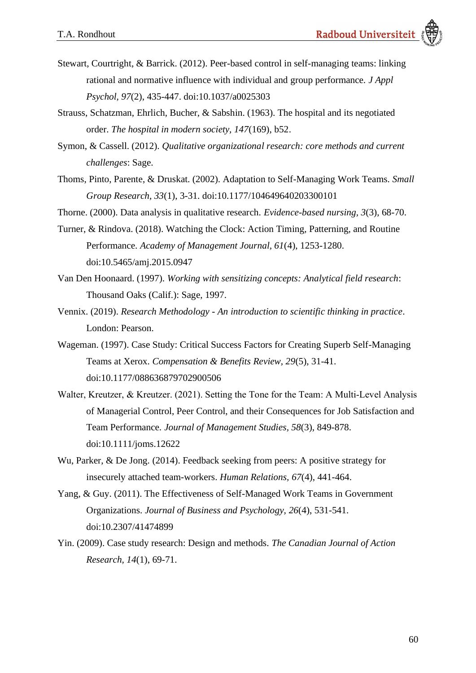- Stewart, Courtright, & Barrick. (2012). Peer-based control in self-managing teams: linking rational and normative influence with individual and group performance. *J Appl Psychol, 97*(2), 435-447. doi:10.1037/a0025303
- Strauss, Schatzman, Ehrlich, Bucher, & Sabshin. (1963). The hospital and its negotiated order. *The hospital in modern society, 147*(169), b52.
- Symon, & Cassell. (2012). *Qualitative organizational research: core methods and current challenges*: Sage.
- Thoms, Pinto, Parente, & Druskat. (2002). Adaptation to Self-Managing Work Teams. *Small Group Research, 33*(1), 3-31. doi:10.1177/104649640203300101
- Thorne. (2000). Data analysis in qualitative research. *Evidence-based nursing, 3*(3), 68-70.
- Turner, & Rindova. (2018). Watching the Clock: Action Timing, Patterning, and Routine Performance. *Academy of Management Journal, 61*(4), 1253-1280. doi:10.5465/amj.2015.0947
- Van Den Hoonaard. (1997). *Working with sensitizing concepts: Analytical field research*: Thousand Oaks (Calif.): Sage, 1997.
- Vennix. (2019). *Research Methodology - An introduction to scientific thinking in practice*. London: Pearson.
- Wageman. (1997). Case Study: Critical Success Factors for Creating Superb Self-Managing Teams at Xerox. *Compensation & Benefits Review, 29*(5), 31-41. doi:10.1177/088636879702900506
- Walter, Kreutzer, & Kreutzer. (2021). Setting the Tone for the Team: A Multi-Level Analysis of Managerial Control, Peer Control, and their Consequences for Job Satisfaction and Team Performance. *Journal of Management Studies, 58*(3), 849-878. doi:10.1111/joms.12622
- Wu, Parker, & De Jong. (2014). Feedback seeking from peers: A positive strategy for insecurely attached team-workers. *Human Relations, 67*(4), 441-464.
- Yang, & Guy. (2011). The Effectiveness of Self-Managed Work Teams in Government Organizations. *Journal of Business and Psychology, 26*(4), 531-541. doi:10.2307/41474899
- Yin. (2009). Case study research: Design and methods. *The Canadian Journal of Action Research, 14*(1), 69-71.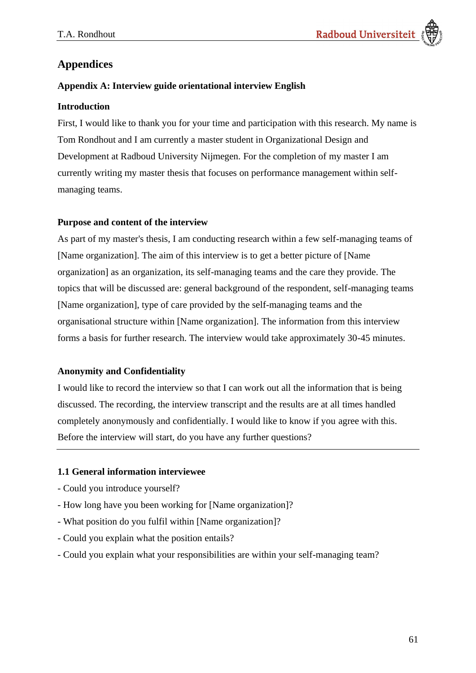# **Appendices**

# **Appendix A: Interview guide orientational interview English**

# **Introduction**

First, I would like to thank you for your time and participation with this research. My name is Tom Rondhout and I am currently a master student in Organizational Design and Development at Radboud University Nijmegen. For the completion of my master I am currently writing my master thesis that focuses on performance management within selfmanaging teams.

# **Purpose and content of the interview**

As part of my master's thesis, I am conducting research within a few self-managing teams of [Name organization]. The aim of this interview is to get a better picture of [Name organization] as an organization, its self-managing teams and the care they provide. The topics that will be discussed are: general background of the respondent, self-managing teams [Name organization], type of care provided by the self-managing teams and the organisational structure within [Name organization]. The information from this interview forms a basis for further research. The interview would take approximately 30-45 minutes.

# **Anonymity and Confidentiality**

I would like to record the interview so that I can work out all the information that is being discussed. The recording, the interview transcript and the results are at all times handled completely anonymously and confidentially. I would like to know if you agree with this. Before the interview will start, do you have any further questions?

# **1.1 General information interviewee**

- Could you introduce yourself?
- How long have you been working for [Name organization]?
- What position do you fulfil within [Name organization]?
- Could you explain what the position entails?
- Could you explain what your responsibilities are within your self-managing team?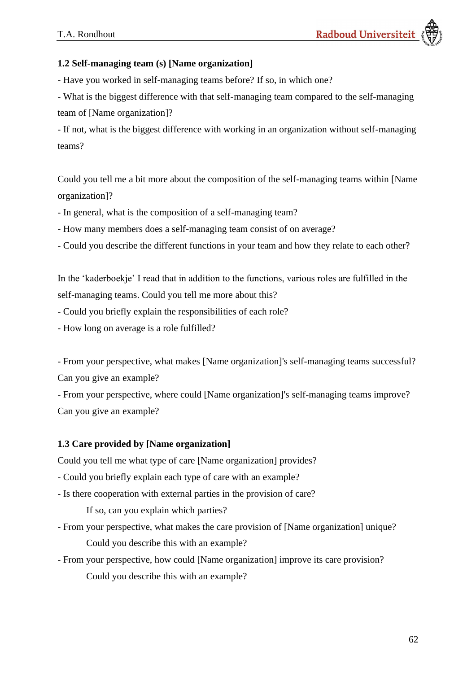### **1.2 Self-managing team (s) [Name organization]**

- Have you worked in self-managing teams before? If so, in which one?

- What is the biggest difference with that self-managing team compared to the self-managing team of [Name organization]?

- If not, what is the biggest difference with working in an organization without self-managing teams?

Could you tell me a bit more about the composition of the self-managing teams within [Name organization]?

- In general, what is the composition of a self-managing team?
- How many members does a self-managing team consist of on average?
- Could you describe the different functions in your team and how they relate to each other?

In the 'kaderboekje' I read that in addition to the functions, various roles are fulfilled in the self-managing teams. Could you tell me more about this?

- Could you briefly explain the responsibilities of each role?
- How long on average is a role fulfilled?

- From your perspective, what makes [Name organization]'s self-managing teams successful? Can you give an example?

- From your perspective, where could [Name organization]'s self-managing teams improve? Can you give an example?

#### **1.3 Care provided by [Name organization]**

Could you tell me what type of care [Name organization] provides?

- Could you briefly explain each type of care with an example?
- Is there cooperation with external parties in the provision of care?

If so, can you explain which parties?

- From your perspective, what makes the care provision of [Name organization] unique? Could you describe this with an example?
- From your perspective, how could [Name organization] improve its care provision? Could you describe this with an example?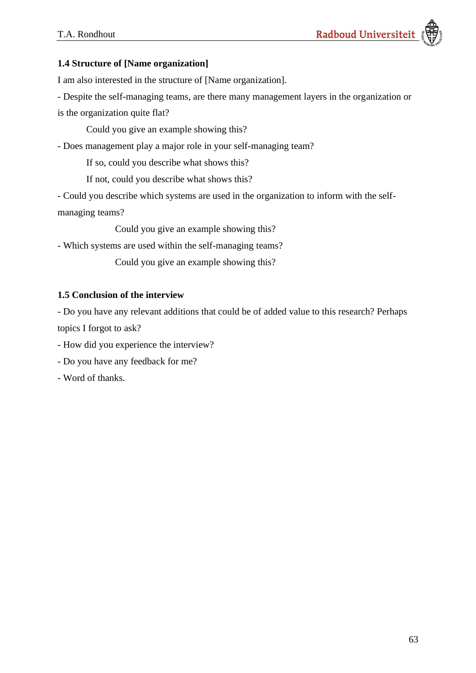# **1.4 Structure of [Name organization]**

I am also interested in the structure of [Name organization].

- Despite the self-managing teams, are there many management layers in the organization or

is the organization quite flat?

Could you give an example showing this?

- Does management play a major role in your self-managing team?

If so, could you describe what shows this?

If not, could you describe what shows this?

- Could you describe which systems are used in the organization to inform with the selfmanaging teams?

Could you give an example showing this?

- Which systems are used within the self-managing teams?

Could you give an example showing this?

# **1.5 Conclusion of the interview**

- Do you have any relevant additions that could be of added value to this research? Perhaps topics I forgot to ask?

- How did you experience the interview?

- Do you have any feedback for me?

- Word of thanks.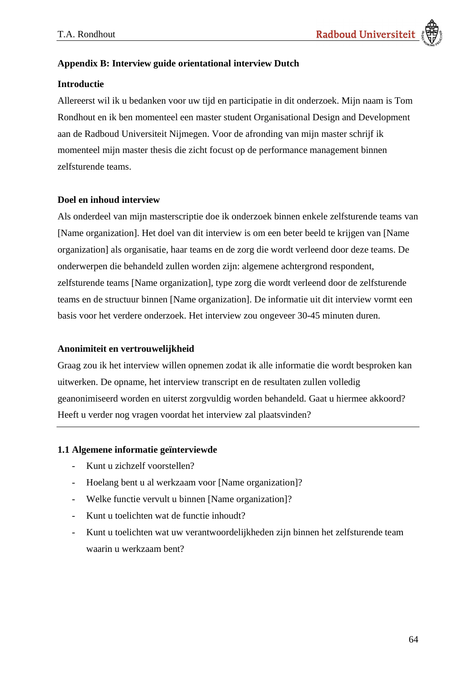### **Appendix B: Interview guide orientational interview Dutch**

#### **Introductie**

Allereerst wil ik u bedanken voor uw tijd en participatie in dit onderzoek. Mijn naam is Tom Rondhout en ik ben momenteel een master student Organisational Design and Development aan de Radboud Universiteit Nijmegen. Voor de afronding van mijn master schrijf ik momenteel mijn master thesis die zicht focust op de performance management binnen zelfsturende teams.

#### **Doel en inhoud interview**

Als onderdeel van mijn masterscriptie doe ik onderzoek binnen enkele zelfsturende teams van [Name organization]. Het doel van dit interview is om een beter beeld te krijgen van [Name organization] als organisatie, haar teams en de zorg die wordt verleend door deze teams. De onderwerpen die behandeld zullen worden zijn: algemene achtergrond respondent, zelfsturende teams [Name organization], type zorg die wordt verleend door de zelfsturende teams en de structuur binnen [Name organization]. De informatie uit dit interview vormt een basis voor het verdere onderzoek. Het interview zou ongeveer 30-45 minuten duren.

#### **Anonimiteit en vertrouwelijkheid**

Graag zou ik het interview willen opnemen zodat ik alle informatie die wordt besproken kan uitwerken. De opname, het interview transcript en de resultaten zullen volledig geanonimiseerd worden en uiterst zorgvuldig worden behandeld. Gaat u hiermee akkoord? Heeft u verder nog vragen voordat het interview zal plaatsvinden?

#### **1.1 Algemene informatie geïnterviewde**

- Kunt u zichzelf voorstellen?
- Hoelang bent u al werkzaam voor [Name organization]?
- Welke functie vervult u binnen [Name organization]?
- Kunt u toelichten wat de functie inhoudt?
- Kunt u toelichten wat uw verantwoordelijkheden zijn binnen het zelfsturende team waarin u werkzaam bent?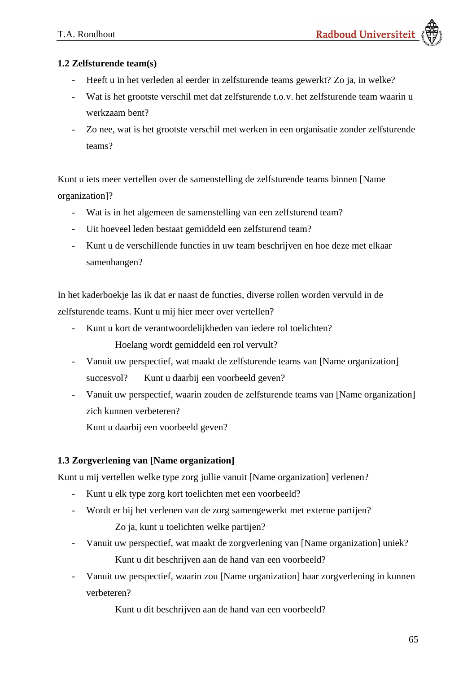# **1.2 Zelfsturende team(s)**

- Heeft u in het verleden al eerder in zelfsturende teams gewerkt? Zo ja, in welke?
- Wat is het grootste verschil met dat zelfsturende t.o.v. het zelfsturende team waarin u werkzaam bent?
- Zo nee, wat is het grootste verschil met werken in een organisatie zonder zelfsturende teams?

Kunt u iets meer vertellen over de samenstelling de zelfsturende teams binnen [Name organization]?

- Wat is in het algemeen de samenstelling van een zelfsturend team?
- Uit hoeveel leden bestaat gemiddeld een zelfsturend team?
- Kunt u de verschillende functies in uw team beschrijven en hoe deze met elkaar samenhangen?

In het kaderboekje las ik dat er naast de functies, diverse rollen worden vervuld in de zelfsturende teams. Kunt u mij hier meer over vertellen?

- Kunt u kort de verantwoordelijkheden van iedere rol toelichten? Hoelang wordt gemiddeld een rol vervult?
- Vanuit uw perspectief, wat maakt de zelfsturende teams van [Name organization] succesvol? Kunt u daarbij een voorbeeld geven?
- Vanuit uw perspectief, waarin zouden de zelfsturende teams van [Name organization] zich kunnen verbeteren?

Kunt u daarbij een voorbeeld geven?

# **1.3 Zorgverlening van [Name organization]**

Kunt u mij vertellen welke type zorg jullie vanuit [Name organization] verlenen?

- Kunt u elk type zorg kort toelichten met een voorbeeld?
- Wordt er bij het verlenen van de zorg samengewerkt met externe partijen?

Zo ja, kunt u toelichten welke partijen?

- Vanuit uw perspectief, wat maakt de zorgverlening van [Name organization] uniek?

Kunt u dit beschrijven aan de hand van een voorbeeld?

- Vanuit uw perspectief, waarin zou [Name organization] haar zorgverlening in kunnen verbeteren?

Kunt u dit beschrijven aan de hand van een voorbeeld?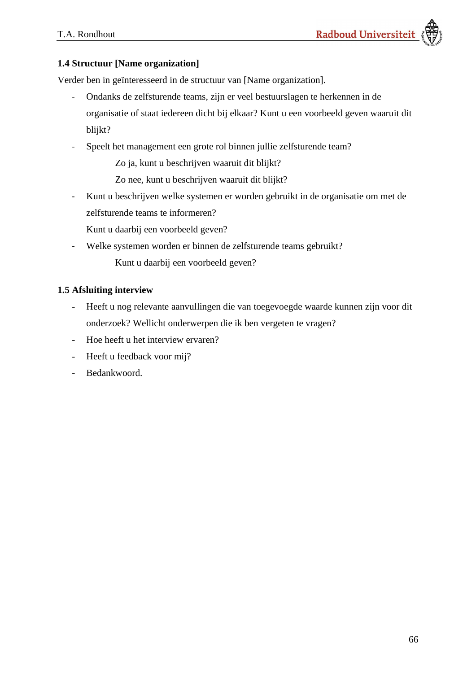### **1.4 Structuur [Name organization]**

Verder ben in geïnteresseerd in de structuur van [Name organization].

- Ondanks de zelfsturende teams, zijn er veel bestuurslagen te herkennen in de organisatie of staat iedereen dicht bij elkaar? Kunt u een voorbeeld geven waaruit dit blijkt?
- Speelt het management een grote rol binnen jullie zelfsturende team?

Zo ja, kunt u beschrijven waaruit dit blijkt?

Zo nee, kunt u beschrijven waaruit dit blijkt?

- Kunt u beschrijven welke systemen er worden gebruikt in de organisatie om met de zelfsturende teams te informeren?

Kunt u daarbij een voorbeeld geven?

- Welke systemen worden er binnen de zelfsturende teams gebruikt? Kunt u daarbij een voorbeeld geven?

### **1.5 Afsluiting interview**

- Heeft u nog relevante aanvullingen die van toegevoegde waarde kunnen zijn voor dit onderzoek? Wellicht onderwerpen die ik ben vergeten te vragen?
- Hoe heeft u het interview ervaren?
- Heeft u feedback voor mij?
- Bedankwoord.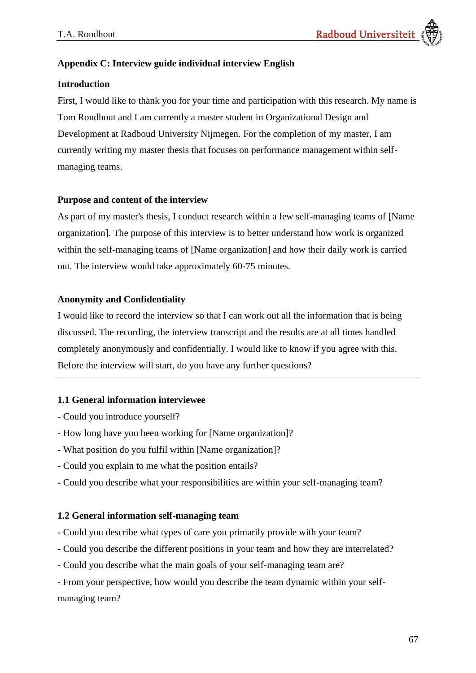# **Appendix C: Interview guide individual interview English**

### **Introduction**

First, I would like to thank you for your time and participation with this research. My name is Tom Rondhout and I am currently a master student in Organizational Design and Development at Radboud University Nijmegen. For the completion of my master, I am currently writing my master thesis that focuses on performance management within selfmanaging teams.

### **Purpose and content of the interview**

As part of my master's thesis, I conduct research within a few self-managing teams of [Name organization]. The purpose of this interview is to better understand how work is organized within the self-managing teams of [Name organization] and how their daily work is carried out. The interview would take approximately 60-75 minutes.

### **Anonymity and Confidentiality**

I would like to record the interview so that I can work out all the information that is being discussed. The recording, the interview transcript and the results are at all times handled completely anonymously and confidentially. I would like to know if you agree with this. Before the interview will start, do you have any further questions?

# **1.1 General information interviewee**

- Could you introduce yourself?
- How long have you been working for [Name organization]?
- What position do you fulfil within [Name organization]?
- Could you explain to me what the position entails?
- Could you describe what your responsibilities are within your self-managing team?

### **1.2 General information self-managing team**

- Could you describe what types of care you primarily provide with your team?
- Could you describe the different positions in your team and how they are interrelated?
- Could you describe what the main goals of your self-managing team are?

- From your perspective, how would you describe the team dynamic within your selfmanaging team?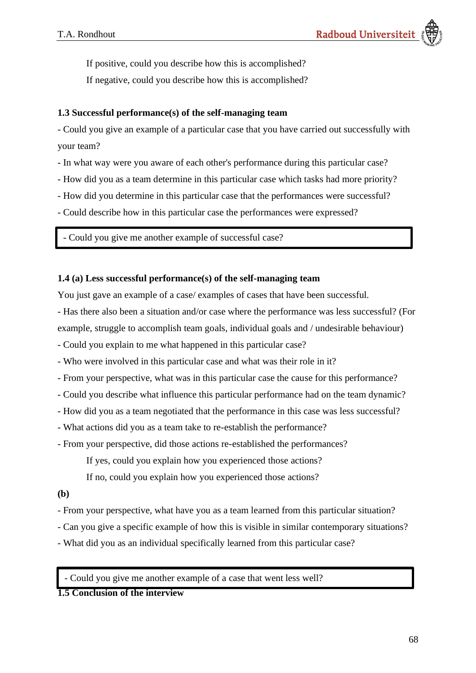If positive, could you describe how this is accomplished?

If negative, could you describe how this is accomplished?

### **1.3 Successful performance(s) of the self-managing team**

- Could you give an example of a particular case that you have carried out successfully with your team?

- In what way were you aware of each other's performance during this particular case?
- How did you as a team determine in this particular case which tasks had more priority?
- How did you determine in this particular case that the performances were successful?
- Could describe how in this particular case the performances were expressed?

- Could you give me another example of successful case?

### **1.4 (a) Less successful performance(s) of the self-managing team**

You just gave an example of a case/ examples of cases that have been successful.

- Has there also been a situation and/or case where the performance was less successful? (For
- example, struggle to accomplish team goals, individual goals and / undesirable behaviour)
- Could you explain to me what happened in this particular case?
- Who were involved in this particular case and what was their role in it?
- From your perspective, what was in this particular case the cause for this performance?
- Could you describe what influence this particular performance had on the team dynamic?
- How did you as a team negotiated that the performance in this case was less successful?
- What actions did you as a team take to re-establish the performance?
- From your perspective, did those actions re-established the performances?
	- If yes, could you explain how you experienced those actions?

If no, could you explain how you experienced those actions?

### **(b)**

- From your perspective, what have you as a team learned from this particular situation?
- Can you give a specific example of how this is visible in similar contemporary situations?
- What did you as an individual specifically learned from this particular case?

- Could you give me another example of a case that went less well?

# **1.5 Conclusion of the interview**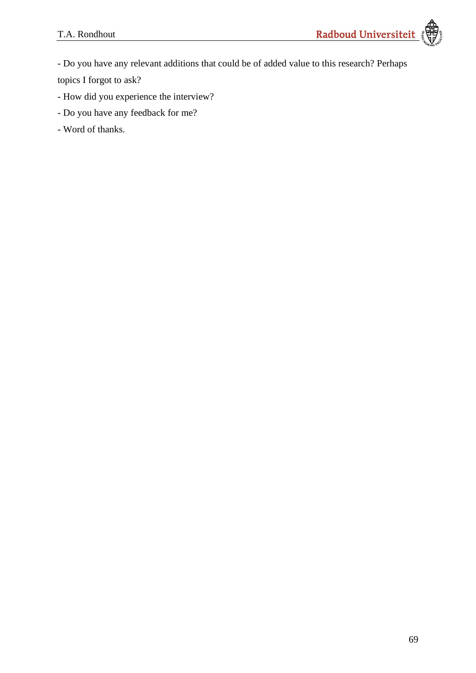- Do you have any relevant additions that could be of added value to this research? Perhaps

topics I forgot to ask?

- How did you experience the interview?
- Do you have any feedback for me?
- Word of thanks.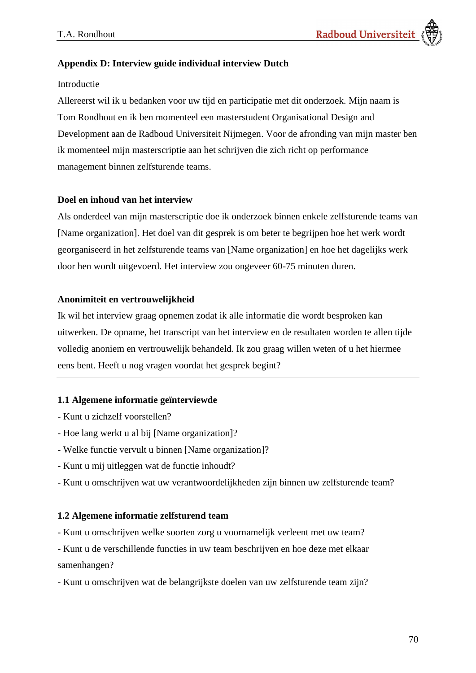### **Appendix D: Interview guide individual interview Dutch**

#### Introductie

Allereerst wil ik u bedanken voor uw tijd en participatie met dit onderzoek. Mijn naam is Tom Rondhout en ik ben momenteel een masterstudent Organisational Design and Development aan de Radboud Universiteit Nijmegen. Voor de afronding van mijn master ben ik momenteel mijn masterscriptie aan het schrijven die zich richt op performance management binnen zelfsturende teams.

#### **Doel en inhoud van het interview**

Als onderdeel van mijn masterscriptie doe ik onderzoek binnen enkele zelfsturende teams van [Name organization]. Het doel van dit gesprek is om beter te begrijpen hoe het werk wordt georganiseerd in het zelfsturende teams van [Name organization] en hoe het dagelijks werk door hen wordt uitgevoerd. Het interview zou ongeveer 60-75 minuten duren.

#### **Anonimiteit en vertrouwelijkheid**

Ik wil het interview graag opnemen zodat ik alle informatie die wordt besproken kan uitwerken. De opname, het transcript van het interview en de resultaten worden te allen tijde volledig anoniem en vertrouwelijk behandeld. Ik zou graag willen weten of u het hiermee eens bent. Heeft u nog vragen voordat het gesprek begint?

### **1.1 Algemene informatie geïnterviewde**

- Kunt u zichzelf voorstellen?
- Hoe lang werkt u al bij [Name organization]?
- Welke functie vervult u binnen [Name organization]?
- Kunt u mij uitleggen wat de functie inhoudt?
- Kunt u omschrijven wat uw verantwoordelijkheden zijn binnen uw zelfsturende team?

#### **1.2 Algemene informatie zelfsturend team**

- Kunt u omschrijven welke soorten zorg u voornamelijk verleent met uw team?
- Kunt u de verschillende functies in uw team beschrijven en hoe deze met elkaar samenhangen?
- Kunt u omschrijven wat de belangrijkste doelen van uw zelfsturende team zijn?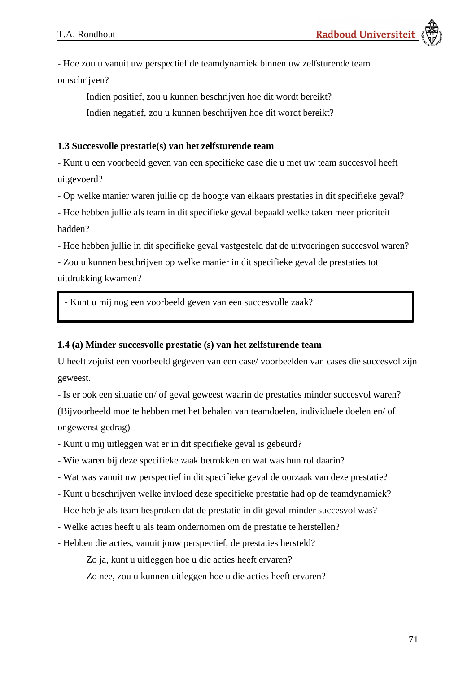- Hoe zou u vanuit uw perspectief de teamdynamiek binnen uw zelfsturende team omschrijven?

Indien positief, zou u kunnen beschrijven hoe dit wordt bereikt? Indien negatief, zou u kunnen beschrijven hoe dit wordt bereikt?

#### **1.3 Succesvolle prestatie(s) van het zelfsturende team**

- Kunt u een voorbeeld geven van een specifieke case die u met uw team succesvol heeft uitgevoerd?

- Op welke manier waren jullie op de hoogte van elkaars prestaties in dit specifieke geval?

- Hoe hebben jullie als team in dit specifieke geval bepaald welke taken meer prioriteit hadden?

- Hoe hebben jullie in dit specifieke geval vastgesteld dat de uitvoeringen succesvol waren?

- Zou u kunnen beschrijven op welke manier in dit specifieke geval de prestaties tot uitdrukking kwamen?

- Kunt u mij nog een voorbeeld geven van een succesvolle zaak?

#### **1.4 (a) Minder succesvolle prestatie (s) van het zelfsturende team**

U heeft zojuist een voorbeeld gegeven van een case/ voorbeelden van cases die succesvol zijn geweest.

- Is er ook een situatie en/ of geval geweest waarin de prestaties minder succesvol waren? (Bijvoorbeeld moeite hebben met het behalen van teamdoelen, individuele doelen en/ of ongewenst gedrag)

- Kunt u mij uitleggen wat er in dit specifieke geval is gebeurd?
- Wie waren bij deze specifieke zaak betrokken en wat was hun rol daarin?
- Wat was vanuit uw perspectief in dit specifieke geval de oorzaak van deze prestatie?
- Kunt u beschrijven welke invloed deze specifieke prestatie had op de teamdynamiek?
- Hoe heb je als team besproken dat de prestatie in dit geval minder succesvol was?
- Welke acties heeft u als team ondernomen om de prestatie te herstellen?
- Hebben die acties, vanuit jouw perspectief, de prestaties hersteld?

Zo ja, kunt u uitleggen hoe u die acties heeft ervaren?

Zo nee, zou u kunnen uitleggen hoe u die acties heeft ervaren?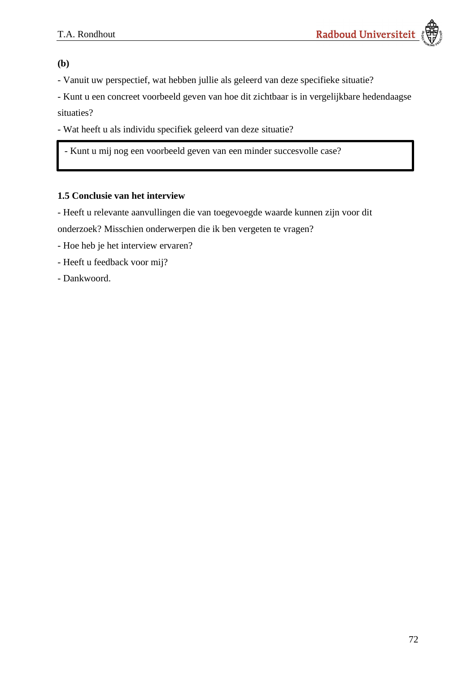**(b)**

- Vanuit uw perspectief, wat hebben jullie als geleerd van deze specifieke situatie?

- Kunt u een concreet voorbeeld geven van hoe dit zichtbaar is in vergelijkbare hedendaagse

situaties?

- Wat heeft u als individu specifiek geleerd van deze situatie?

- Kunt u mij nog een voorbeeld geven van een minder succesvolle case?

### **1.5 Conclusie van het interview**

- Heeft u relevante aanvullingen die van toegevoegde waarde kunnen zijn voor dit onderzoek? Misschien onderwerpen die ik ben vergeten te vragen?

- Hoe heb je het interview ervaren?
- Heeft u feedback voor mij?
- Dankwoord.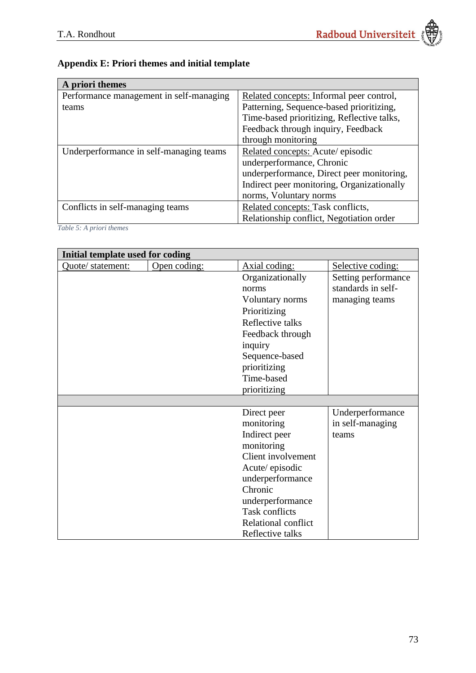## **Appendix E: Priori themes and initial template**

| A priori themes                         |                                            |
|-----------------------------------------|--------------------------------------------|
| Performance management in self-managing | Related concepts: Informal peer control,   |
| teams                                   | Patterning, Sequence-based prioritizing,   |
|                                         | Time-based prioritizing, Reflective talks, |
|                                         | Feedback through inquiry, Feedback         |
|                                         | through monitoring                         |
| Underperformance in self-managing teams | Related concepts: Acute/episodic           |
|                                         | underperformance, Chronic                  |
|                                         | underperformance, Direct peer monitoring,  |
|                                         | Indirect peer monitoring, Organizationally |
|                                         | norms, Voluntary norms                     |
| Conflicts in self-managing teams        | Related concepts: Task conflicts,          |
|                                         | Relationship conflict, Negotiation order   |

*Table 5: A priori themes*

| Initial template used for coding |              |                       |                     |
|----------------------------------|--------------|-----------------------|---------------------|
| Quote/ statement:                | Open coding: | Axial coding:         | Selective coding:   |
|                                  |              | Organizationally      | Setting performance |
|                                  |              | norms                 | standards in self-  |
|                                  |              | Voluntary norms       | managing teams      |
|                                  |              | Prioritizing          |                     |
|                                  |              | Reflective talks      |                     |
|                                  |              | Feedback through      |                     |
|                                  |              | inquiry               |                     |
|                                  |              | Sequence-based        |                     |
|                                  |              | prioritizing          |                     |
|                                  |              | Time-based            |                     |
|                                  |              | prioritizing          |                     |
|                                  |              |                       |                     |
|                                  |              | Direct peer           | Underperformance    |
|                                  |              | monitoring            | in self-managing    |
|                                  |              | Indirect peer         | teams               |
|                                  |              | monitoring            |                     |
|                                  |              | Client involvement    |                     |
|                                  |              | Acute/episodic        |                     |
|                                  |              | underperformance      |                     |
|                                  |              | Chronic               |                     |
|                                  |              | underperformance      |                     |
|                                  |              | <b>Task conflicts</b> |                     |
|                                  |              | Relational conflict   |                     |
|                                  |              | Reflective talks      |                     |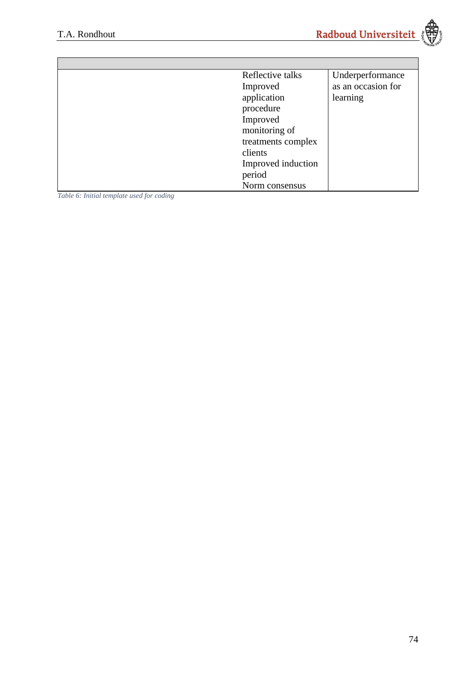

| Reflective talks | Underperformance   |
|------------------|--------------------|
| Improved         | as an occasion for |
| application      | learning           |
| procedure        |                    |
| Improved         |                    |
| monitoring of    |                    |
|                  | treatments complex |
| clients          |                    |
|                  | Improved induction |
| period           |                    |
| Norm consensus   |                    |

*Table 6: Initial template used for coding*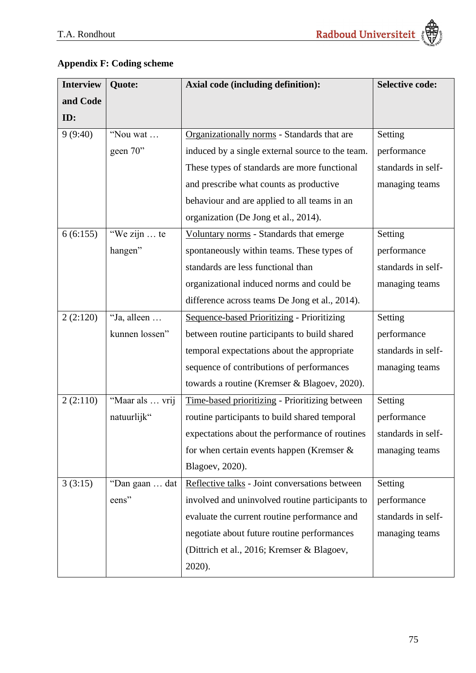## **Appendix F: Coding scheme**

| <b>Interview</b> | Quote:          | <b>Axial code (including definition):</b>        | <b>Selective code:</b> |
|------------------|-----------------|--------------------------------------------------|------------------------|
| and Code         |                 |                                                  |                        |
| ID:              |                 |                                                  |                        |
| 9(9:40)          | "Nou wat        | Organizationally norms - Standards that are      | Setting                |
|                  | geen $70$ "     | induced by a single external source to the team. | performance            |
|                  |                 | These types of standards are more functional     | standards in self-     |
|                  |                 | and prescribe what counts as productive          | managing teams         |
|                  |                 | behaviour and are applied to all teams in an     |                        |
|                  |                 | organization (De Jong et al., 2014).             |                        |
| 6(6:155)         | "We zijn  te    | Voluntary norms - Standards that emerge          | Setting                |
|                  | hangen"         | spontaneously within teams. These types of       | performance            |
|                  |                 | standards are less functional than               | standards in self-     |
|                  |                 | organizational induced norms and could be        | managing teams         |
|                  |                 | difference across teams De Jong et al., 2014).   |                        |
| 2(2:120)         | "Ja, alleen     | Sequence-based Prioritizing - Prioritizing       | Setting                |
|                  | kunnen lossen"  | between routine participants to build shared     | performance            |
|                  |                 | temporal expectations about the appropriate      | standards in self-     |
|                  |                 | sequence of contributions of performances        | managing teams         |
|                  |                 | towards a routine (Kremser & Blagoev, 2020).     |                        |
| 2(2:110)         | "Maar als  vrij | Time-based prioritizing - Prioritizing between   | Setting                |
|                  | natuurlijk"     | routine participants to build shared temporal    | performance            |
|                  |                 | expectations about the performance of routines   | standards in self-     |
|                  |                 | for when certain events happen (Kremser $\&$     | managing teams         |
|                  |                 | Blagoev, 2020).                                  |                        |
| 3(3:15)          | "Dan gaan  dat  | Reflective talks - Joint conversations between   | Setting                |
|                  | eens"           | involved and uninvolved routine participants to  | performance            |
|                  |                 | evaluate the current routine performance and     | standards in self-     |
|                  |                 | negotiate about future routine performances      | managing teams         |
|                  |                 | (Dittrich et al., 2016; Kremser & Blagoev,       |                        |
|                  |                 | 2020).                                           |                        |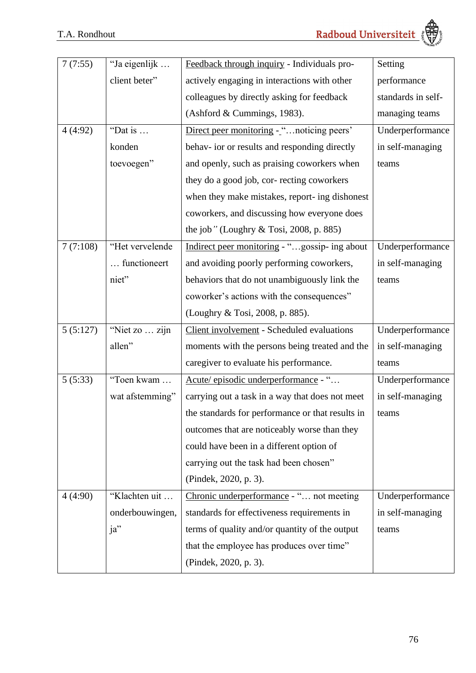

| 7(7:55)  | "Ja eigenlijk   | Feedback through inquiry - Individuals pro-      | Setting            |
|----------|-----------------|--------------------------------------------------|--------------------|
|          | client beter"   | actively engaging in interactions with other     | performance        |
|          |                 | colleagues by directly asking for feedback       | standards in self- |
|          |                 | (Ashford & Cummings, 1983).                      | managing teams     |
| 4(4:92)  | "Dat is         | Direct peer monitoring - " noticing peers'       | Underperformance   |
|          | konden          | behav- ior or results and responding directly    | in self-managing   |
|          | toevoegen"      | and openly, such as praising coworkers when      | teams              |
|          |                 | they do a good job, cor- recting coworkers       |                    |
|          |                 | when they make mistakes, report-ing dishonest    |                    |
|          |                 | coworkers, and discussing how everyone does      |                    |
|          |                 | the job" (Loughry $& Tosi, 2008, p. 885$ )       |                    |
| 7(7:108) | "Het vervelende | Indirect peer monitoring - "gossip- ing about    | Underperformance   |
|          | functioneert    | and avoiding poorly performing coworkers,        | in self-managing   |
|          | niet"           | behaviors that do not unambiguously link the     | teams              |
|          |                 | coworker's actions with the consequences"        |                    |
|          |                 | (Loughry & Tosi, 2008, p. 885).                  |                    |
| 5(5:127) | "Niet zo  zijn  | Client involvement - Scheduled evaluations       | Underperformance   |
|          | allen"          | moments with the persons being treated and the   | in self-managing   |
|          |                 | caregiver to evaluate his performance.           | teams              |
| 5(5:33)  | "Toen kwam      | Acute/episodic underperformance - "              | Underperformance   |
|          | wat afstemming" | carrying out a task in a way that does not meet  | in self-managing   |
|          |                 | the standards for performance or that results in | teams              |
|          |                 | outcomes that are noticeably worse than they     |                    |
|          |                 | could have been in a different option of         |                    |
|          |                 | carrying out the task had been chosen"           |                    |
|          |                 | (Pindek, 2020, p. 3).                            |                    |
| 4(4:90)  | "Klachten uit   | Chronic underperformance - " not meeting         | Underperformance   |
|          | onderbouwingen, | standards for effectiveness requirements in      | in self-managing   |
|          | ja"             | terms of quality and/or quantity of the output   | teams              |
|          |                 | that the employee has produces over time"        |                    |
|          |                 | (Pindek, 2020, p. 3).                            |                    |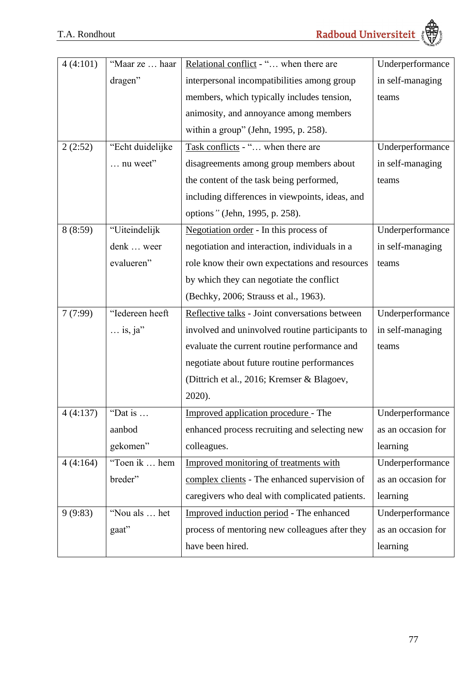

| 4(4:101) | "Maar ze  haar    | Relational conflict - " when there are          | Underperformance   |
|----------|-------------------|-------------------------------------------------|--------------------|
|          | dragen"           | interpersonal incompatibilities among group     | in self-managing   |
|          |                   | members, which typically includes tension,      | teams              |
|          |                   | animosity, and annoyance among members          |                    |
|          |                   | within a group" (Jehn, 1995, p. 258).           |                    |
| 2(2:52)  | "Echt duidelijke  | Task conflicts - " when there are               | Underperformance   |
|          | $\ldots$ nu weet" | disagreements among group members about         | in self-managing   |
|          |                   | the content of the task being performed,        | teams              |
|          |                   | including differences in viewpoints, ideas, and |                    |
|          |                   | options" (Jehn, 1995, p. 258).                  |                    |
| 8(8:59)  | "Uiteindelijk     | Negotiation order - In this process of          | Underperformance   |
|          | denk  weer        | negotiation and interaction, individuals in a   | in self-managing   |
|          | evalueren"        | role know their own expectations and resources  | teams              |
|          |                   | by which they can negotiate the conflict        |                    |
|          |                   | (Bechky, 2006; Strauss et al., 1963).           |                    |
| 7(7:99)  | "Iedereen heeft   | Reflective talks - Joint conversations between  | Underperformance   |
|          | $\ldots$ is, ja"  | involved and uninvolved routine participants to | in self-managing   |
|          |                   | evaluate the current routine performance and    | teams              |
|          |                   | negotiate about future routine performances     |                    |
|          |                   | (Dittrich et al., 2016; Kremser & Blagoev,      |                    |
|          |                   | 2020).                                          |                    |
| 4(4:137) | "Dat is           | Improved application procedure - The            | Underperformance   |
|          | aanbod            | enhanced process recruiting and selecting new   | as an occasion for |
|          | gekomen"          | colleagues.                                     | learning           |
| 4(4:164) | "Toen ik  hem     | Improved monitoring of treatments with          | Underperformance   |
|          | breder"           | complex clients - The enhanced supervision of   | as an occasion for |
|          |                   | caregivers who deal with complicated patients.  | learning           |
| 9(9:83)  | "Nou als  het     | Improved induction period - The enhanced        | Underperformance   |
|          | gaat"             | process of mentoring new colleagues after they  | as an occasion for |
|          |                   | have been hired.                                | learning           |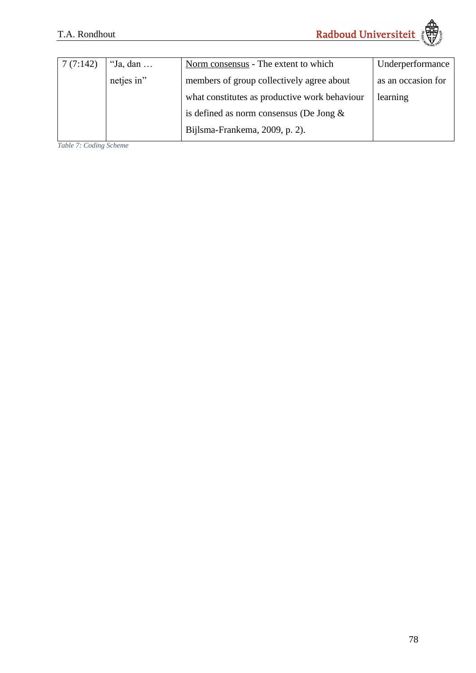| 7(7:142) | "Ja, dan $\dots$ | Norm consensus - The extent to which          | Underperformance   |
|----------|------------------|-----------------------------------------------|--------------------|
|          | netjes in"       | members of group collectively agree about     | as an occasion for |
|          |                  | what constitutes as productive work behaviour | learning           |
|          |                  | is defined as norm consensus (De Jong $\&$    |                    |
|          |                  | Bijlsma-Frankema, 2009, p. 2).                |                    |

*Table 7: Coding Scheme*